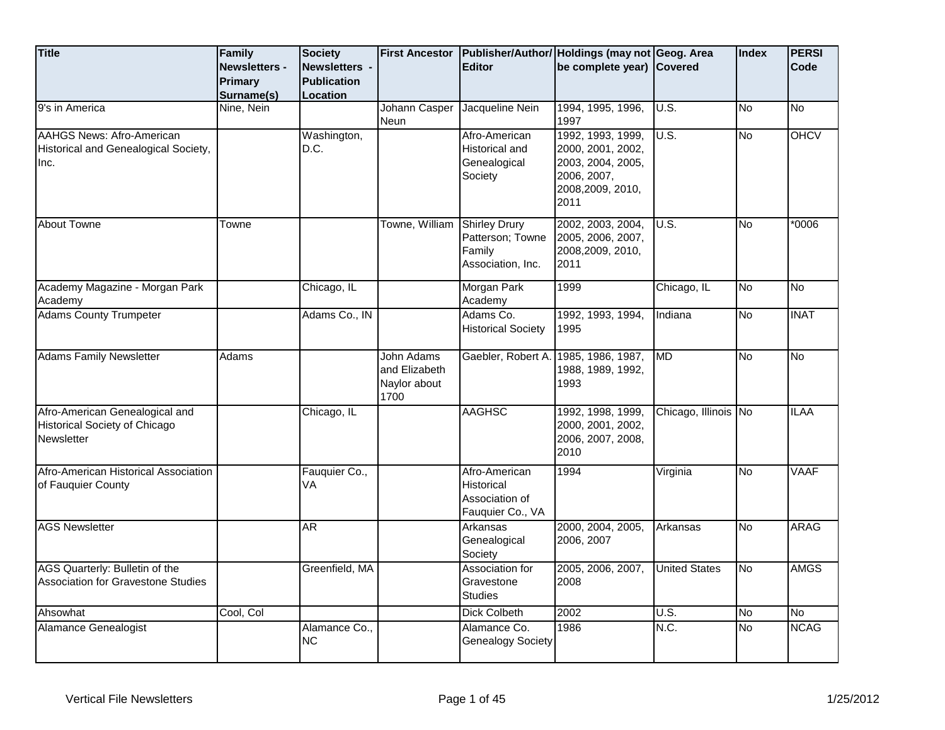| <b>Title</b>                                                                         | Family<br><b>Newsletters -</b><br>Primary<br>Surname(s) | <b>Society</b><br><b>Newsletters -</b><br><b>Publication</b><br>Location | <b>First Ancestor</b>                                      | <b>Editor</b>                                                            | Publisher/Author/ Holdings (may not Geog. Area<br>be complete year) Covered                            |                      | Index     | <b>PERSI</b><br>Code |
|--------------------------------------------------------------------------------------|---------------------------------------------------------|--------------------------------------------------------------------------|------------------------------------------------------------|--------------------------------------------------------------------------|--------------------------------------------------------------------------------------------------------|----------------------|-----------|----------------------|
| 9's in America                                                                       | Nine, Nein                                              |                                                                          | Johann Casper<br>Neun                                      | Jacqueline Nein                                                          | 1994, 1995, 1996,<br>1997                                                                              | U.S.                 | <b>No</b> | No                   |
| <b>AAHGS News: Afro-American</b><br>Historical and Genealogical Society,<br>Inc.     |                                                         | Washington,<br>D.C.                                                      |                                                            | Afro-American<br><b>Historical and</b><br>Genealogical<br>Society        | 1992, 1993, 1999,<br>2000, 2001, 2002,<br>2003, 2004, 2005,<br>2006, 2007,<br>2008,2009, 2010,<br>2011 | U.S.                 | No        | <b>OHCV</b>          |
| <b>About Towne</b>                                                                   | Towne                                                   |                                                                          | Towne, William                                             | <b>Shirley Drury</b><br>Patterson; Towne<br>Family<br>Association, Inc.  | 2002, 2003, 2004,<br>2005, 2006, 2007,<br>2008,2009, 2010,<br>2011                                     | U.S.                 | <b>No</b> | $*0006$              |
| Academy Magazine - Morgan Park<br>Academy                                            |                                                         | Chicago, IL                                                              |                                                            | Morgan Park<br>Academy                                                   | 1999                                                                                                   | Chicago, IL          | No        | No                   |
| <b>Adams County Trumpeter</b>                                                        |                                                         | Adams Co., IN                                                            |                                                            | Adams Co.<br><b>Historical Society</b>                                   | 1992, 1993, 1994,<br>1995                                                                              | Indiana              | No        | <b>INAT</b>          |
| <b>Adams Family Newsletter</b>                                                       | Adams                                                   |                                                                          | <b>John Adams</b><br>and Elizabeth<br>Naylor about<br>1700 | Gaebler, Robert A.                                                       | 1985, 1986, 1987,<br>1988, 1989, 1992,<br>1993                                                         | <b>MD</b>            | <b>No</b> | No                   |
| Afro-American Genealogical and<br><b>Historical Society of Chicago</b><br>Newsletter |                                                         | Chicago, IL                                                              |                                                            | <b>AAGHSC</b>                                                            | 1992, 1998, 1999,<br>2000, 2001, 2002,<br>2006, 2007, 2008,<br>2010                                    | Chicago, Illinois No |           | <b>ILAA</b>          |
| Afro-American Historical Association<br>of Fauquier County                           |                                                         | Fauquier Co.,<br>VA                                                      |                                                            | Afro-American<br><b>Historical</b><br>Association of<br>Fauquier Co., VA | 1994                                                                                                   | Virginia             | <b>No</b> | <b>VAAF</b>          |
| <b>AGS Newsletter</b>                                                                |                                                         | AR.                                                                      |                                                            | <b>Arkansas</b><br>Genealogical<br>Society                               | 2000, 2004, 2005,<br>2006, 2007                                                                        | Arkansas             | <b>No</b> | <b>ARAG</b>          |
| AGS Quarterly: Bulletin of the<br><b>Association for Gravestone Studies</b>          |                                                         | Greenfield, MA                                                           |                                                            | Association for<br>Gravestone<br><b>Studies</b>                          | 2005, 2006, 2007,<br>2008                                                                              | <b>United States</b> | <b>No</b> | <b>AMGS</b>          |
| Ahsowhat                                                                             | Cool, Col                                               |                                                                          |                                                            | <b>Dick Colbeth</b>                                                      | 2002                                                                                                   | U.S.                 | <b>No</b> | <b>No</b>            |
| Alamance Genealogist                                                                 |                                                         | Alamance Co.,<br><b>NC</b>                                               |                                                            | Alamance Co.<br><b>Genealogy Society</b>                                 | 1986                                                                                                   | N.C.                 | <b>No</b> | <b>NCAG</b>          |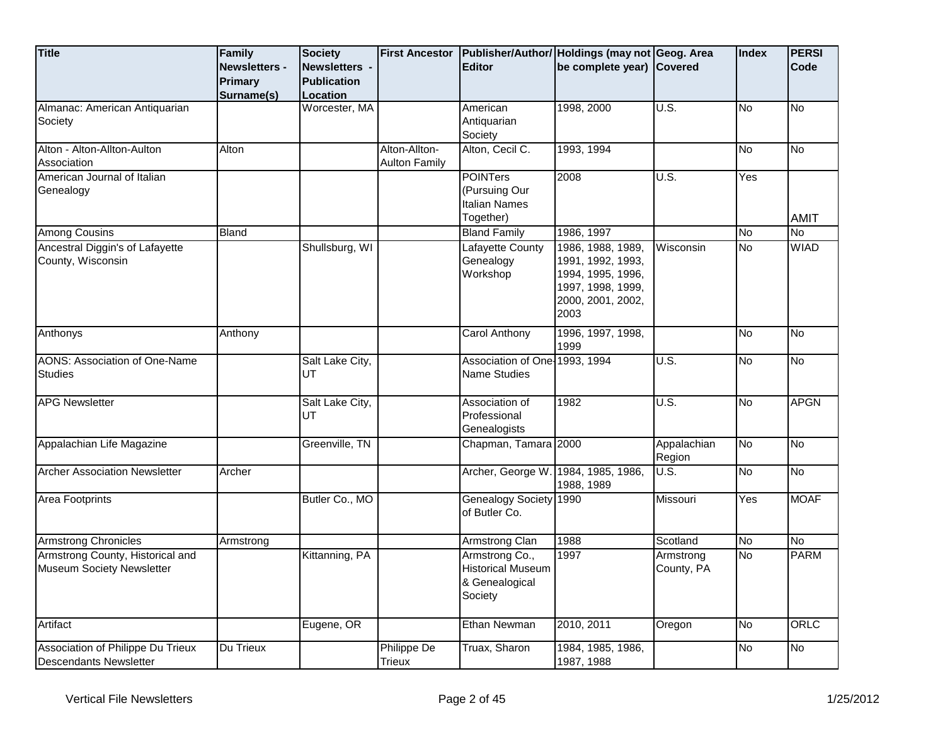| <b>Title</b>                                                         | Family<br><b>Newsletters -</b><br><b>Primary</b><br>Surname(s) | <b>Society</b><br>Newsletters -<br><b>Publication</b><br>Location | <b>First Ancestor</b>                 | <b>Editor</b>                                                           | Publisher/Author/ Holdings (may not Geog. Area<br>be complete year) Covered                                   |                                     | <b>Index</b> | <b>PERSI</b><br>Code |
|----------------------------------------------------------------------|----------------------------------------------------------------|-------------------------------------------------------------------|---------------------------------------|-------------------------------------------------------------------------|---------------------------------------------------------------------------------------------------------------|-------------------------------------|--------------|----------------------|
| Almanac: American Antiquarian<br>Society                             |                                                                | Worcester, MA                                                     |                                       | American<br>Antiquarian<br>Society                                      | 1998, 2000                                                                                                    | $\overline{U.S.}$                   | <b>No</b>    | <b>No</b>            |
| Alton - Alton-Allton-Aulton<br>Association                           | Alton                                                          |                                                                   | Alton-Allton-<br><b>Aulton Family</b> | Alton, Cecil C.                                                         | 1993, 1994                                                                                                    |                                     | <b>No</b>    | No                   |
| American Journal of Italian<br>Genealogy                             |                                                                |                                                                   |                                       | <b>POINTers</b><br>(Pursuing Our<br><b>Italian Names</b><br>Together)   | 2008                                                                                                          | $\overline{\mathsf{U}.\mathsf{S}.}$ | Yes          | <b>AMIT</b>          |
| <b>Among Cousins</b>                                                 | <b>Bland</b>                                                   |                                                                   |                                       | <b>Bland Family</b>                                                     | 1986, 1997                                                                                                    |                                     | <b>No</b>    | <u>ν</u>             |
| Ancestral Diggin's of Lafayette<br>County, Wisconsin                 |                                                                | Shullsburg, WI                                                    |                                       | <b>Lafayette County</b><br>Genealogy<br>Workshop                        | 1986, 1988, 1989,<br>1991, 1992, 1993,<br>1994, 1995, 1996,<br>1997, 1998, 1999,<br>2000, 2001, 2002,<br>2003 | Wisconsin                           | No           | <b>WIAD</b>          |
| Anthonys                                                             | Anthony                                                        |                                                                   |                                       | Carol Anthony                                                           | 1996, 1997, 1998,<br>1999                                                                                     |                                     | No           | <b>No</b>            |
| <b>AONS: Association of One-Name</b><br><b>Studies</b>               |                                                                | Salt Lake City,<br>UT                                             |                                       | Association of One-1993, 1994<br><b>Name Studies</b>                    |                                                                                                               | U.S.                                | <b>No</b>    | <b>No</b>            |
| <b>APG Newsletter</b>                                                |                                                                | Salt Lake City,<br>UT                                             |                                       | Association of<br>Professional<br>Genealogists                          | 1982                                                                                                          | U.S.                                | <b>No</b>    | <b>APGN</b>          |
| Appalachian Life Magazine                                            |                                                                | Greenville, TN                                                    |                                       | Chapman, Tamara 2000                                                    |                                                                                                               | Appalachian<br>Region               | <b>No</b>    | No                   |
| <b>Archer Association Newsletter</b>                                 | Archer                                                         |                                                                   |                                       | Archer, George W.                                                       | 1984, 1985, 1986,<br>1988, 1989                                                                               | $\overline{U.S.}$                   | No           | No                   |
| Area Footprints                                                      |                                                                | Butler Co., MO                                                    |                                       | Genealogy Society 1990<br>of Butler Co.                                 |                                                                                                               | Missouri                            | Yes          | <b>MOAF</b>          |
| <b>Armstrong Chronicles</b>                                          | Armstrong                                                      |                                                                   |                                       | Armstrong Clan                                                          | 1988                                                                                                          | Scotland                            | No           | <u>ν</u>             |
| Armstrong County, Historical and<br><b>Museum Society Newsletter</b> |                                                                | Kittanning, PA                                                    |                                       | Armstrong Co.,<br><b>Historical Museum</b><br>& Genealogical<br>Society | 1997                                                                                                          | Armstrong<br>County, PA             | <b>No</b>    | <b>PARM</b>          |
| Artifact                                                             |                                                                | Eugene, OR                                                        |                                       | Ethan Newman                                                            | 2010, 2011                                                                                                    | Oregon                              | <b>No</b>    | ORLC                 |
| Association of Philippe Du Trieux<br><b>Descendants Newsletter</b>   | Du Trieux                                                      |                                                                   | Philippe De<br><b>Trieux</b>          | Truax, Sharon                                                           | 1984, 1985, 1986,<br>1987, 1988                                                                               |                                     | ΟN           | No                   |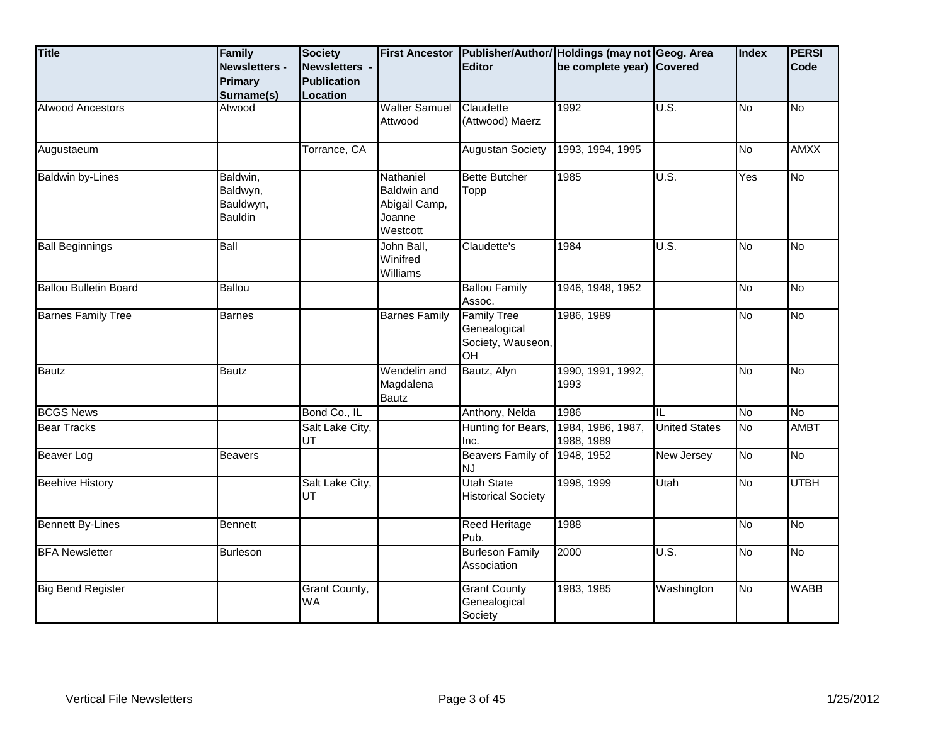| <b>Title</b>                 | Family<br><b>Newsletters -</b><br>Primary<br>Surname(s) | Society<br>Newsletters -<br>Publication<br>Location | <b>First Ancestor</b>                                           | <b>Editor</b>                                                 | Publisher/Author/ Holdings (may not Geog. Area<br>be complete year) Covered |                      | Index | <b>PERSI</b><br>Code |
|------------------------------|---------------------------------------------------------|-----------------------------------------------------|-----------------------------------------------------------------|---------------------------------------------------------------|-----------------------------------------------------------------------------|----------------------|-------|----------------------|
| <b>Atwood Ancestors</b>      | Atwood                                                  |                                                     | <b>Walter Samuel</b><br>Attwood                                 | Claudette<br>(Attwood) Maerz                                  | 1992                                                                        | U.S.                 | No.   | $\overline{N}$       |
| Augustaeum                   |                                                         | Torrance, CA                                        |                                                                 | <b>Augustan Society</b>                                       | 1993, 1994, 1995                                                            |                      | No    | <b>AMXX</b>          |
| <b>Baldwin by-Lines</b>      | Baldwin,<br>Baldwyn,<br>Bauldwyn,<br>Bauldin            |                                                     | Nathaniel<br>Baldwin and<br>Abigail Camp,<br>Joanne<br>Westcott | <b>Bette Butcher</b><br>Topp                                  | 1985                                                                        | U.S.                 | Yes   | $\overline{N}$       |
| <b>Ball Beginnings</b>       | Ball                                                    |                                                     | John Ball,<br>Winifred<br>Williams                              | Claudette's                                                   | 1984                                                                        | $\overline{U.S.}$    | No    | <b>No</b>            |
| <b>Ballou Bulletin Board</b> | <b>Ballou</b>                                           |                                                     |                                                                 | <b>Ballou Family</b><br>Assoc.                                | 1946, 1948, 1952                                                            |                      | No    | $\overline{N}$       |
| <b>Barnes Family Tree</b>    | <b>Barnes</b>                                           |                                                     | <b>Barnes Family</b>                                            | <b>Family Tree</b><br>Genealogical<br>Society, Wauseon,<br>OH | 1986, 1989                                                                  |                      | δ     | $\overline{N}$       |
| <b>Bautz</b>                 | <b>Bautz</b>                                            |                                                     | Wendelin and<br>Magdalena<br>Bautz                              | Bautz, Alyn                                                   | 1990, 1991, 1992,<br>1993                                                   |                      | Μ     | $\overline{N}$       |
| <b>BCGS News</b>             |                                                         | Bond Co., IL                                        |                                                                 | Anthony, Nelda                                                | 1986                                                                        | IL                   | No    | <b>No</b>            |
| <b>Bear Tracks</b>           |                                                         | Salt Lake City,<br>UT                               |                                                                 | Hunting for Bears,<br>Inc.                                    | 1984, 1986, 1987,<br>1988, 1989                                             | <b>United States</b> | Μ     | <b>AMBT</b>          |
| Beaver Log                   | <b>Beavers</b>                                          |                                                     |                                                                 | Beavers Family of<br><b>NJ</b>                                | 1948, 1952                                                                  | New Jersey           | No    | <b>No</b>            |
| <b>Beehive History</b>       |                                                         | Salt Lake City,<br>UT                               |                                                                 | <b>Utah State</b><br><b>Historical Society</b>                | 1998, 1999                                                                  | Utah                 | δ     | <b>UTBH</b>          |
| <b>Bennett By-Lines</b>      | <b>Bennett</b>                                          |                                                     |                                                                 | <b>Reed Heritage</b><br>Pub.                                  | 1988                                                                        |                      | No    | No                   |
| <b>BFA Newsletter</b>        | <b>Burleson</b>                                         |                                                     |                                                                 | <b>Burleson Family</b><br>Association                         | 2000                                                                        | U.S.                 | Μ     | $\overline{N}$       |
| <b>Big Bend Register</b>     |                                                         | Grant County,<br><b>WA</b>                          |                                                                 | <b>Grant County</b><br>Genealogical<br>Society                | 1983, 1985                                                                  | Washington           | No    | <b>WABB</b>          |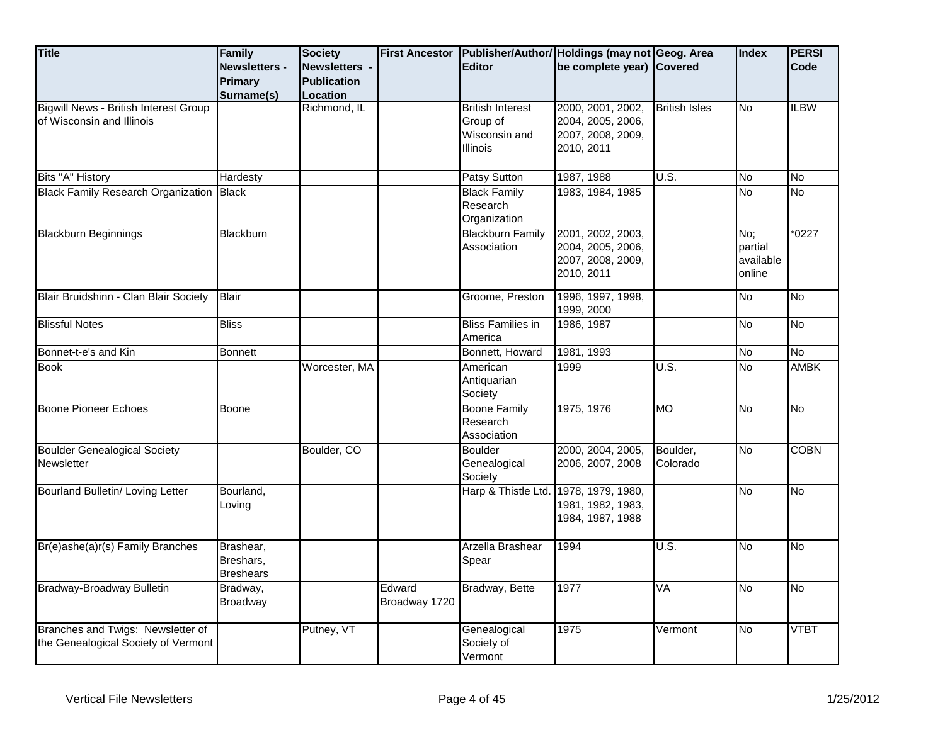| <b>Title</b>                                                              | Family<br><b>Newsletters -</b>             | <b>Society</b><br>Newsletters - |                         | <b>Editor</b>                                   | First Ancestor   Publisher/Author/ Holdings (may not Geog. Area<br>be complete year) Covered |                                     | Index                                 | <b>PERSI</b><br>Code |
|---------------------------------------------------------------------------|--------------------------------------------|---------------------------------|-------------------------|-------------------------------------------------|----------------------------------------------------------------------------------------------|-------------------------------------|---------------------------------------|----------------------|
|                                                                           | Primary                                    | <b>Publication</b>              |                         |                                                 |                                                                                              |                                     |                                       |                      |
|                                                                           | Surname(s)                                 | Location                        |                         |                                                 |                                                                                              |                                     |                                       |                      |
| <b>Bigwill News - British Interest Group</b><br>of Wisconsin and Illinois |                                            | Richmond, IL                    |                         | <b>British Interest</b><br>Group of             | 2000, 2001, 2002,<br>2004, 2005, 2006,                                                       | <b>British Isles</b>                | <b>No</b>                             | <b>ILBW</b>          |
|                                                                           |                                            |                                 |                         | Wisconsin and<br><b>Illinois</b>                | 2007, 2008, 2009,<br>2010, 2011                                                              |                                     |                                       |                      |
| Bits "A" History                                                          | Hardesty                                   |                                 |                         | <b>Patsy Sutton</b>                             | 1987, 1988                                                                                   | U.S.                                | No                                    | No                   |
| <b>Black Family Research Organization Black</b>                           |                                            |                                 |                         | <b>Black Family</b><br>Research<br>Organization | 1983, 1984, 1985                                                                             |                                     | δ                                     | No                   |
| <b>Blackburn Beginnings</b>                                               | Blackburn                                  |                                 |                         | <b>Blackburn Family</b><br>Association          | 2001, 2002, 2003,<br>2004, 2005, 2006,<br>2007, 2008, 2009,<br>2010, 2011                    |                                     | No;<br>partial<br>available<br>online | $*0227$              |
| Blair Bruidshinn - Clan Blair Society                                     | <b>Blair</b>                               |                                 |                         | Groome, Preston                                 | 1996, 1997, 1998,<br>1999, 2000                                                              |                                     | No                                    | No                   |
| <b>Blissful Notes</b>                                                     | <b>Bliss</b>                               |                                 |                         | <b>Bliss Families in</b><br>America             | 1986, 1987                                                                                   |                                     | <b>No</b>                             | <b>No</b>            |
| Bonnet-t-e's and Kin                                                      | <b>Bonnett</b>                             |                                 |                         | Bonnett, Howard                                 | 1981, 1993                                                                                   |                                     | No                                    | <b>No</b>            |
| <b>Book</b>                                                               |                                            | Worcester, MA                   |                         | American<br>Antiquarian<br>Society              | 1999                                                                                         | U.S.                                | No                                    | <b>AMBK</b>          |
| Boone Pioneer Echoes                                                      | Boone                                      |                                 |                         | <b>Boone Family</b><br>Research<br>Association  | 1975, 1976                                                                                   | <b>MO</b>                           | No                                    | <b>No</b>            |
| <b>Boulder Genealogical Society</b><br>Newsletter                         |                                            | Boulder, CO                     |                         | <b>Boulder</b><br>Genealogical<br>Society       | 2000, 2004, 2005,<br>2006, 2007, 2008                                                        | Boulder,<br>Colorado                | No                                    | <b>COBN</b>          |
| Bourland Bulletin/ Loving Letter                                          | Bourland,<br>Loving                        |                                 |                         | Harp & Thistle Ltd. 1978, 1979, 1980,           | 1981, 1982, 1983,<br>1984, 1987, 1988                                                        |                                     | N <sub>o</sub>                        | <b>No</b>            |
| Br(e)ashe(a)r(s) Family Branches                                          | Brashear,<br>Breshars,<br><b>Breshears</b> |                                 |                         | Arzella Brashear<br>Spear                       | 1994                                                                                         | $\overline{\mathsf{U}.\mathsf{S}.}$ | δ                                     | No                   |
| Bradway-Broadway Bulletin                                                 | Bradway,<br>Broadway                       |                                 | Edward<br>Broadway 1720 | Bradway, Bette                                  | 1977                                                                                         | VA                                  | No                                    | <u>ν</u>             |
| Branches and Twigs: Newsletter of<br>the Genealogical Society of Vermont  |                                            | Putney, VT                      |                         | Genealogical<br>Society of<br>Vermont           | 1975                                                                                         | Vermont                             | No                                    | <b>VTBT</b>          |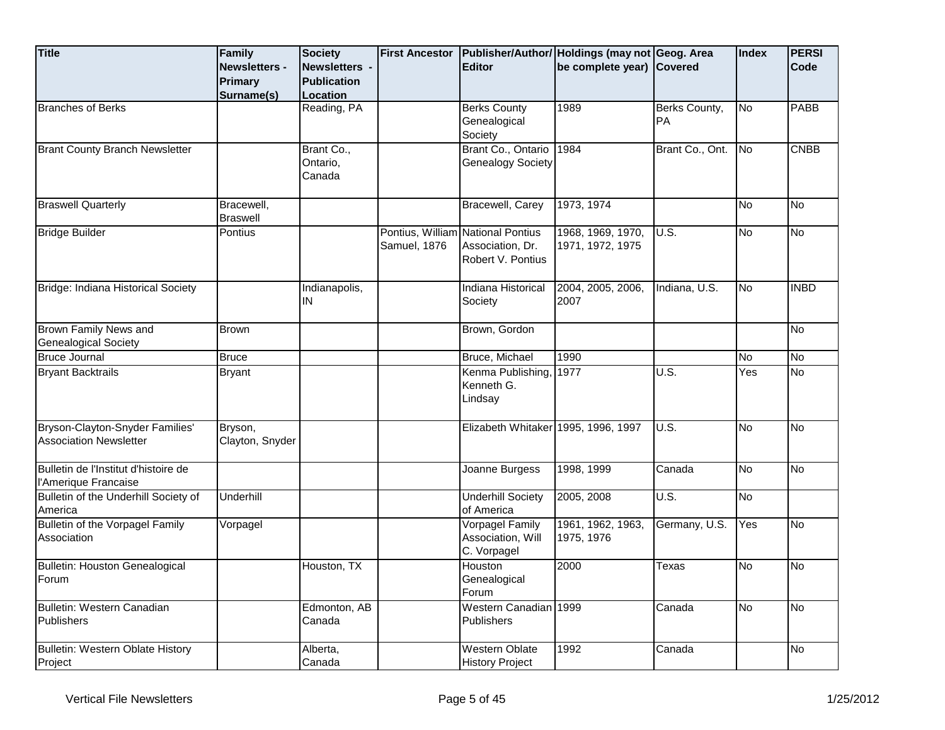| <b>Title</b>                                                     | Family<br><b>Newsletters -</b><br><b>Primary</b><br>Surname(s) | <b>Society</b><br>Newsletters -<br><b>Publication</b><br>Location | <b>First Ancestor</b> | <b>Editor</b>                                                              | Publisher/Author/ Holdings (may not Geog. Area<br>be complete year) Covered |                     | Index     | <b>PERSI</b><br><b>Code</b> |
|------------------------------------------------------------------|----------------------------------------------------------------|-------------------------------------------------------------------|-----------------------|----------------------------------------------------------------------------|-----------------------------------------------------------------------------|---------------------|-----------|-----------------------------|
| <b>Branches of Berks</b>                                         |                                                                | Reading, PA                                                       |                       | <b>Berks County</b><br>Genealogical<br>Society                             | 1989                                                                        | Berks County,<br>PA | No        | PABB                        |
| <b>Brant County Branch Newsletter</b>                            |                                                                | Brant Co.,<br>Ontario,<br>Canada                                  |                       | Brant Co., Ontario<br><b>Genealogy Society</b>                             | 1984                                                                        | Brant Co., Ont.     | No        | <b>CNBB</b>                 |
| <b>Braswell Quarterly</b>                                        | Bracewell,<br><b>Braswell</b>                                  |                                                                   |                       | Bracewell, Carey                                                           | 1973, 1974                                                                  |                     | No        | No                          |
| <b>Bridge Builder</b>                                            | Pontius                                                        |                                                                   | Samuel, 1876          | Pontius, William National Pontius<br>Association, Dr.<br>Robert V. Pontius | 1968, 1969, 1970,<br>1971, 1972, 1975                                       | U.S.                | <b>No</b> | <b>No</b>                   |
| Bridge: Indiana Historical Society                               |                                                                | Indianapolis,<br>IN                                               |                       | Indiana Historical<br>Society                                              | 2004, 2005, 2006,<br>2007                                                   | Indiana, U.S.       | <b>No</b> | <b>INBD</b>                 |
| Brown Family News and<br>Genealogical Society                    | Brown                                                          |                                                                   |                       | Brown, Gordon                                                              |                                                                             |                     |           | No                          |
| <b>Bruce Journal</b>                                             | <b>Bruce</b>                                                   |                                                                   |                       | Bruce, Michael                                                             | 1990                                                                        |                     | <b>No</b> | <b>No</b>                   |
| <b>Bryant Backtrails</b>                                         | <b>Bryant</b>                                                  |                                                                   |                       | Kenma Publishing,<br>Kenneth G.<br>Lindsay                                 | 1977                                                                        | $\overline{U.S.}$   | Yes       | <b>No</b>                   |
| Bryson-Clayton-Snyder Families'<br><b>Association Newsletter</b> | Bryson,<br>Clayton, Snyder                                     |                                                                   |                       | Elizabeth Whitaker 1995, 1996, 1997                                        |                                                                             | U.S.                | <b>No</b> | No                          |
| Bulletin de l'Institut d'histoire de<br>l'Amerique Francaise     |                                                                |                                                                   |                       | Joanne Burgess                                                             | 1998, 1999                                                                  | Canada              | <b>No</b> | No                          |
| Bulletin of the Underhill Society of<br>America                  | Underhill                                                      |                                                                   |                       | <b>Underhill Society</b><br>of America                                     | 2005, 2008                                                                  | U.S.                | <b>No</b> |                             |
| <b>Bulletin of the Vorpagel Family</b><br>Association            | Vorpagel                                                       |                                                                   |                       | Vorpagel Family<br>Association, Will<br>C. Vorpagel                        | 1961, 1962, 1963,<br>1975, 1976                                             | Germany, U.S.       | Yes       | No                          |
| Bulletin: Houston Genealogical<br>Forum                          |                                                                | Houston, TX                                                       |                       | Houston<br>Genealogical<br>Forum                                           | 2000                                                                        | Texas               | <b>No</b> | No                          |
| Bulletin: Western Canadian<br>Publishers                         |                                                                | Edmonton, AB<br>Canada                                            |                       | Western Canadian 1999<br><b>Publishers</b>                                 |                                                                             | Canada              | <b>No</b> | No                          |
| Bulletin: Western Oblate History<br>Project                      |                                                                | Alberta,<br>Canada                                                |                       | <b>Western Oblate</b><br><b>History Project</b>                            | 1992                                                                        | Canada              |           | No                          |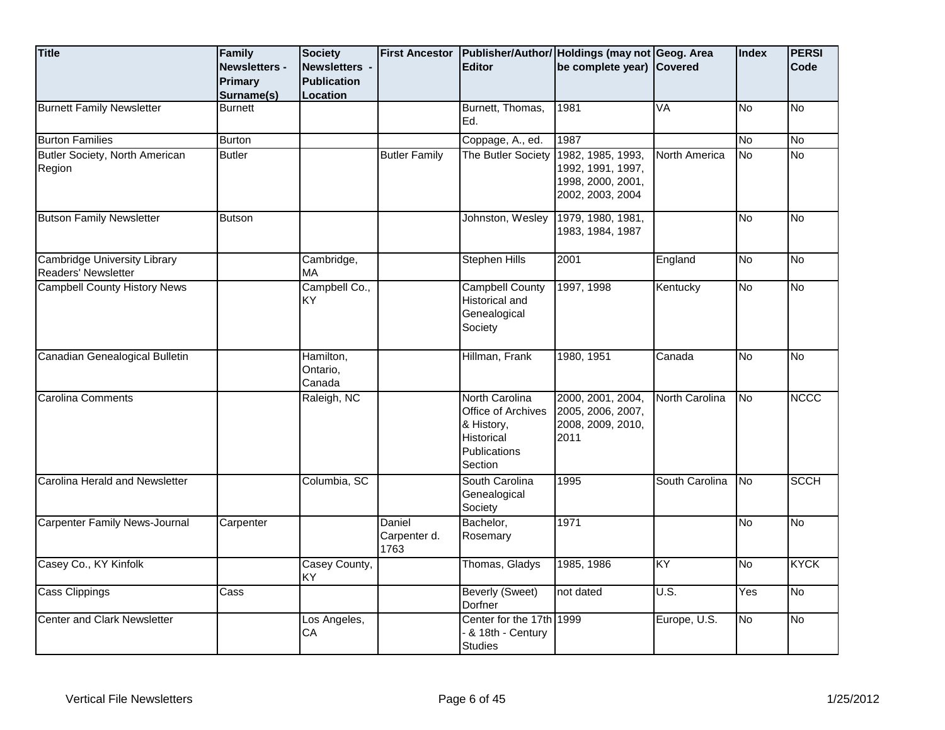| <b>Title</b>                                               | Family<br><b>Newsletters -</b> | <b>Society</b><br>Newsletters - |                                | <b>Editor</b>                                                                                      | First Ancestor   Publisher/Author/ Holdings (may not Geog. Area<br>be complete year) Covered |                | Index     | <b>PERSI</b><br>Code |
|------------------------------------------------------------|--------------------------------|---------------------------------|--------------------------------|----------------------------------------------------------------------------------------------------|----------------------------------------------------------------------------------------------|----------------|-----------|----------------------|
|                                                            | Primary                        | <b>Publication</b>              |                                |                                                                                                    |                                                                                              |                |           |                      |
|                                                            | Surname(s)                     | Location                        |                                |                                                                                                    |                                                                                              |                |           |                      |
| <b>Burnett Family Newsletter</b>                           | <b>Burnett</b>                 |                                 |                                | Burnett, Thomas,<br>Ed.                                                                            | 1981                                                                                         | VA             | No        | $\overline{N}$       |
| <b>Burton Families</b>                                     | <b>Burton</b>                  |                                 |                                | Coppage, A., ed.                                                                                   | 1987                                                                                         |                | No        | $\overline{N}$       |
| Butler Society, North American<br>Region                   | <b>Butler</b>                  |                                 | <b>Butler Family</b>           | The Butler Society                                                                                 | 1982, 1985, 1993,<br>1992, 1991, 1997,<br>1998, 2000, 2001,<br>2002, 2003, 2004              | North America  | No        | $\overline{No}$      |
| <b>Butson Family Newsletter</b>                            | <b>Butson</b>                  |                                 |                                | Johnston, Wesley                                                                                   | 1979, 1980, 1981,<br>1983, 1984, 1987                                                        |                | No.       | No                   |
| <b>Cambridge University Library</b><br>Readers' Newsletter |                                | Cambridge,<br>MA                |                                | <b>Stephen Hills</b>                                                                               | 2001                                                                                         | England        | δ         | No                   |
| <b>Campbell County History News</b>                        |                                | Campbell Co.,<br><b>KY</b>      |                                | <b>Campbell County</b><br>Historical and<br>Genealogical<br>Society                                | 1997, 1998                                                                                   | Kentucky       | δ         | $\overline{N}$       |
| Canadian Genealogical Bulletin                             |                                | Hamilton,<br>Ontario,<br>Canada |                                | Hillman, Frank                                                                                     | 1980, 1951                                                                                   | Canada         | No        | No                   |
| <b>Carolina Comments</b>                                   |                                | Raleigh, NC                     |                                | North Carolina<br>Office of Archives<br>& History,<br>Historical<br><b>Publications</b><br>Section | 2000, 2001, 2004,<br>2005, 2006, 2007,<br>2008, 2009, 2010,<br>2011                          | North Carolina | No        | <b>NCCC</b>          |
| Carolina Herald and Newsletter                             |                                | Columbia, SC                    |                                | South Carolina<br>Genealogical<br>Society                                                          | 1995                                                                                         | South Carolina | No        | <b>SCCH</b>          |
| <b>Carpenter Family News-Journal</b>                       | Carpenter                      |                                 | Daniel<br>Carpenter d.<br>1763 | Bachelor,<br>Rosemary                                                                              | 1971                                                                                         |                | <b>No</b> | $\overline{N}$       |
| Casey Co., KY Kinfolk                                      |                                | Casey County,<br>KY             |                                | Thomas, Gladys                                                                                     | 1985, 1986                                                                                   | KY             | No        | <b>KYCK</b>          |
| Cass Clippings                                             | Cass                           |                                 |                                | <b>Beverly (Sweet)</b><br>Dorfner                                                                  | not dated                                                                                    | U.S.           | Yes       | $\overline{N}$       |
| <b>Center and Clark Newsletter</b>                         |                                | Los Angeles,<br>CA              |                                | Center for the 17th 1999<br>- & 18th - Century<br><b>Studies</b>                                   |                                                                                              | Europe, U.S.   | <b>No</b> | $\overline{N}$       |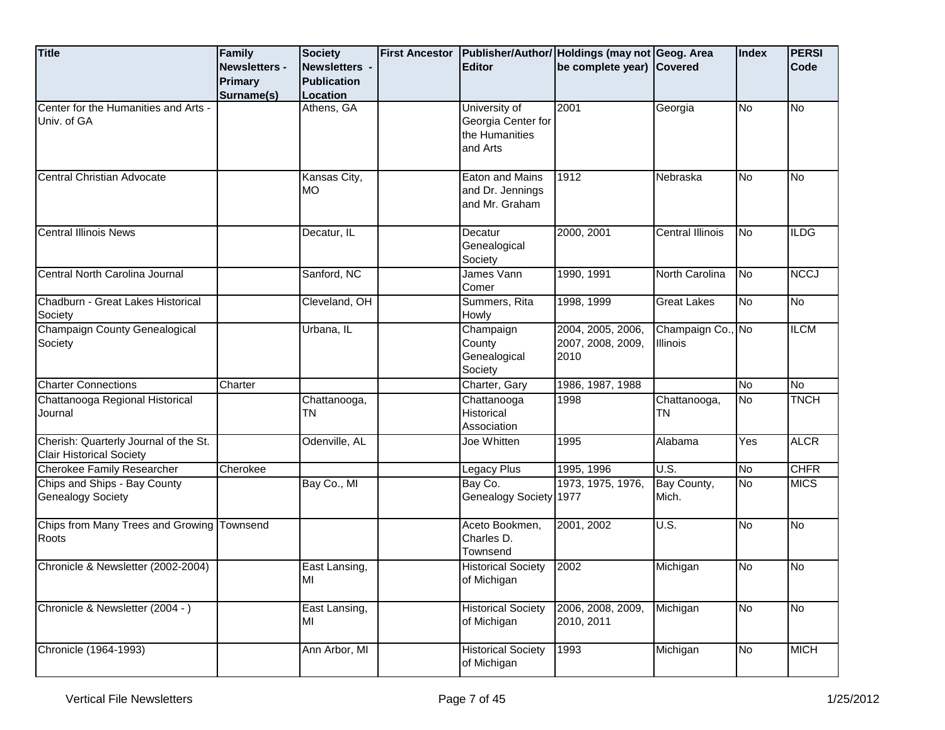| <b>Title</b>                                                             | Family<br>Newsletters -<br><b>Primary</b><br>Surname(s) | <b>Society</b><br>Newsletters -<br><b>Publication</b><br>Location | <b>First Ancestor</b> | <b>Editor</b>                                                     | Publisher/Author/ Holdings (may not Geog. Area<br>be complete year) Covered |                               | Index     | <b>PERSI</b><br>Code |
|--------------------------------------------------------------------------|---------------------------------------------------------|-------------------------------------------------------------------|-----------------------|-------------------------------------------------------------------|-----------------------------------------------------------------------------|-------------------------------|-----------|----------------------|
| Center for the Humanities and Arts -<br>Univ. of GA                      |                                                         | Athens, GA                                                        |                       | University of<br>Georgia Center for<br>the Humanities<br>and Arts | 2001                                                                        | Georgia                       | <b>No</b> | <b>No</b>            |
| Central Christian Advocate                                               |                                                         | Kansas City,<br><b>MO</b>                                         |                       | Eaton and Mains<br>and Dr. Jennings<br>and Mr. Graham             | 1912                                                                        | Nebraska                      | <b>No</b> | No                   |
| <b>Central Illinois News</b>                                             |                                                         | Decatur, IL                                                       |                       | Decatur<br>Genealogical<br>Society                                | 2000, 2001                                                                  | Central Illinois              | <b>No</b> | <b>ILDG</b>          |
| Central North Carolina Journal                                           |                                                         | Sanford, NC                                                       |                       | James Vann<br>Comer                                               | 1990, 1991                                                                  | North Carolina                | <b>No</b> | <b>NCC1</b>          |
| Chadburn - Great Lakes Historical<br>Society                             |                                                         | Cleveland, OH                                                     |                       | Summers, Rita<br>Howly                                            | 1998, 1999                                                                  | <b>Great Lakes</b>            | <b>No</b> | No                   |
| Champaign County Genealogical<br>Society                                 |                                                         | Urbana, IL                                                        |                       | Champaign<br>County<br>Genealogical<br>Society                    | 2004, 2005, 2006,<br>2007, 2008, 2009,<br>2010                              | Champaign Co., No<br>Illinois |           | <b>ILCM</b>          |
| <b>Charter Connections</b>                                               | Charter                                                 |                                                                   |                       | Charter, Gary                                                     | 1986, 1987, 1988                                                            |                               | <b>No</b> | No                   |
| Chattanooga Regional Historical<br>Journal                               |                                                         | Chattanooga,<br><b>TN</b>                                         |                       | Chattanooga<br>Historical<br>Association                          | 1998                                                                        | Chattanooga,<br><b>TN</b>     | <b>No</b> | <b>TNCH</b>          |
| Cherish: Quarterly Journal of the St.<br><b>Clair Historical Society</b> |                                                         | Odenville, AL                                                     |                       | Joe Whitten                                                       | 1995                                                                        | Alabama                       | Yes       | <b>ALCR</b>          |
| Cherokee Family Researcher                                               | Cherokee                                                |                                                                   |                       | Legacy Plus                                                       | 1995, 1996                                                                  | U.S.                          | <b>No</b> | <b>CHFR</b>          |
| Chips and Ships - Bay County<br><b>Genealogy Society</b>                 |                                                         | Bay Co., MI                                                       |                       | Bay Co.<br>Genealogy Society 1977                                 | 1973, 1975, 1976,                                                           | Bay County,<br>Mich.          | <b>No</b> | <b>MICS</b>          |
| Chips from Many Trees and Growing Townsend<br>Roots                      |                                                         |                                                                   |                       | Aceto Bookmen,<br>Charles D.<br>Townsend                          | 2001, 2002                                                                  | U.S.                          | <b>No</b> | No                   |
| Chronicle & Newsletter (2002-2004)                                       |                                                         | East Lansing,<br>MI                                               |                       | <b>Historical Society</b><br>of Michigan                          | 2002                                                                        | Michigan                      | No        | No                   |
| Chronicle & Newsletter (2004 - )                                         |                                                         | East Lansing,<br>MI                                               |                       | <b>Historical Society</b><br>of Michigan                          | 2006, 2008, 2009,<br>2010, 2011                                             | Michigan                      | No        | No                   |
| Chronicle (1964-1993)                                                    |                                                         | Ann Arbor, MI                                                     |                       | <b>Historical Society</b><br>of Michigan                          | 1993                                                                        | Michigan                      | No        | <b>MICH</b>          |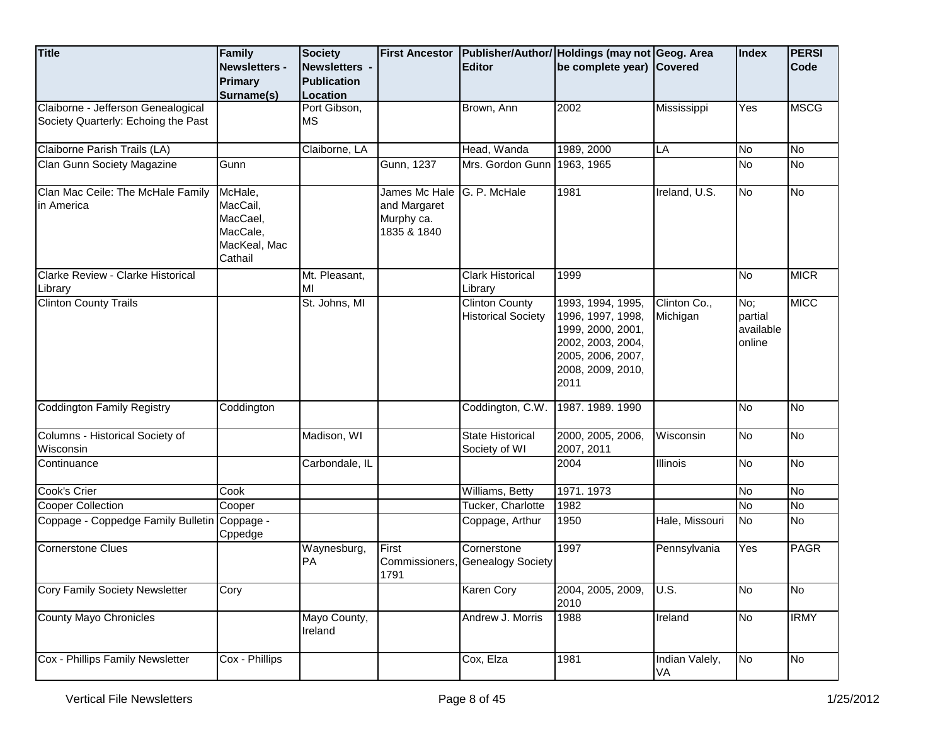| <b>Title</b>                                                              | <b>Family</b><br><b>Newsletters -</b><br>Primary<br>Surname(s)         | <b>Society</b><br>Newsletters -<br><b>Publication</b><br>Location | <b>First Ancestor</b>                                      | <b>Editor</b>                                      | Publisher/Author/ Holdings (may not Geog. Area<br>be complete year) Covered                                                        |                          | Index                                 | <b>PERSI</b><br>Code |
|---------------------------------------------------------------------------|------------------------------------------------------------------------|-------------------------------------------------------------------|------------------------------------------------------------|----------------------------------------------------|------------------------------------------------------------------------------------------------------------------------------------|--------------------------|---------------------------------------|----------------------|
| Claiborne - Jefferson Genealogical<br>Society Quarterly: Echoing the Past |                                                                        | Port Gibson,<br><b>MS</b>                                         |                                                            | Brown, Ann                                         | 2002                                                                                                                               | Mississippi              | Yes                                   | <b>MSCG</b>          |
| Claiborne Parish Trails (LA)                                              |                                                                        | Claiborne, LA                                                     |                                                            | Head, Wanda                                        | 1989, 2000                                                                                                                         | LA                       | <b>No</b>                             | No                   |
| Clan Gunn Society Magazine                                                | Gunn                                                                   |                                                                   | Gunn, 1237                                                 | Mrs. Gordon Gunn 1963, 1965                        |                                                                                                                                    |                          | <b>No</b>                             | No                   |
| Clan Mac Ceile: The McHale Family<br>in America                           | McHale,<br>MacCail,<br>MacCael,<br>MacCale,<br>MacKeal, Mac<br>Cathail |                                                                   | James Mc Hale<br>and Margaret<br>Murphy ca.<br>1835 & 1840 | G. P. McHale                                       | 1981                                                                                                                               | Ireland, U.S.            | ΟN                                    | No                   |
| Clarke Review - Clarke Historical                                         |                                                                        | Mt. Pleasant,                                                     |                                                            | <b>Clark Historical</b>                            | 1999                                                                                                                               |                          | <b>No</b>                             | <b>MICR</b>          |
| Library                                                                   |                                                                        | MI                                                                |                                                            | Library                                            |                                                                                                                                    |                          |                                       |                      |
| <b>Clinton County Trails</b>                                              |                                                                        | St. Johns, MI                                                     |                                                            | <b>Clinton County</b><br><b>Historical Society</b> | 1993, 1994, 1995,<br>1996, 1997, 1998,<br>1999, 2000, 2001,<br>2002, 2003, 2004,<br>2005, 2006, 2007,<br>2008, 2009, 2010,<br>2011 | Clinton Co.,<br>Michigan | No;<br>partial<br>available<br>online | <b>MICC</b>          |
| <b>Coddington Family Registry</b>                                         | Coddington                                                             |                                                                   |                                                            | Coddington, C.W.                                   | 1987. 1989. 1990                                                                                                                   |                          | Μ                                     | <b>No</b>            |
| Columns - Historical Society of<br>Wisconsin                              |                                                                        | Madison, WI                                                       |                                                            | <b>State Historical</b><br>Society of WI           | 2000, 2005, 2006,<br>2007, 2011                                                                                                    | Wisconsin                | <b>No</b>                             | No                   |
| Continuance                                                               |                                                                        | Carbondale, IL                                                    |                                                            |                                                    | 2004                                                                                                                               | <b>Illinois</b>          | <b>No</b>                             | No                   |
| Cook's Crier                                                              | Cook                                                                   |                                                                   |                                                            | Williams, Betty                                    | 1971.1973                                                                                                                          |                          | <b>No</b>                             | No                   |
| <b>Cooper Collection</b>                                                  | Cooper                                                                 |                                                                   |                                                            | Tucker, Charlotte                                  | 1982                                                                                                                               |                          | <b>No</b>                             | No                   |
| Coppage - Coppedge Family Bulletin Coppage -                              | Cppedge                                                                |                                                                   |                                                            | Coppage, Arthur                                    | 1950                                                                                                                               | Hale, Missouri           | <b>No</b>                             | <b>No</b>            |
| Cornerstone Clues                                                         |                                                                        | Waynesburg,<br><b>PA</b>                                          | First<br>Commissioners,<br>1791                            | Cornerstone<br><b>Genealogy Society</b>            | 1997                                                                                                                               | Pennsylvania             | Yes                                   | <b>PAGR</b>          |
| <b>Cory Family Society Newsletter</b>                                     | Cory                                                                   |                                                                   |                                                            | <b>Karen Cory</b>                                  | 2004, 2005, 2009,<br>2010                                                                                                          | U.S.                     | No                                    | No                   |
| <b>County Mayo Chronicles</b>                                             |                                                                        | Mayo County,<br>Ireland                                           |                                                            | Andrew J. Morris                                   | 1988                                                                                                                               | Ireland                  | No                                    | <b>IRMY</b>          |
| Cox - Phillips Family Newsletter                                          | Cox - Phillips                                                         |                                                                   |                                                            | Cox, Elza                                          | 1981                                                                                                                               | Indian Valely,<br>VA     | No                                    | No                   |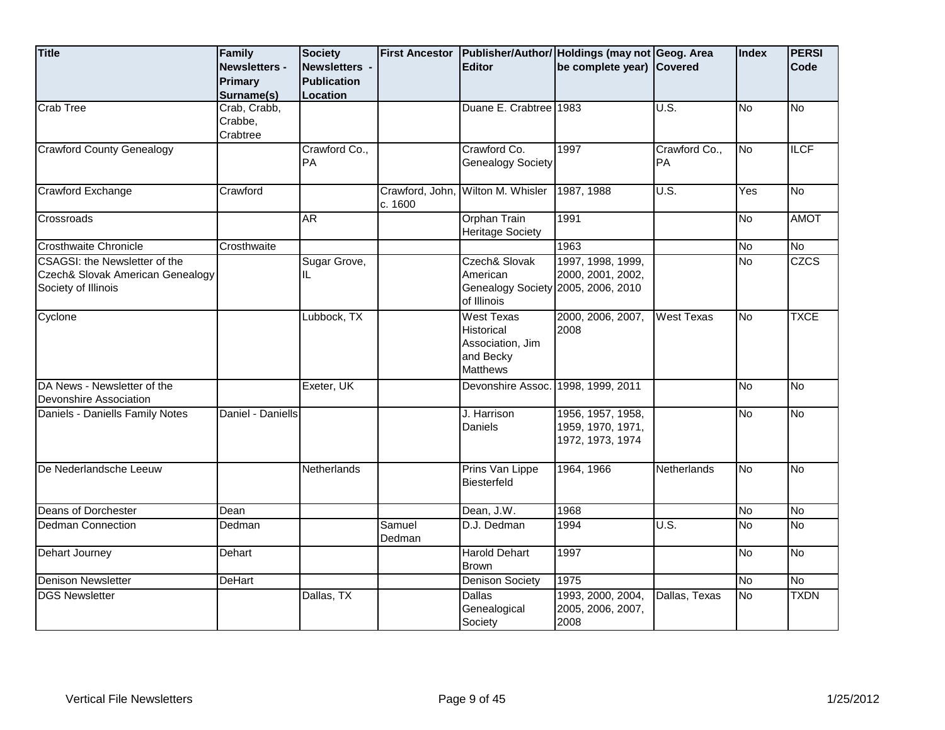| <b>Title</b>                                                                                    | Family<br>Newsletters -<br>Primary<br>Surname(s) | <b>Society</b><br>Newsletters -<br><b>Publication</b><br>Location | <b>First Ancestor</b>      | <b>Editor</b>                                                                              | Publisher/Author/ Holdings (may not Geog. Area<br>be complete year) Covered |                            | <b>Index</b> | <b>PERSI</b><br>Code |
|-------------------------------------------------------------------------------------------------|--------------------------------------------------|-------------------------------------------------------------------|----------------------------|--------------------------------------------------------------------------------------------|-----------------------------------------------------------------------------|----------------------------|--------------|----------------------|
| <b>Crab Tree</b>                                                                                | Crab, Crabb,<br>Crabbe,<br>Crabtree              |                                                                   |                            | Duane E. Crabtree 1983                                                                     |                                                                             | U.S.                       | <b>No</b>    | <b>No</b>            |
| <b>Crawford County Genealogy</b>                                                                |                                                  | Crawford Co.,<br>PA                                               |                            | Crawford Co.<br><b>Genealogy Society</b>                                                   | 1997                                                                        | Crawford Co.,<br><b>PA</b> | No           | <b>ILCF</b>          |
| Crawford Exchange                                                                               | Crawford                                         |                                                                   | Crawford, John,<br>c. 1600 | Wilton M. Whisler                                                                          | 1987, 1988                                                                  | U.S.                       | Yes          | No                   |
| Crossroads                                                                                      |                                                  | <b>AR</b>                                                         |                            | <b>Orphan Train</b><br><b>Heritage Society</b>                                             | 1991                                                                        |                            | No           | <b>AMOT</b>          |
| <b>Crosthwaite Chronicle</b>                                                                    | Crosthwaite                                      |                                                                   |                            |                                                                                            | 1963                                                                        |                            | No           | <b>No</b>            |
| <b>CSAGSI: the Newsletter of the</b><br>Czech& Slovak American Genealogy<br>Society of Illinois |                                                  | Sugar Grove,<br>IL                                                |                            | Czech& Slovak<br>American<br>Genealogy Society 2005, 2006, 2010<br>of Illinois             | 1997, 1998, 1999,<br>2000, 2001, 2002,                                      |                            | <b>No</b>    | <b>CZCS</b>          |
| Cyclone                                                                                         |                                                  | Lubbock, TX                                                       |                            | <b>West Texas</b><br><b>Historical</b><br>Association, Jim<br>and Becky<br><b>Matthews</b> | 2000, 2006, 2007,<br>2008                                                   | <b>West Texas</b>          | No           | <b>TXCE</b>          |
| DA News - Newsletter of the<br>Devonshire Association                                           |                                                  | Exeter, UK                                                        |                            | Devonshire Assoc.                                                                          | 1998, 1999, 2011                                                            |                            | <b>No</b>    | δ                    |
| Daniels - Daniells Family Notes                                                                 | Daniel - Daniells                                |                                                                   |                            | J. Harrison<br>Daniels                                                                     | 1956, 1957, 1958,<br>1959, 1970, 1971,<br>1972, 1973, 1974                  |                            | No           | <b>No</b>            |
| De Nederlandsche Leeuw                                                                          |                                                  | <b>Netherlands</b>                                                |                            | Prins Van Lippe<br><b>Biesterfeld</b>                                                      | 1964, 1966                                                                  | <b>Netherlands</b>         | No           | <b>No</b>            |
| Deans of Dorchester                                                                             | Dean                                             |                                                                   |                            | Dean, J.W.                                                                                 | 1968                                                                        |                            | No           | <b>No</b>            |
| Dedman Connection                                                                               | Dedman                                           |                                                                   | Samuel<br>Dedman           | D.J. Dedman                                                                                | 1994                                                                        | U.S.                       | <b>No</b>    | $\overline{N}$       |
| Dehart Journey                                                                                  | Dehart                                           |                                                                   |                            | <b>Harold Dehart</b><br><b>Brown</b>                                                       | 1997                                                                        |                            | No           | <b>No</b>            |
| <b>Denison Newsletter</b>                                                                       | DeHart                                           |                                                                   |                            | <b>Denison Society</b>                                                                     | 1975                                                                        |                            | No           | N <sub>o</sub>       |
| <b>DGS Newsletter</b>                                                                           |                                                  | Dallas, TX                                                        |                            | <b>Dallas</b><br>Genealogical<br>Society                                                   | 1993, 2000, 2004,<br>2005, 2006, 2007,<br>2008                              | Dallas, Texas              | <b>No</b>    | <b>TXDN</b>          |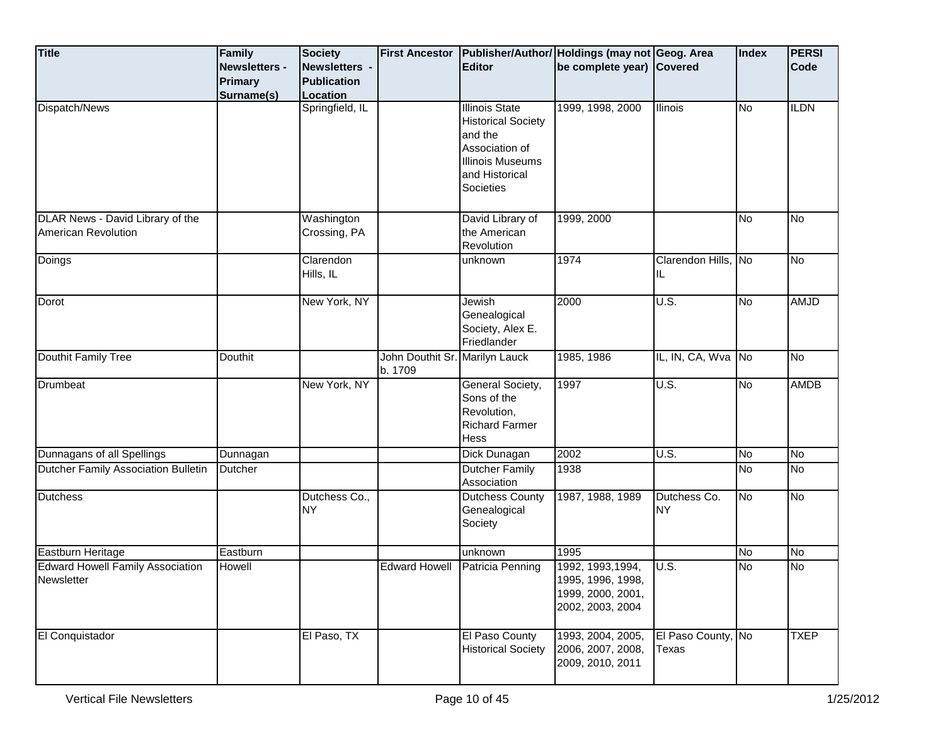| <b>Title</b>                                                   | Family<br><b>Newsletters -</b><br><b>Primary</b><br>Surname(s) | <b>Society</b><br>Newsletters -<br><b>Publication</b><br>Location | <b>First Ancestor</b>                     | <b>Editor</b>                                                                                                                      | Publisher/Author/ Holdings (may not Geog. Area<br>be complete year) Covered     |                             | Index     | <b>PERSI</b><br>Code |
|----------------------------------------------------------------|----------------------------------------------------------------|-------------------------------------------------------------------|-------------------------------------------|------------------------------------------------------------------------------------------------------------------------------------|---------------------------------------------------------------------------------|-----------------------------|-----------|----------------------|
| Dispatch/News                                                  |                                                                | Springfield, IL                                                   |                                           | <b>Illinois State</b><br><b>Historical Society</b><br>and the<br>Association of<br>Illinois Museums<br>and Historical<br>Societies | 1999, 1998, 2000                                                                | Ilinois                     | <b>No</b> | <b>ILDN</b>          |
| DLAR News - David Library of the<br><b>American Revolution</b> |                                                                | Washington<br>Crossing, PA                                        |                                           | David Library of<br>the American<br>Revolution                                                                                     | 1999, 2000                                                                      |                             | <b>No</b> | <b>No</b>            |
| Doings                                                         |                                                                | Clarendon<br>Hills, IL                                            |                                           | unknown                                                                                                                            | 1974                                                                            | Clarendon Hills, No<br>IL   |           | No                   |
| Dorot                                                          |                                                                | New York, NY                                                      |                                           | Jewish<br>Genealogical<br>Society, Alex E.<br>Friedlander                                                                          | 2000                                                                            | U.S.                        | No        | <b>AMJD</b>          |
| Douthit Family Tree                                            | Douthit                                                        |                                                                   | John Douthit Sr. Marilyn Lauck<br>b. 1709 |                                                                                                                                    | 1985, 1986                                                                      | IL, IN, CA, Wva No          |           | No                   |
| Drumbeat                                                       |                                                                | New York, NY                                                      |                                           | General Society,<br>Sons of the<br>Revolution,<br><b>Richard Farmer</b><br>Hess                                                    | 1997                                                                            | U.S.                        | No        | <b>AMDB</b>          |
| Dunnagans of all Spellings                                     | Dunnagan                                                       |                                                                   |                                           | Dick Dunagan                                                                                                                       | 2002                                                                            | U.S.                        | <b>No</b> | No                   |
| Dutcher Family Association Bulletin                            | Dutcher                                                        |                                                                   |                                           | <b>Dutcher Family</b><br>Association                                                                                               | 1938                                                                            |                             | <b>No</b> | No                   |
| <b>Dutchess</b>                                                |                                                                | Dutchess Co.,<br><b>NY</b>                                        |                                           | Dutchess County<br>Genealogical<br>Society                                                                                         | 1987, 1988, 1989                                                                | Dutchess Co.<br><b>NY</b>   | Μo        | No                   |
| Eastburn Heritage                                              | Eastburn                                                       |                                                                   |                                           | unknown                                                                                                                            | 1995                                                                            |                             | <b>No</b> | <b>No</b>            |
| <b>Edward Howell Family Association</b><br>Newsletter          | Howell                                                         |                                                                   | <b>Edward Howell</b>                      | Patricia Penning                                                                                                                   | 1992, 1993, 1994,<br>1995, 1996, 1998,<br>1999, 2000, 2001,<br>2002, 2003, 2004 | U.S.                        | <b>No</b> | No                   |
| El Conquistador                                                |                                                                | El Paso, TX                                                       |                                           | El Paso County<br><b>Historical Society</b>                                                                                        | 1993, 2004, 2005,<br>2006, 2007, 2008,<br>2009, 2010, 2011                      | El Paso County, No<br>Texas |           | <b>TXEP</b>          |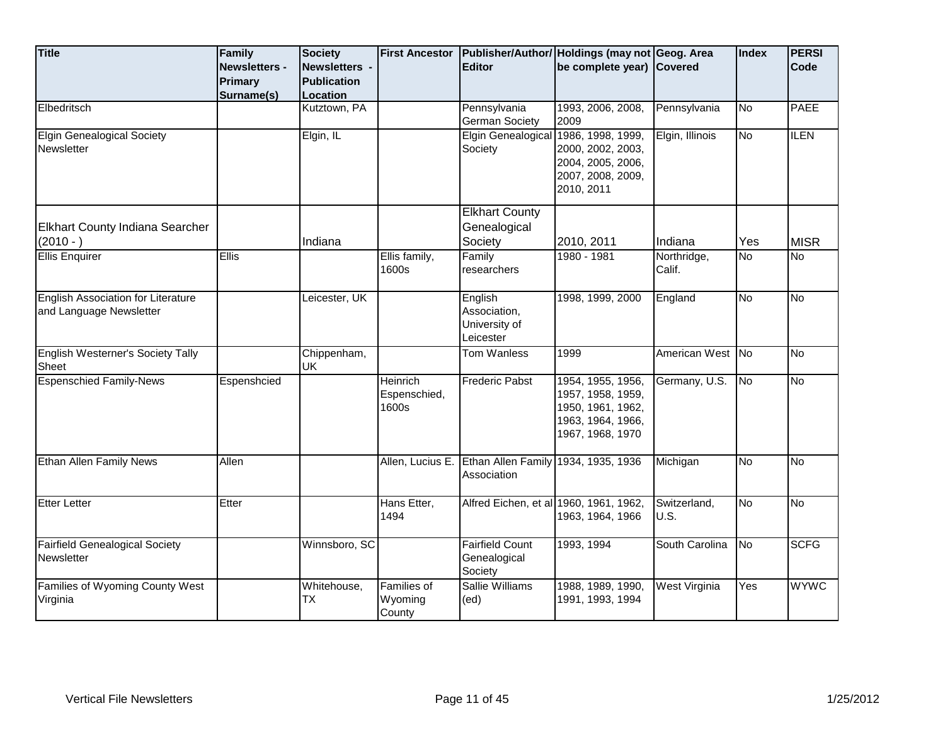| <b>Title</b>                                                         | Family<br>Newsletters - | <b>Society</b><br>Newsletters - | <b>First Ancestor</b>             | <b>Editor</b>                                         | Publisher/Author/ Holdings (may not Geog. Area<br>be complete year) Covered                          |                       | Index     | <b>PERSI</b><br>Code |
|----------------------------------------------------------------------|-------------------------|---------------------------------|-----------------------------------|-------------------------------------------------------|------------------------------------------------------------------------------------------------------|-----------------------|-----------|----------------------|
|                                                                      | Primary                 | <b>Publication</b>              |                                   |                                                       |                                                                                                      |                       |           |                      |
|                                                                      | Surname(s)              | Location                        |                                   |                                                       |                                                                                                      |                       |           |                      |
| Elbedritsch                                                          |                         | Kutztown, PA                    |                                   | Pennsylvania                                          | 1993, 2006, 2008,                                                                                    | Pennsylvania          | <b>No</b> | <b>PAEE</b>          |
|                                                                      |                         |                                 |                                   | <b>German Society</b>                                 | 2009                                                                                                 |                       |           |                      |
| <b>Elgin Genealogical Society</b><br>Newsletter                      |                         | Elgin, IL                       |                                   | Elgin Genealogical<br>Society                         | 1986, 1998, 1999,<br>2000, 2002, 2003,<br>2004, 2005, 2006,<br>2007, 2008, 2009,<br>2010, 2011       | Elgin, Illinois       | No        | <b>ILEN</b>          |
|                                                                      |                         |                                 |                                   | <b>Elkhart County</b>                                 |                                                                                                      |                       |           |                      |
| Elkhart County Indiana Searcher                                      |                         |                                 |                                   | Genealogical                                          |                                                                                                      |                       |           |                      |
| $(2010 - )$                                                          |                         | Indiana                         |                                   | Society                                               | 2010, 2011                                                                                           | Indiana               | Yes       | <b>MISR</b>          |
| <b>Ellis Enquirer</b>                                                | <b>Ellis</b>            |                                 | Ellis family,<br>1600s            | Family<br>researchers                                 | 1980 - 1981                                                                                          | Northridge,<br>Calif. | No        | $\overline{N_{0}}$   |
| <b>English Association for Literature</b><br>and Language Newsletter |                         | Leicester, UK                   |                                   | English<br>Association,<br>University of<br>Leicester | 1998, 1999, 2000                                                                                     | England               | No        | <b>No</b>            |
| <b>English Westerner's Society Tally</b><br>Sheet                    |                         | Chippenham,<br>UK               |                                   | Tom Wanless                                           | 1999                                                                                                 | American West No      |           | <b>No</b>            |
| <b>Espenschied Family-News</b>                                       | Espenshcied             |                                 | Heinrich<br>Espenschied,<br>1600s | <b>Frederic Pabst</b>                                 | 1954, 1955, 1956,<br>1957, 1958, 1959,<br>1950, 1961, 1962,<br>1963, 1964, 1966,<br>1967, 1968, 1970 | Germany, U.S.         | <b>No</b> | No                   |
| Ethan Allen Family News                                              | Allen                   |                                 |                                   | Allen, Lucius E. Ethan Allen Family<br>Association    | 1934, 1935, 1936                                                                                     | Michigan              | No        | <b>No</b>            |
| <b>Etter Letter</b>                                                  | Etter                   |                                 | Hans Etter,<br>1494               | Alfred Eichen, et al 1960, 1961, 1962,                | 1963, 1964, 1966                                                                                     | Switzerland,<br>U.S.  | No        | No                   |
| <b>Fairfield Genealogical Society</b><br>Newsletter                  |                         | Winnsboro, SC                   |                                   | <b>Fairfield Count</b><br>Genealogical<br>Society     | 1993, 1994                                                                                           | South Carolina        | No        | <b>SCFG</b>          |
| Families of Wyoming County West<br>Virginia                          |                         | Whitehouse,<br><b>TX</b>        | Families of<br>Wyoming<br>County  | <b>Sallie Williams</b><br>(ed)                        | 1988, 1989, 1990,<br>1991, 1993, 1994                                                                | West Virginia         | Yes       | <b>WYWC</b>          |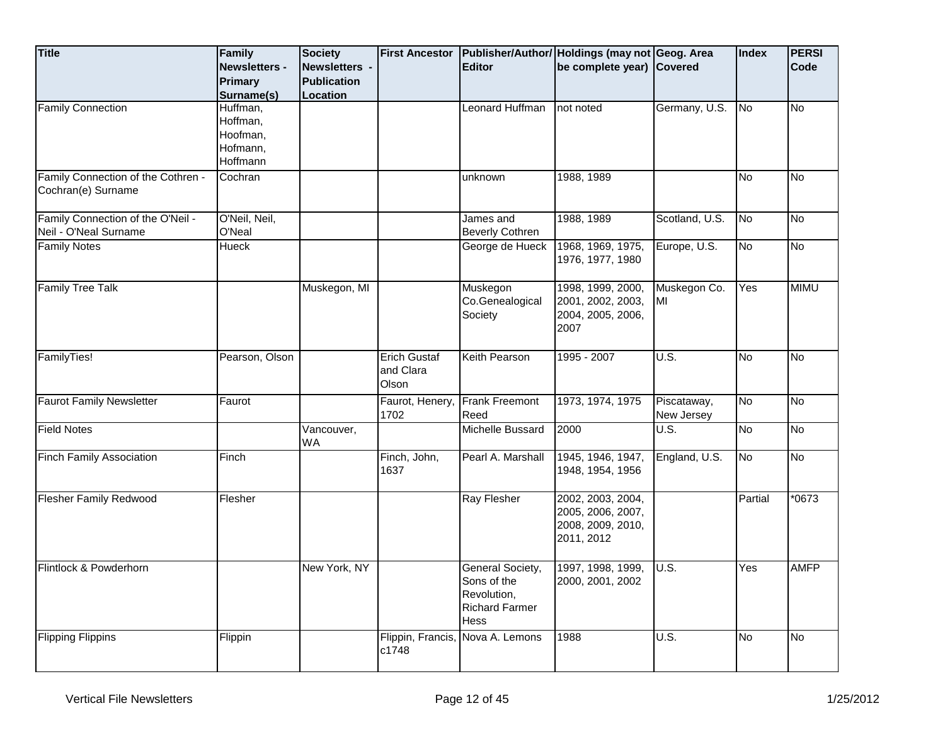| <b>Title</b>                                               | Family<br><b>Newsletters -</b><br><b>Primary</b>         | <b>Society</b><br>Newsletters -<br><b>Publication</b> | <b>First Ancestor</b>                     | <b>Editor</b>                                                                          | Publisher/Author/ Holdings (may not Geog. Area<br>be complete year) Covered |                                     | Index                  | <b>PERSI</b><br>Code |
|------------------------------------------------------------|----------------------------------------------------------|-------------------------------------------------------|-------------------------------------------|----------------------------------------------------------------------------------------|-----------------------------------------------------------------------------|-------------------------------------|------------------------|----------------------|
|                                                            | Surname(s)                                               | Location                                              |                                           |                                                                                        |                                                                             |                                     |                        |                      |
| <b>Family Connection</b>                                   | Huffman,<br>Hoffman,<br>Hoofman,<br>Hofmann,<br>Hoffmann |                                                       |                                           | Leonard Huffman                                                                        | not noted                                                                   | Germany, U.S.                       | No                     | <b>No</b>            |
| Family Connection of the Cothren -<br>Cochran(e) Surname   | Cochran                                                  |                                                       |                                           | unknown                                                                                | 1988, 1989                                                                  |                                     | <b>No</b>              | <b>No</b>            |
| Family Connection of the O'Neil -<br>Neil - O'Neal Surname | O'Neil, Neil,<br>O'Neal                                  |                                                       |                                           | James and<br><b>Beverly Cothren</b>                                                    | 1988, 1989                                                                  | Scotland, U.S.                      | <b>No</b>              | <b>No</b>            |
| <b>Family Notes</b>                                        | Hueck                                                    |                                                       |                                           | George de Hueck                                                                        | 1968, 1969, 1975,<br>1976, 1977, 1980                                       | Europe, U.S.                        | <b>No</b>              | <b>No</b>            |
| <b>Family Tree Talk</b>                                    |                                                          | Muskegon, MI                                          |                                           | Muskegon<br>Co.Genealogical<br>Society                                                 | 1998, 1999, 2000,<br>2001, 2002, 2003,<br>2004, 2005, 2006,<br>2007         | Muskegon Co.<br>MI                  | Yes                    | <b>MIMU</b>          |
| FamilyTies!                                                | Pearson, Olson                                           |                                                       | <b>Erich Gustaf</b><br>and Clara<br>Olson | <b>Keith Pearson</b>                                                                   | 1995 - 2007                                                                 | U.S.                                | <b>No</b>              | No                   |
| <b>Faurot Family Newsletter</b>                            | Faurot                                                   |                                                       | Faurot, Henery,<br>1702                   | <b>Frank Freemont</b><br>Reed                                                          | 1973, 1974, 1975                                                            | Piscataway,<br>New Jersey           | No                     | No                   |
| <b>Field Notes</b>                                         |                                                          | Vancouver,<br><b>WA</b>                               |                                           | Michelle Bussard                                                                       | 2000                                                                        | $\overline{\mathsf{U}.\mathsf{S}.}$ | <b>No</b>              | No                   |
| Finch Family Association                                   | Finch                                                    |                                                       | Finch, John,<br>1637                      | Pearl A. Marshall                                                                      | 1945, 1946, 1947,<br>1948, 1954, 1956                                       | England, U.S.                       | $\overline{\text{No}}$ | No                   |
| Flesher Family Redwood                                     | Flesher                                                  |                                                       |                                           | Ray Flesher                                                                            | 2002, 2003, 2004,<br>2005, 2006, 2007,<br>2008, 2009, 2010,<br>2011, 2012   |                                     | Partial                | $*0673$              |
| Flintlock & Powderhorn                                     |                                                          | New York, NY                                          |                                           | General Society,<br>Sons of the<br>Revolution,<br><b>Richard Farmer</b><br><b>Hess</b> | 1997, 1998, 1999,<br>2000, 2001, 2002                                       | U.S.                                | Yes                    | <b>AMFP</b>          |
| <b>Flipping Flippins</b>                                   | Flippin                                                  |                                                       | c1748                                     | Flippin, Francis, Nova A. Lemons                                                       | 1988                                                                        | U.S.                                | No                     | No                   |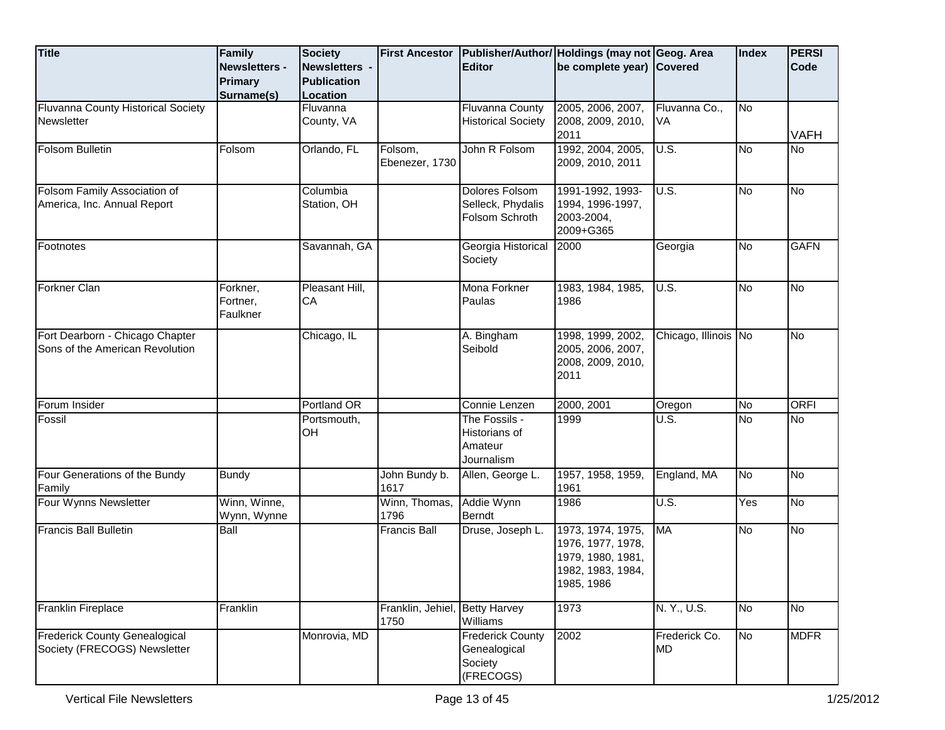| <b>Title</b>                                                         | Family<br><b>Newsletters -</b>   | <b>Society</b><br>Newsletters - | <b>First Ancestor</b>     | <b>Editor</b>                                                   | Publisher/Author/ Holdings (may not Geog. Area<br>be complete year) Covered                    |                       | Index | <b>PERSI</b><br><b>Code</b> |
|----------------------------------------------------------------------|----------------------------------|---------------------------------|---------------------------|-----------------------------------------------------------------|------------------------------------------------------------------------------------------------|-----------------------|-------|-----------------------------|
|                                                                      | <b>Primary</b><br>Surname(s)     | <b>Publication</b><br>Location  |                           |                                                                 |                                                                                                |                       |       |                             |
| Fluvanna County Historical Society<br><b>Newsletter</b>              |                                  | Fluvanna<br>County, VA          |                           | <b>Fluvanna County</b><br><b>Historical Society</b>             | 2005, 2006, 2007,<br>2008, 2009, 2010,<br>2011                                                 | Fluvanna Co.,<br>IVA. | No    | <b>VAFH</b>                 |
| Folsom Bulletin                                                      | Folsom                           | Orlando, FL                     | Folsom,<br>Ebenezer, 1730 | John R Folsom                                                   | 1992, 2004, 2005,<br>2009, 2010, 2011                                                          | U.S.                  | No    | <b>No</b>                   |
| Folsom Family Association of<br>America, Inc. Annual Report          |                                  | Columbia<br>Station, OH         |                           | <b>Dolores Folsom</b><br>Selleck, Phydalis<br>Folsom Schroth    | 1991-1992, 1993-<br>1994, 1996-1997,<br>2003-2004,<br>2009+G365                                | U.S.                  | No.   | No                          |
| Footnotes                                                            |                                  | Savannah, GA                    |                           | Georgia Historical<br>Society                                   | 2000                                                                                           | Georgia               | No    | <b>GAFN</b>                 |
| Forkner Clan                                                         | Forkner,<br>Fortner,<br>Faulkner | Pleasant Hill,<br>CA            |                           | Mona Forkner<br>Paulas                                          | 1983, 1984, 1985,<br>1986                                                                      | U.S.                  | No    | <b>No</b>                   |
| Fort Dearborn - Chicago Chapter<br>Sons of the American Revolution   |                                  | Chicago, IL                     |                           | A. Bingham<br>Seibold                                           | 1998, 1999, 2002,<br>2005, 2006, 2007,<br>2008, 2009, 2010,<br>2011                            | Chicago, Illinois No  |       | No                          |
| Forum Insider                                                        |                                  | Portland OR                     |                           | Connie Lenzen                                                   | 2000, 2001                                                                                     | Oregon                | No    | <b>ORFI</b>                 |
| Fossil                                                               |                                  | Portsmouth,<br>OH               |                           | The Fossils -<br>Historians of<br>Amateur<br>Journalism         | 1999                                                                                           | U.S.                  | No.   | <b>No</b>                   |
| Four Generations of the Bundy<br>Family                              | <b>Bundy</b>                     |                                 | John Bundy b.<br>1617     | Allen, George L.                                                | 1957, 1958, 1959,<br>1961                                                                      | England, MA           | No    | No                          |
| Four Wynns Newsletter                                                | Winn, Winne,<br>Wynn, Wynne      |                                 | Winn, Thomas,<br>1796     | Addie Wynn<br>Berndt                                            | 1986                                                                                           | U.S.                  | Yes   | <b>No</b>                   |
| <b>Francis Ball Bulletin</b>                                         | Ball                             |                                 | <b>Francis Ball</b>       | Druse, Joseph L.                                                | 1973, 1974, 1975,<br>1976, 1977, 1978,<br>1979, 1980, 1981,<br>1982, 1983, 1984,<br>1985, 1986 | MA                    | No.   | <b>No</b>                   |
| <b>Franklin Fireplace</b>                                            | Franklin                         |                                 | Franklin, Jehiel,<br>1750 | <b>Betty Harvey</b><br>Williams                                 | 1973                                                                                           | N. Y., U.S.           | No    | No                          |
| <b>Frederick County Genealogical</b><br>Society (FRECOGS) Newsletter |                                  | Monrovia, MD                    |                           | <b>Frederick County</b><br>Genealogical<br>Society<br>(FRECOGS) | 2002                                                                                           | Frederick Co.<br>MD.  | No    | <b>MDFR</b>                 |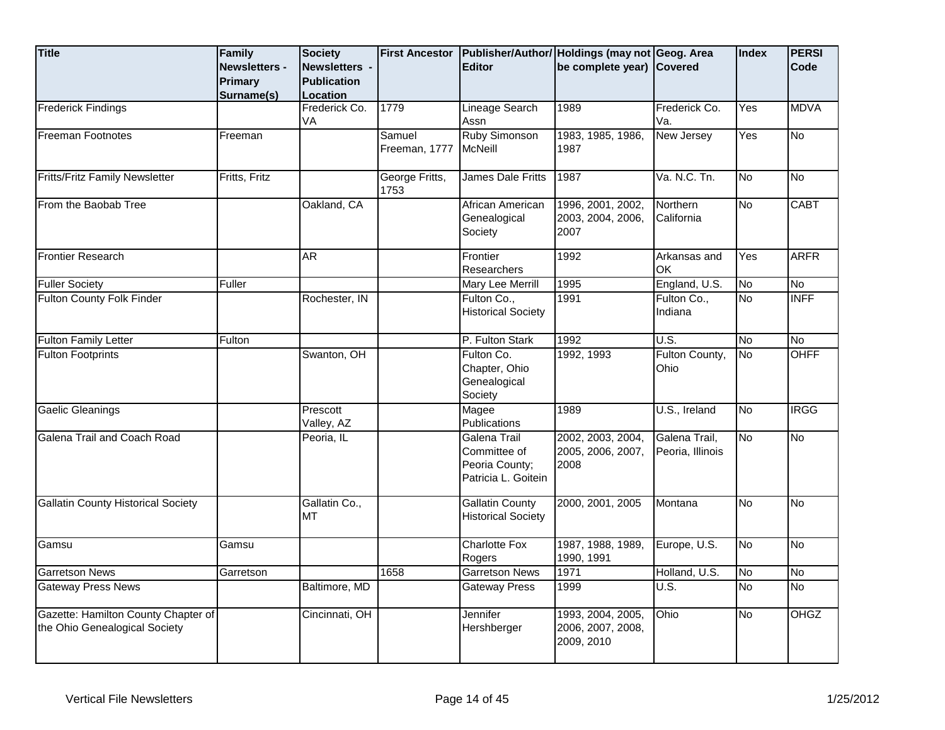| <b>Title</b>                                                         | Family<br><b>Newsletters -</b><br><b>Primary</b><br>Surname(s) | <b>Society</b><br>Newsletters -<br><b>Publication</b><br>Location | <b>First Ancestor</b>   | <b>Editor</b>                                                         | Publisher/Author/ Holdings (may not Geog. Area<br>be complete year) Covered |                                   | Index     | <b>PERSI</b><br><b>Code</b> |
|----------------------------------------------------------------------|----------------------------------------------------------------|-------------------------------------------------------------------|-------------------------|-----------------------------------------------------------------------|-----------------------------------------------------------------------------|-----------------------------------|-----------|-----------------------------|
| <b>Frederick Findings</b>                                            |                                                                | Frederick Co.<br>VA                                               | 1779                    | <b>Lineage Search</b><br>Assn                                         | 1989                                                                        | Frederick Co.<br>Va.              | Yes       | <b>MDVA</b>                 |
| <b>Freeman Footnotes</b>                                             | Freeman                                                        |                                                                   | Samuel<br>Freeman, 1777 | Ruby Simonson<br><b>I</b> McNeill                                     | 1983, 1985, 1986,<br>1987                                                   | New Jersey                        | Yes       | No                          |
| <b>Fritts/Fritz Family Newsletter</b>                                | Fritts, Fritz                                                  |                                                                   | George Fritts,<br>1753  | James Dale Fritts                                                     | 1987                                                                        | Va. N.C. Tn.                      | No        | No                          |
| From the Baobab Tree                                                 |                                                                | Oakland, CA                                                       |                         | African American<br>Genealogical<br>Society                           | 1996, 2001, 2002,<br>2003, 2004, 2006,<br>2007                              | Northern<br>California            | δ         | <b>CABT</b>                 |
| <b>Frontier Research</b>                                             |                                                                | <b>AR</b>                                                         |                         | Frontier<br>Researchers                                               | 1992                                                                        | Arkansas and<br>OK                | Yes       | <b>ARFR</b>                 |
| <b>Fuller Society</b>                                                | Fuller                                                         |                                                                   |                         | Mary Lee Merrill                                                      | 1995                                                                        | England, U.S.                     | No        | No                          |
| <b>Fulton County Folk Finder</b>                                     |                                                                | Rochester, IN                                                     |                         | Fulton Co.,<br><b>Historical Society</b>                              | 1991                                                                        | Fulton Co.,<br>Indiana            | No        | <b>INFF</b>                 |
| <b>Fulton Family Letter</b>                                          | Fulton                                                         |                                                                   |                         | P. Fulton Stark                                                       | 1992                                                                        | U.S.                              | No        | <b>No</b>                   |
| <b>Fulton Footprints</b>                                             |                                                                | Swanton, OH                                                       |                         | Fulton Co.<br>Chapter, Ohio<br>Genealogical<br>Society                | 1992, 1993                                                                  | Fulton County,<br>Ohio            | No        | OHFF                        |
| Gaelic Gleanings                                                     |                                                                | Prescott<br>Valley, AZ                                            |                         | Magee<br>Publications                                                 | 1989                                                                        | U.S., Ireland                     | No        | <b>IRGG</b>                 |
| Galena Trail and Coach Road                                          |                                                                | Peoria, IL                                                        |                         | Galena Trail<br>Committee of<br>Peoria County;<br>Patricia L. Goitein | 2002, 2003, 2004,<br>2005, 2006, 2007,<br>2008                              | Galena Trail,<br>Peoria, Illinois | No        | <b>No</b>                   |
| <b>Gallatin County Historical Society</b>                            |                                                                | Gallatin Co.,<br><b>MT</b>                                        |                         | <b>Gallatin County</b><br><b>Historical Society</b>                   | 2000, 2001, 2005                                                            | Montana                           | <b>No</b> | No                          |
| Gamsu                                                                | Gamsu                                                          |                                                                   |                         | <b>Charlotte Fox</b><br>Rogers                                        | 1987, 1988, 1989,<br>1990, 1991                                             | Europe, U.S.                      | No        | No                          |
| <b>Garretson News</b>                                                | Garretson                                                      |                                                                   | 1658                    | <b>Garretson News</b>                                                 | 1971                                                                        | Holland, U.S.                     | No        | No                          |
| <b>Gateway Press News</b>                                            |                                                                | Baltimore, MD                                                     |                         | <b>Gateway Press</b>                                                  | 1999                                                                        | U.S.                              | δ         | No                          |
| Gazette: Hamilton County Chapter of<br>the Ohio Genealogical Society |                                                                | Cincinnati, OH                                                    |                         | Jennifer<br>Hershberger                                               | 1993, 2004, 2005,<br>2006, 2007, 2008,<br>2009, 2010                        | Ohio                              | No        | <b>OHGZ</b>                 |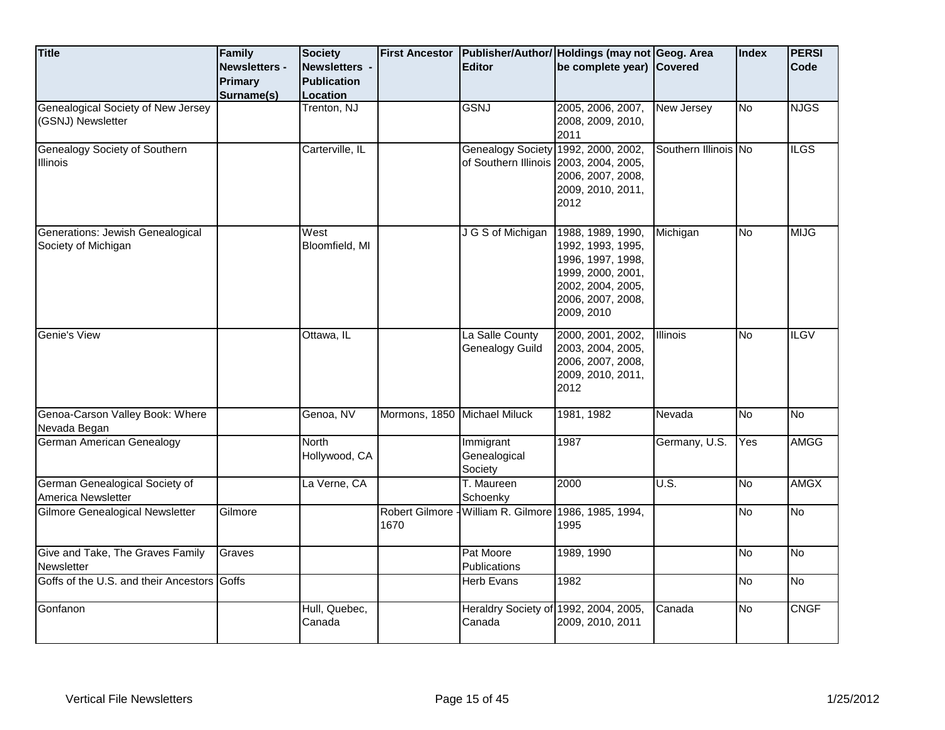| <b>Title</b>                                            | Family<br><b>Newsletters -</b> | <b>Society</b><br>Newsletters -<br><b>Publication</b> | <b>First Ancestor</b>         | <b>Editor</b>                                                                 | Publisher/Author/ Holdings (may not Geog. Area<br>be complete year) Covered                                                              |                      | Index     | <b>PERSI</b><br>Code |
|---------------------------------------------------------|--------------------------------|-------------------------------------------------------|-------------------------------|-------------------------------------------------------------------------------|------------------------------------------------------------------------------------------------------------------------------------------|----------------------|-----------|----------------------|
|                                                         | Primary<br>Surname(s)          | Location                                              |                               |                                                                               |                                                                                                                                          |                      |           |                      |
| Genealogical Society of New Jersey<br>(GSNJ) Newsletter |                                | Trenton, NJ                                           |                               | <b>GSNJ</b>                                                                   | 2005, 2006, 2007,<br>2008, 2009, 2010,<br>2011                                                                                           | New Jersey           | No        | <b>NJGS</b>          |
| Genealogy Society of Southern<br><b>Illinois</b>        |                                | Carterville, IL                                       |                               | Genealogy Society 1992, 2000, 2002,<br>of Southern Illinois 2003, 2004, 2005, | 2006, 2007, 2008,<br>2009, 2010, 2011,<br>2012                                                                                           | Southern Illinois No |           | <b>ILGS</b>          |
| Generations: Jewish Genealogical<br>Society of Michigan |                                | West<br>Bloomfield, MI                                |                               | J G S of Michigan                                                             | 1988, 1989, 1990,<br>1992, 1993, 1995,<br>1996, 1997, 1998,<br>1999, 2000, 2001,<br>2002, 2004, 2005,<br>2006, 2007, 2008,<br>2009, 2010 | Michigan             | <b>No</b> | <b>MIJG</b>          |
| Genie's View                                            |                                | Ottawa, IL                                            |                               | La Salle County<br>Genealogy Guild                                            | 2000, 2001, 2002,<br>2003, 2004, 2005,<br>2006, 2007, 2008,<br>2009, 2010, 2011,<br>2012                                                 | <b>Illinois</b>      | <b>No</b> | <b>ILGV</b>          |
| Genoa-Carson Valley Book: Where<br>Nevada Began         |                                | Genoa, NV                                             | Mormons, 1850 Michael Miluck  |                                                                               | 1981, 1982                                                                                                                               | Nevada               | <b>No</b> | δ                    |
| German American Genealogy                               |                                | <b>North</b><br>Hollywood, CA                         |                               | Immigrant<br>Genealogical<br>Society                                          | 1987                                                                                                                                     | Germany, U.S.        | Yes       | <b>AMGG</b>          |
| German Genealogical Society of<br>America Newsletter    |                                | La Verne, CA                                          |                               | T. Maureen<br>Schoenky                                                        | 2000                                                                                                                                     | <b>U.S.</b>          | No        | <b>AMGX</b>          |
| Gilmore Genealogical Newsletter                         | Gilmore                        |                                                       | <b>Robert Gilmore</b><br>1670 | William R. Gilmore 1986, 1985, 1994,                                          | 1995                                                                                                                                     |                      | No        | No                   |
| Give and Take, The Graves Family<br>Newsletter          | Graves                         |                                                       |                               | Pat Moore<br>Publications                                                     | 1989, 1990                                                                                                                               |                      | <b>No</b> | $\overline{No}$      |
| Goffs of the U.S. and their Ancestors Goffs             |                                |                                                       |                               | Herb Evans                                                                    | 1982                                                                                                                                     |                      | <b>No</b> | $\overline{No}$      |
| Gonfanon                                                |                                | Hull, Quebec,<br>Canada                               |                               | Heraldry Society of 1992, 2004, 2005,<br>Canada                               | 2009, 2010, 2011                                                                                                                         | Canada               | <b>No</b> | <b>CNGF</b>          |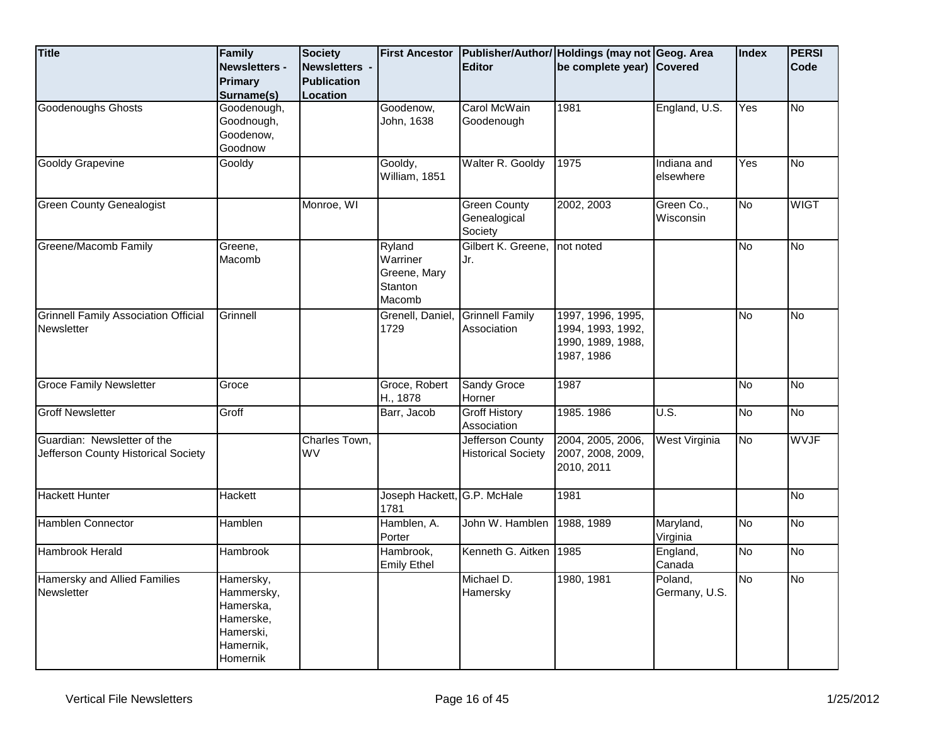| <b>Title</b>                                                       | Family<br><b>Newsletters -</b><br><b>Primary</b><br>Surname(s)                          | <b>Society</b><br><b>Newsletters -</b><br><b>Publication</b><br>Location | <b>First Ancestor</b>                                   | <b>Editor</b>                                  | Publisher/Author/ Holdings (may not Geog. Area<br>be complete year) Covered |                          | Index     | <b>PERSI</b><br>Code |
|--------------------------------------------------------------------|-----------------------------------------------------------------------------------------|--------------------------------------------------------------------------|---------------------------------------------------------|------------------------------------------------|-----------------------------------------------------------------------------|--------------------------|-----------|----------------------|
| <b>Goodenoughs Ghosts</b>                                          | Goodenough,<br>Goodnough,<br>Goodenow,<br>Goodnow                                       |                                                                          | Goodenow,<br>John, 1638                                 | Carol McWain<br>Goodenough                     | 1981                                                                        | England, U.S.            | Yes       | No                   |
| <b>Gooldy Grapevine</b>                                            | Gooldy                                                                                  |                                                                          | Gooldy,<br>William, 1851                                | Walter R. Gooldy                               | 1975                                                                        | Indiana and<br>elsewhere | Yes       | <u>ν</u>             |
| <b>Green County Genealogist</b>                                    |                                                                                         | Monroe, WI                                                               |                                                         | <b>Green County</b><br>Genealogical<br>Society | 2002, 2003                                                                  | Green Co.,<br>Wisconsin  | <b>No</b> | <b>WIGT</b>          |
| Greene/Macomb Family                                               | Greene.<br>Macomb                                                                       |                                                                          | Ryland<br>Warriner<br>Greene, Mary<br>Stanton<br>Macomb | Gilbert K. Greene,<br>Jr.                      | not noted                                                                   |                          | <b>No</b> | δ                    |
| <b>Grinnell Family Association Official</b><br>Newsletter          | Grinnell                                                                                |                                                                          | Grenell, Daniel,<br>1729                                | <b>Grinnell Family</b><br>Association          | 1997, 1996, 1995,<br>1994, 1993, 1992,<br>1990, 1989, 1988,<br>1987, 1986   |                          | No        | <b>No</b>            |
| <b>Groce Family Newsletter</b>                                     | Groce                                                                                   |                                                                          | Groce, Robert<br>H., 1878                               | <b>Sandy Groce</b><br>Horner                   | 1987                                                                        |                          | No        | No                   |
| <b>Groff Newsletter</b>                                            | Groff                                                                                   |                                                                          | Barr, Jacob                                             | <b>Groff History</b><br>Association            | 1985. 1986                                                                  | $\overline{U.S.}$        | No        | No                   |
| Guardian: Newsletter of the<br>Jefferson County Historical Society |                                                                                         | Charles Town,<br><b>WV</b>                                               |                                                         | Jefferson County<br><b>Historical Society</b>  | 2004, 2005, 2006,<br>2007, 2008, 2009,<br>2010, 2011                        | West Virginia            | No        | <b>WVJF</b>          |
| <b>Hackett Hunter</b>                                              | Hackett                                                                                 |                                                                          | Joseph Hackett, G.P. McHale<br>1781                     |                                                | 1981                                                                        |                          |           | <b>No</b>            |
| Hamblen Connector                                                  | Hamblen                                                                                 |                                                                          | Hamblen, A.<br>Porter                                   | John W. Hamblen                                | 1988, 1989                                                                  | Maryland,<br>Virginia    | δ         | No                   |
| Hambrook Herald                                                    | Hambrook                                                                                |                                                                          | Hambrook,<br><b>Emily Ethel</b>                         | Kenneth G. Aitken                              | 1985                                                                        | England,<br>Canada       | <b>No</b> | <b>No</b>            |
| <b>Hamersky and Allied Families</b><br>Newsletter                  | Hamersky,<br>Hammersky,<br>Hamerska,<br>Hamerske,<br>Hamerski,<br>Hamernik,<br>Homernik |                                                                          |                                                         | Michael D.<br>Hamersky                         | 1980, 1981                                                                  | Poland,<br>Germany, U.S. | <b>No</b> | No                   |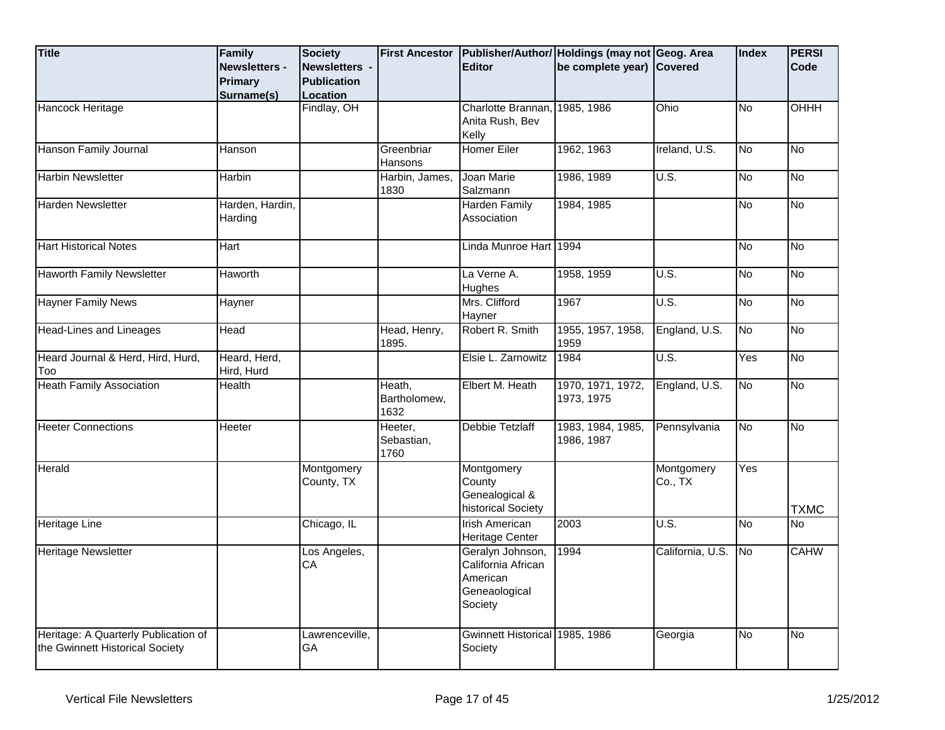| <b>Title</b>                                                            | Family<br><b>Newsletters -</b><br><b>Primary</b><br>Surname(s) | <b>Society</b><br>Newsletters -<br><b>Publication</b><br>Location | <b>First Ancestor</b>          | <b>Editor</b>                                                                  | Publisher/Author/ Holdings (may not Geog. Area<br>be complete year) Covered |                       | Index                  | <b>PERSI</b><br><b>Code</b> |
|-------------------------------------------------------------------------|----------------------------------------------------------------|-------------------------------------------------------------------|--------------------------------|--------------------------------------------------------------------------------|-----------------------------------------------------------------------------|-----------------------|------------------------|-----------------------------|
| Hancock Heritage                                                        |                                                                | Findlay, OH                                                       |                                | Charlotte Brannan,<br>Anita Rush, Bev<br>Kelly                                 | 1985, 1986                                                                  | Ohio                  | No                     | OHHH                        |
| Hanson Family Journal                                                   | Hanson                                                         |                                                                   | Greenbriar<br>Hansons          | <b>Homer Eiler</b>                                                             | 1962, 1963                                                                  | Ireland, U.S.         | No                     | No                          |
| <b>Harbin Newsletter</b>                                                | Harbin                                                         |                                                                   | Harbin, James,<br>1830         | Joan Marie<br>Salzmann                                                         | 1986, 1989                                                                  | U.S.                  | No                     | No                          |
| Harden Newsletter                                                       | Harden, Hardin,<br>Harding                                     |                                                                   |                                | Harden Family<br>Association                                                   | 1984, 1985                                                                  |                       | No                     | No                          |
| <b>Hart Historical Notes</b>                                            | Hart                                                           |                                                                   |                                | Linda Munroe Hart 1994                                                         |                                                                             |                       | No                     | No                          |
| <b>Haworth Family Newsletter</b>                                        | Haworth                                                        |                                                                   |                                | La Verne A.<br>Hughes                                                          | 1958, 1959                                                                  | U.S.                  | No                     | No                          |
| <b>Hayner Family News</b>                                               | Hayner                                                         |                                                                   |                                | Mrs. Clifford<br>Hayner                                                        | 1967                                                                        | U.S.                  | No                     | No                          |
| <b>Head-Lines and Lineages</b>                                          | Head                                                           |                                                                   | Head, Henry,<br>1895.          | Robert R. Smith                                                                | 1955, 1957, 1958,<br>1959                                                   | England, U.S.         | $\overline{\text{No}}$ | No                          |
| Heard Journal & Herd, Hird, Hurd,<br>Too                                | Heard, Herd,<br>Hird, Hurd                                     |                                                                   |                                | Elsie L. Zarnowitz                                                             | 1984                                                                        | U.S.                  | Yes                    | No                          |
| <b>Heath Family Association</b>                                         | <b>Health</b>                                                  |                                                                   | Heath,<br>Bartholomew,<br>1632 | Elbert M. Heath                                                                | 1970, 1971, 1972,<br>1973, 1975                                             | England, U.S.         | No                     | No                          |
| <b>Heeter Connections</b>                                               | <b>Heeter</b>                                                  |                                                                   | Heeter,<br>Sebastian,<br>1760  | Debbie Tetzlaff                                                                | 1983, 1984, 1985,<br>1986, 1987                                             | Pennsylvania          | No                     | <b>No</b>                   |
| Herald                                                                  |                                                                | Montgomery<br>County, TX                                          |                                | Montgomery<br>County<br>Genealogical &<br>historical Society                   |                                                                             | Montgomery<br>Co., TX | Yes                    | <b>TXMC</b>                 |
| <b>Heritage Line</b>                                                    |                                                                | Chicago, IL                                                       |                                | <b>Irish American</b><br>Heritage Center                                       | 2003                                                                        | U.S.                  | No.                    | No                          |
| <b>Heritage Newsletter</b>                                              |                                                                | Los Angeles,<br>CA                                                |                                | Geralyn Johnson,<br>California African<br>American<br>Geneaological<br>Society | 1994                                                                        | California, U.S.      | No                     | <b>CAHW</b>                 |
| Heritage: A Quarterly Publication of<br>the Gwinnett Historical Society |                                                                | Lawrenceville,<br><b>GA</b>                                       |                                | Gwinnett Historical 1985, 1986<br>Society                                      |                                                                             | Georgia               | No                     | No                          |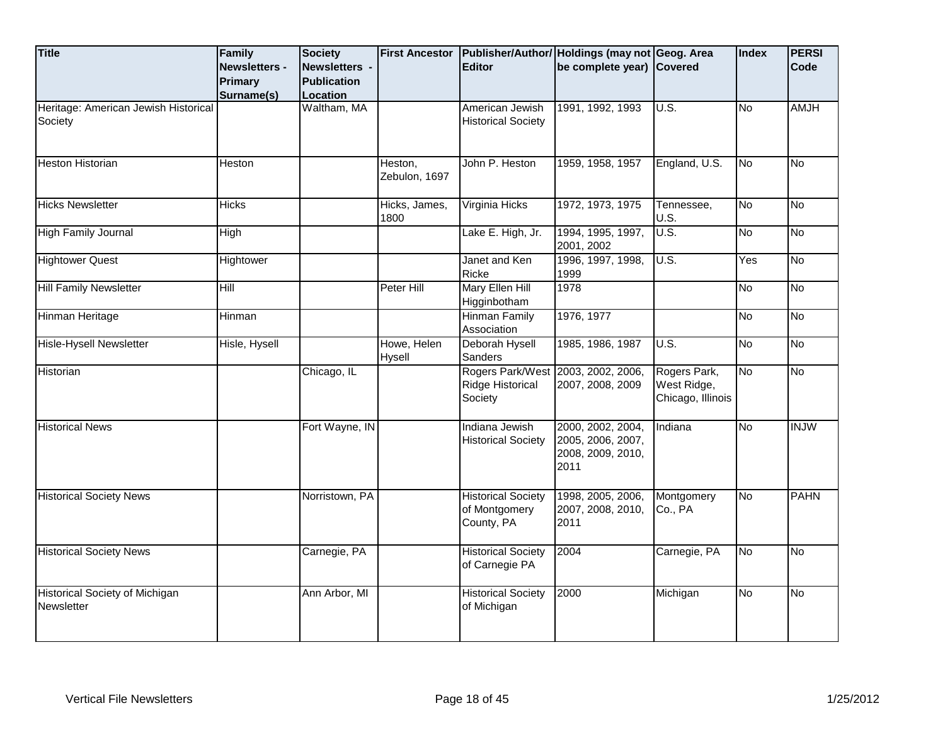| <b>Title</b>                                        | Family<br><b>Newsletters -</b><br>Primary<br>Surname(s) | <b>Society</b><br>Newsletters -<br><b>Publication</b><br>Location | <b>First Ancestor</b>    | <b>Editor</b>                                            | Publisher/Author/ Holdings (may not Geog. Area<br>be complete year) Covered |                                                  | Index     | <b>PERSI</b><br>Code |
|-----------------------------------------------------|---------------------------------------------------------|-------------------------------------------------------------------|--------------------------|----------------------------------------------------------|-----------------------------------------------------------------------------|--------------------------------------------------|-----------|----------------------|
| Heritage: American Jewish Historical<br>Society     |                                                         | Waltham, MA                                                       |                          | American Jewish<br><b>Historical Society</b>             | 1991, 1992, 1993                                                            | U.S.                                             | <b>No</b> | <b>AMJH</b>          |
| <b>Heston Historian</b>                             | Heston                                                  |                                                                   | Heston,<br>Zebulon, 1697 | John P. Heston                                           | 1959, 1958, 1957                                                            | England, U.S.                                    | No        | <b>No</b>            |
| <b>Hicks Newsletter</b>                             | <b>Hicks</b>                                            |                                                                   | Hicks, James,<br>1800    | Virginia Hicks                                           | 1972, 1973, 1975                                                            | Tennessee,<br>U.S.                               | <b>No</b> | <b>No</b>            |
| <b>High Family Journal</b>                          | High                                                    |                                                                   |                          | Lake E. High, Jr.                                        | 1994, 1995, 1997,<br>2001, 2002                                             | U.S.                                             | No        | $\overline{N_{0}}$   |
| <b>Hightower Quest</b>                              | Hightower                                               |                                                                   |                          | Janet and Ken<br>Ricke                                   | 1996, 1997, 1998,<br>1999                                                   | <b>U.S.</b>                                      | Yes       | $\overline{N}$       |
| <b>Hill Family Newsletter</b>                       | Hill                                                    |                                                                   | Peter Hill               | Mary Ellen Hill<br>Higginbotham                          | 1978                                                                        |                                                  | <b>No</b> | $\overline{N}$       |
| Hinman Heritage                                     | Hinman                                                  |                                                                   |                          | <b>Hinman Family</b><br>Association                      | 1976, 1977                                                                  |                                                  | No        | No                   |
| <b>Hisle-Hysell Newsletter</b>                      | Hisle, Hysell                                           |                                                                   | Howe, Helen<br>Hysell    | Deborah Hysell<br>Sanders                                | 1985, 1986, 1987                                                            | U.S.                                             | <u>No</u> | <b>No</b>            |
| Historian                                           |                                                         | Chicago, IL                                                       |                          | Ridge Historical<br>Society                              | Rogers Park/West 2003, 2002, 2006,<br>2007, 2008, 2009                      | Rogers Park,<br>West Ridge,<br>Chicago, Illinois | No        | No                   |
| <b>Historical News</b>                              |                                                         | Fort Wayne, IN                                                    |                          | Indiana Jewish<br><b>Historical Society</b>              | 2000, 2002, 2004,<br>2005, 2006, 2007,<br>2008, 2009, 2010,<br>2011         | Indiana                                          | No        | <b>INJW</b>          |
| <b>Historical Society News</b>                      |                                                         | Norristown, PA                                                    |                          | <b>Historical Society</b><br>of Montgomery<br>County, PA | 1998, 2005, 2006,<br>2007, 2008, 2010,<br>2011                              | Montgomery<br>Co., PA                            | <b>No</b> | <b>PAHN</b>          |
| <b>Historical Society News</b>                      |                                                         | Carnegie, PA                                                      |                          | <b>Historical Society</b><br>of Carnegie PA              | 2004                                                                        | Carnegie, PA                                     | No        | <b>No</b>            |
| <b>Historical Society of Michigan</b><br>Newsletter |                                                         | Ann Arbor, MI                                                     |                          | <b>Historical Society</b><br>of Michigan                 | 2000                                                                        | Michigan                                         | No        | No                   |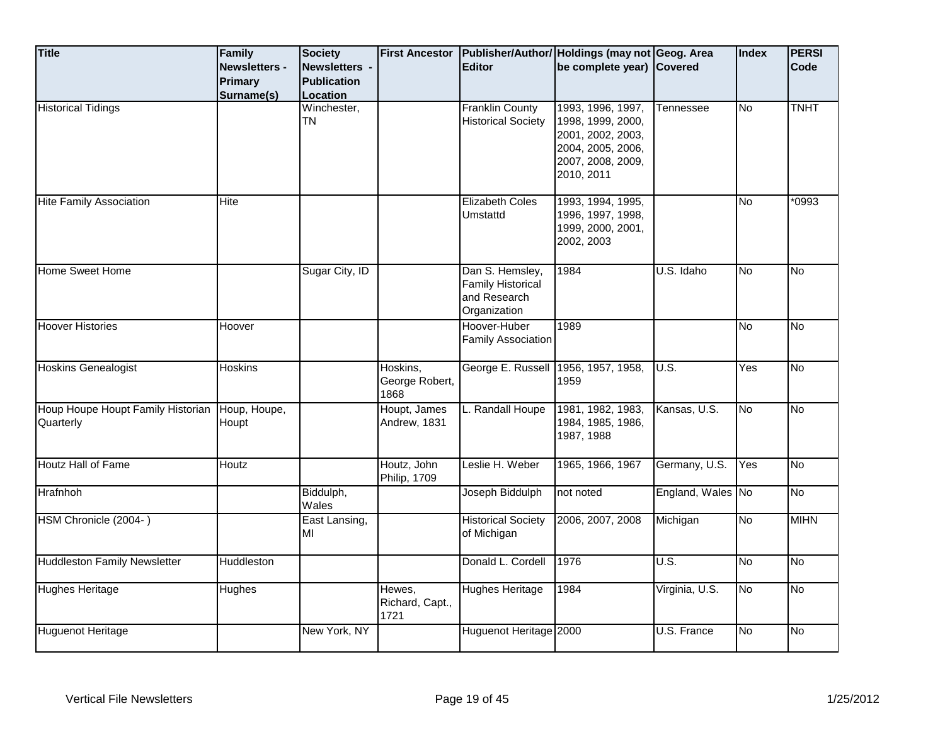| <b>Title</b>                                   | Family<br><b>Newsletters -</b> | <b>Society</b><br>Newsletters - |                                    | <b>Editor</b>                                                               | First Ancestor Publisher/Author/ Holdings (may not Geog. Area<br>be complete year) Covered                          |                   | <b>Index</b> | <b>PERSI</b><br>Code |
|------------------------------------------------|--------------------------------|---------------------------------|------------------------------------|-----------------------------------------------------------------------------|---------------------------------------------------------------------------------------------------------------------|-------------------|--------------|----------------------|
|                                                | Primary                        | <b>Publication</b>              |                                    |                                                                             |                                                                                                                     |                   |              |                      |
|                                                | Surname(s)                     | Location                        |                                    |                                                                             |                                                                                                                     |                   |              |                      |
| <b>Historical Tidings</b>                      |                                | Winchester,<br><b>TN</b>        |                                    | <b>Franklin County</b><br><b>Historical Society</b>                         | 1993, 1996, 1997,<br>1998, 1999, 2000,<br>2001, 2002, 2003,<br>2004, 2005, 2006,<br>2007, 2008, 2009,<br>2010, 2011 | Tennessee         | No           | <b>TNHT</b>          |
| <b>Hite Family Association</b>                 | Hite                           |                                 |                                    | <b>Elizabeth Coles</b><br>Umstattd                                          | 1993, 1994, 1995,<br>1996, 1997, 1998,<br>1999, 2000, 2001,<br>2002, 2003                                           |                   | ΟN           | $*0993$              |
| <b>Home Sweet Home</b>                         |                                | Sugar City, ID                  |                                    | Dan S. Hemsley,<br><b>Family Historical</b><br>and Research<br>Organization | 1984                                                                                                                | U.S. Idaho        | Μ            | No                   |
| <b>Hoover Histories</b>                        | Hoover                         |                                 |                                    | Hoover-Huber<br><b>Family Association</b>                                   | 1989                                                                                                                |                   | <b>No</b>    | No                   |
| <b>Hoskins Genealogist</b>                     | Hoskins                        |                                 | Hoskins,<br>George Robert,<br>1868 | George E. Russell                                                           | 1956, 1957, 1958,<br>1959                                                                                           | $\overline{U.S.}$ | Yes          | No                   |
| Houp Houpe Houpt Family Historian<br>Quarterly | Houp, Houpe,<br>Houpt          |                                 | Houpt, James<br>Andrew, 1831       | L. Randall Houpe                                                            | 1981, 1982, 1983,<br>1984, 1985, 1986,<br>1987, 1988                                                                | Kansas, U.S.      | <b>No</b>    | <b>No</b>            |
| Houtz Hall of Fame                             | Houtz                          |                                 | Houtz, John<br>Philip, 1709        | Leslie H. Weber                                                             | 1965, 1966, 1967                                                                                                    | Germany, U.S.     | Yes          | δ                    |
| Hrafnhoh                                       |                                | Biddulph,<br>Wales              |                                    | Joseph Biddulph                                                             | not noted                                                                                                           | England, Wales No |              | No                   |
| HSM Chronicle (2004-)                          |                                | East Lansing,<br>MI             |                                    | <b>Historical Society</b><br>of Michigan                                    | 2006, 2007, 2008                                                                                                    | Michigan          | ΟN           | <b>MIHN</b>          |
| <b>Huddleston Family Newsletter</b>            | Huddleston                     |                                 |                                    | Donald L. Cordell                                                           | 1976                                                                                                                | U.S.              | ΟN           | δ                    |
| Hughes Heritage                                | Hughes                         |                                 | Hewes,<br>Richard, Capt.,<br>1721  | Hughes Heritage                                                             | 1984                                                                                                                | Virginia, U.S.    | ΟN           | δ                    |
| <b>Huguenot Heritage</b>                       |                                | New York, NY                    |                                    | Huguenot Heritage 2000                                                      |                                                                                                                     | U.S. France       | Μ            | <b>No</b>            |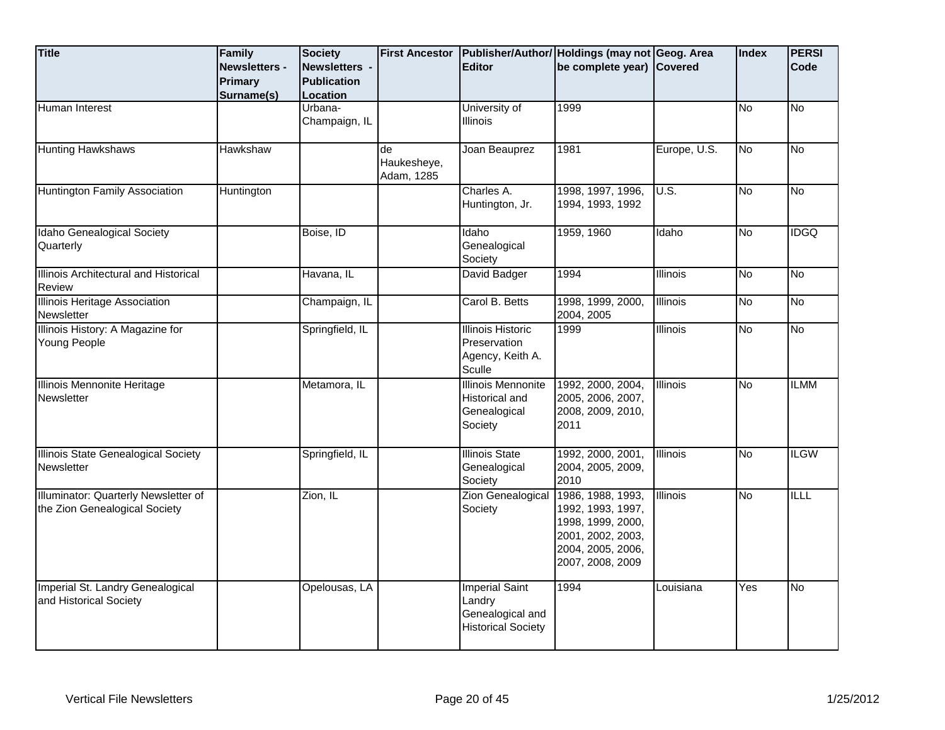| <b>Title</b>                                                          | Family<br><b>Newsletters -</b><br>Primary<br>Surname(s) | <b>Society</b><br>Newsletters -<br><b>Publication</b><br>Location | <b>First Ancestor</b>           | <b>Editor</b>                                                                    | Publisher/Author/ Holdings (may not Geog. Area<br>be complete year) Covered                                               |                   | Index          | <b>PERSI</b><br>Code |
|-----------------------------------------------------------------------|---------------------------------------------------------|-------------------------------------------------------------------|---------------------------------|----------------------------------------------------------------------------------|---------------------------------------------------------------------------------------------------------------------------|-------------------|----------------|----------------------|
| Human Interest                                                        |                                                         | Urbana-<br>Champaign, IL                                          |                                 | University of<br><b>Illinois</b>                                                 | 1999                                                                                                                      |                   | N <sub>o</sub> | <b>No</b>            |
| <b>Hunting Hawkshaws</b>                                              | Hawkshaw                                                |                                                                   | de<br>Haukesheye,<br>Adam, 1285 | Joan Beauprez                                                                    | 1981                                                                                                                      | Europe, U.S.      | No             | <b>No</b>            |
| Huntington Family Association                                         | Huntington                                              |                                                                   |                                 | Charles A.<br>Huntington, Jr.                                                    | 1998, 1997, 1996,<br>1994, 1993, 1992                                                                                     | $\overline{U.S.}$ | No             | $\overline{N}$       |
| Idaho Genealogical Society<br>Quarterly                               |                                                         | Boise, ID                                                         |                                 | Idaho<br>Genealogical<br>Society                                                 | 1959, 1960                                                                                                                | Idaho             | N <sub>o</sub> | <b>IDGQ</b>          |
| Illinois Architectural and Historical<br><b>Review</b>                |                                                         | Havana, IL                                                        |                                 | David Badger                                                                     | 1994                                                                                                                      | Illinois          | No             | <b>No</b>            |
| <b>Illinois Heritage Association</b><br>Newsletter                    |                                                         | Champaign, IL                                                     |                                 | Carol B. Betts                                                                   | 1998, 1999, 2000,<br>2004, 2005                                                                                           | <b>Illinois</b>   | <b>No</b>      | <b>No</b>            |
| Illinois History: A Magazine for<br>Young People                      |                                                         | Springfield, IL                                                   |                                 | <b>Illinois Historic</b><br>Preservation<br>Agency, Keith A.<br>Sculle           | 1999                                                                                                                      | Illinois          | <b>No</b>      | $\overline{N}$       |
| Illinois Mennonite Heritage<br>Newsletter                             |                                                         | Metamora, IL                                                      |                                 | Illinois Mennonite<br>Historical and<br>Genealogical<br>Society                  | 1992, 2000, 2004,<br>2005, 2006, 2007,<br>2008, 2009, 2010,<br>2011                                                       | <b>Illinois</b>   | <b>No</b>      | <b>ILMM</b>          |
| Illinois State Genealogical Society<br>Newsletter                     |                                                         | Springfield, IL                                                   |                                 | <b>Illinois State</b><br>Genealogical<br>Society                                 | 1992, 2000, 2001,<br>2004, 2005, 2009,<br>2010                                                                            | Illinois          | <b>No</b>      | <b>ILGW</b>          |
| Illuminator: Quarterly Newsletter of<br>the Zion Genealogical Society |                                                         | Zion, IL                                                          |                                 | <b>Zion Genealogical</b><br>Society                                              | 1986, 1988, 1993,<br>1992, 1993, 1997,<br>1998, 1999, 2000,<br>2001, 2002, 2003,<br>2004, 2005, 2006,<br>2007, 2008, 2009 | <b>Illinois</b>   | <b>No</b>      | <b>ILLL</b>          |
| Imperial St. Landry Genealogical<br>and Historical Society            |                                                         | Opelousas, LA                                                     |                                 | <b>Imperial Saint</b><br>Landry<br>Genealogical and<br><b>Historical Society</b> | 1994                                                                                                                      | Louisiana         | Yes            | <b>No</b>            |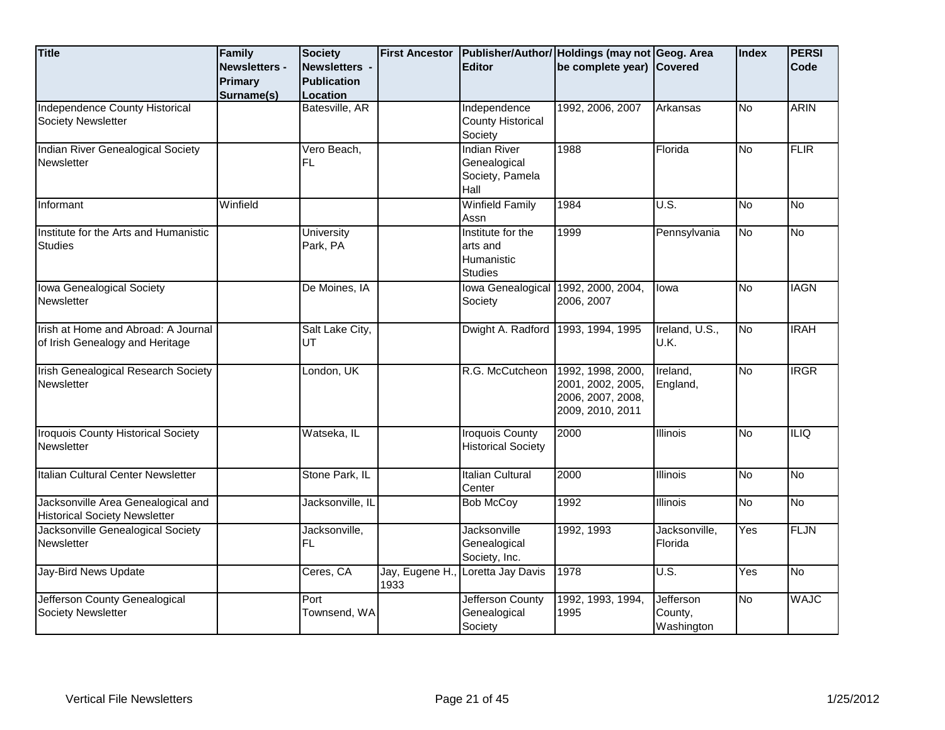| <b>Title</b>                               | Family               | <b>Society</b>     | <b>First Ancestor</b> |                                     | Publisher/Author/ Holdings (may not Geog. Area |                   | <b>Index</b>     | <b>PERSI</b>   |
|--------------------------------------------|----------------------|--------------------|-----------------------|-------------------------------------|------------------------------------------------|-------------------|------------------|----------------|
|                                            | <b>Newsletters -</b> | Newsletters -      |                       | <b>Editor</b>                       | be complete year) Covered                      |                   |                  | Code           |
|                                            | Primary              | <b>Publication</b> |                       |                                     |                                                |                   |                  |                |
|                                            | Surname(s)           | Location           |                       |                                     |                                                |                   |                  |                |
| Independence County Historical             |                      | Batesville, AR     |                       | Independence                        | 1992, 2006, 2007                               | Arkansas          | <b>No</b>        | <b>ARIN</b>    |
| <b>Society Newsletter</b>                  |                      |                    |                       | <b>County Historical</b>            |                                                |                   |                  |                |
|                                            |                      |                    |                       | Society                             |                                                |                   |                  |                |
| Indian River Genealogical Society          |                      | Vero Beach,        |                       | <b>Indian River</b>                 | 1988                                           | Florida           | Μ                | <b>FLIR</b>    |
| Newsletter                                 |                      | FL                 |                       | Genealogical                        |                                                |                   |                  |                |
|                                            |                      |                    |                       | Society, Pamela                     |                                                |                   |                  |                |
|                                            |                      |                    |                       | Hall                                |                                                |                   |                  |                |
| Informant                                  | Winfield             |                    |                       | <b>Winfield Family</b>              | 1984                                           | $\overline{U.S.}$ | <b>No</b>        | $\overline{N}$ |
|                                            |                      |                    |                       | Assn                                |                                                |                   |                  |                |
| Institute for the Arts and Humanistic      |                      | <b>University</b>  |                       | Institute for the                   | 1999                                           | Pennsylvania      | <b>No</b>        | $\overline{N}$ |
| <b>Studies</b>                             |                      | Park, PA           |                       | arts and                            |                                                |                   |                  |                |
|                                            |                      |                    |                       | Humanistic                          |                                                |                   |                  |                |
|                                            |                      |                    |                       | <b>Studies</b>                      |                                                |                   |                  |                |
| Iowa Genealogical Society                  |                      | De Moines, IA      |                       | Iowa Genealogical 1992, 2000, 2004, |                                                | lowa              | Μ                | <b>IAGN</b>    |
| Newsletter                                 |                      |                    |                       | Society                             | 2006, 2007                                     |                   |                  |                |
|                                            |                      |                    |                       |                                     |                                                |                   |                  |                |
| Irish at Home and Abroad: A Journal        |                      | Salt Lake City,    |                       | Dwight A. Radford 1993, 1994, 1995  |                                                | Ireland, U.S.,    | No               | <b>IRAH</b>    |
| of Irish Genealogy and Heritage            |                      | UT                 |                       |                                     |                                                | U.K.              |                  |                |
|                                            |                      |                    |                       |                                     |                                                |                   |                  |                |
| <b>Irish Genealogical Research Society</b> |                      | London, UK         |                       | R.G. McCutcheon                     | 1992, 1998, 2000,                              | Ireland,          | Μ                | <b>IRGR</b>    |
| Newsletter                                 |                      |                    |                       |                                     | 2001, 2002, 2005,                              | England,          |                  |                |
|                                            |                      |                    |                       |                                     | 2006, 2007, 2008,                              |                   |                  |                |
|                                            |                      |                    |                       |                                     | 2009, 2010, 2011                               |                   |                  |                |
| <b>Iroquois County Historical Society</b>  |                      | Watseka, IL        |                       | <b>Iroquois County</b>              | 2000                                           | Illinois          | N <sub>o</sub>   | <b>ILIQ</b>    |
| Newsletter                                 |                      |                    |                       | <b>Historical Society</b>           |                                                |                   |                  |                |
|                                            |                      |                    |                       |                                     |                                                |                   |                  |                |
| Italian Cultural Center Newsletter         |                      | Stone Park, IL     |                       | <b>Italian Cultural</b>             | 2000                                           | <b>Illinois</b>   | <b>No</b>        | $\overline{N}$ |
|                                            |                      |                    |                       | Center                              |                                                |                   |                  |                |
| Jacksonville Area Genealogical and         |                      | Jacksonville, IL   |                       | <b>Bob McCoy</b>                    | 1992                                           | <b>Illinois</b>   | Μ                | <b>No</b>      |
| <b>Historical Society Newsletter</b>       |                      |                    |                       |                                     |                                                |                   |                  |                |
| Jacksonville Genealogical Society          |                      | Jacksonville,      |                       | Jacksonville                        | 1992, 1993                                     | Jacksonville,     | $\overline{Yes}$ | <b>FLJN</b>    |
| Newsletter                                 |                      | FL.                |                       | Genealogical                        |                                                | Florida           |                  |                |
|                                            |                      |                    |                       | Society, Inc.                       |                                                |                   |                  |                |
| Jay-Bird News Update                       |                      | Ceres, CA          | Jay, Eugene H.,       | Loretta Jay Davis                   | 1978                                           | U.S.              | Yes              | <b>No</b>      |
|                                            |                      |                    | 1933                  |                                     |                                                |                   |                  |                |
| Jefferson County Genealogical              |                      | Port               |                       | Jefferson County                    | 1992, 1993, 1994,                              | Jefferson         | No               | <b>WAJC</b>    |
| Society Newsletter                         |                      | Townsend, WA       |                       | Genealogical                        | 1995                                           | County,           |                  |                |
|                                            |                      |                    |                       | Society                             |                                                | Washington        |                  |                |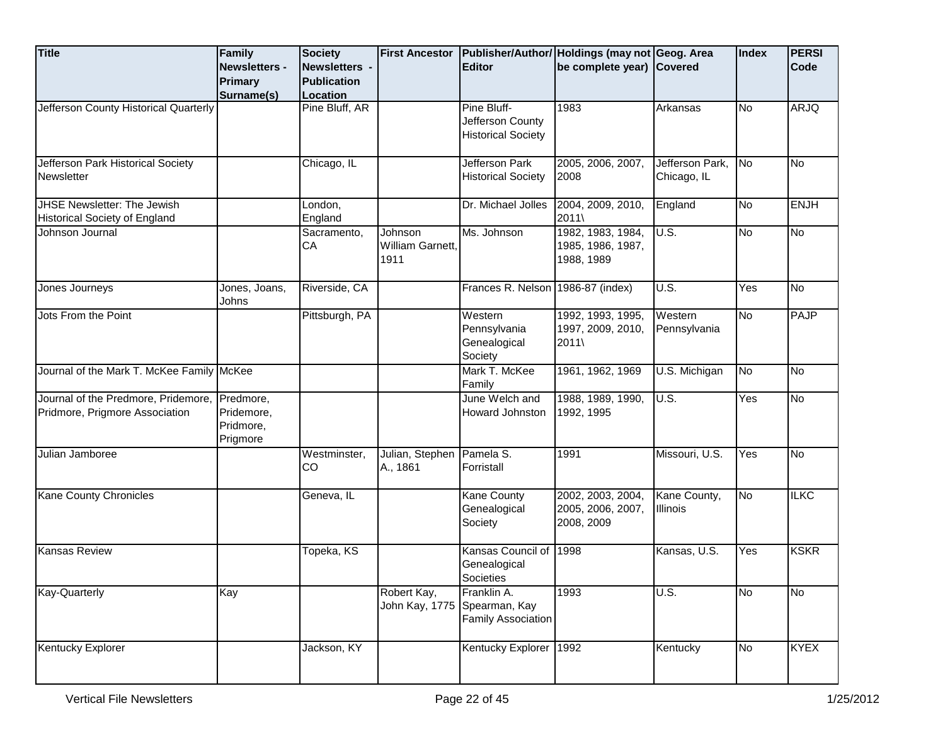| <b>Title</b>                                                                    | Family<br>Newsletters -<br><b>Primary</b><br>Surname(s) | <b>Society</b><br>Newsletters -<br><b>Publication</b><br>Location | <b>First Ancestor</b>               | <b>Editor</b>                                                | Publisher/Author/ Holdings (may not Geog. Area<br>be complete year) Covered |                                 | Index     | <b>PERSI</b><br>Code |
|---------------------------------------------------------------------------------|---------------------------------------------------------|-------------------------------------------------------------------|-------------------------------------|--------------------------------------------------------------|-----------------------------------------------------------------------------|---------------------------------|-----------|----------------------|
| Jefferson County Historical Quarterly                                           |                                                         | Pine Bluff, AR                                                    |                                     | Pine Bluff-<br>Jefferson County<br><b>Historical Society</b> | 1983                                                                        | Arkansas                        | No        | <b>ARJQ</b>          |
| Jefferson Park Historical Society<br>Newsletter                                 |                                                         | Chicago, IL                                                       |                                     | Jefferson Park<br><b>Historical Society</b>                  | 2005, 2006, 2007,<br>2008                                                   | Jefferson Park,<br>Chicago, IL  | No        | No                   |
| <b>JHSE Newsletter: The Jewish</b><br>Historical Society of England             |                                                         | London,<br>England                                                |                                     | Dr. Michael Jolles                                           | 2004, 2009, 2010,<br>2011\                                                  | England                         | <b>No</b> | <b>ENJH</b>          |
| Johnson Journal                                                                 |                                                         | Sacramento,<br>СA                                                 | Johnson<br>William Garnett,<br>1911 | Ms. Johnson                                                  | 1982, 1983, 1984,<br>1985, 1986, 1987,<br>1988, 1989                        | U.S.                            | No        | <b>No</b>            |
| Jones Journeys                                                                  | Jones, Joans,<br>Johns                                  | Riverside, CA                                                     |                                     | Frances R. Nelson 1986-87 (index)                            |                                                                             | U.S.                            | Yes       | <b>No</b>            |
| Jots From the Point                                                             |                                                         | Pittsburgh, PA                                                    |                                     | Western<br>Pennsylvania<br>Genealogical<br>Society           | 1992, 1993, 1995,<br>1997, 2009, 2010,<br>2011\                             | Western<br>Pennsylvania         | <b>No</b> | <b>PAJP</b>          |
| Journal of the Mark T. McKee Family McKee                                       |                                                         |                                                                   |                                     | Mark T. McKee<br>Family                                      | 1961, 1962, 1969                                                            | U.S. Michigan                   | No        | No                   |
| Journal of the Predmore, Pridemore, Predmore,<br>Pridmore, Prigmore Association | Pridemore,<br>Pridmore,<br>Prigmore                     |                                                                   |                                     | June Welch and<br>Howard Johnston                            | 1988, 1989, 1990,<br>1992, 1995                                             | U.S.                            | Yes       | <b>No</b>            |
| Julian Jamboree                                                                 |                                                         | Westminster,<br>CO                                                | Julian, Stephen<br>A., 1861         | Pamela S.<br>Forristall                                      | 1991                                                                        | Missouri, U.S.                  | Yes       | <b>No</b>            |
| <b>Kane County Chronicles</b>                                                   |                                                         | Geneva, IL                                                        |                                     | Kane County<br>Genealogical<br>Society                       | 2002, 2003, 2004,<br>2005, 2006, 2007,<br>2008, 2009                        | Kane County,<br><b>Illinois</b> | <b>No</b> | <b>ILKC</b>          |
| <b>Kansas Review</b>                                                            |                                                         | Topeka, KS                                                        |                                     | Kansas Council of<br>Genealogical<br>Societies               | 1998                                                                        | Kansas, U.S.                    | Yes       | <b>KSKR</b>          |
| <b>Kay-Quarterly</b>                                                            | Kay                                                     |                                                                   | Robert Kay,<br>John Kay, 1775       | Franklin A.<br>Spearman, Kay<br><b>Family Association</b>    | 1993                                                                        | U.S.                            | No        | No                   |
| Kentucky Explorer                                                               |                                                         | Jackson, KY                                                       |                                     | <b>Kentucky Explorer</b>                                     | 1992                                                                        | Kentucky                        | No        | <b>KYEX</b>          |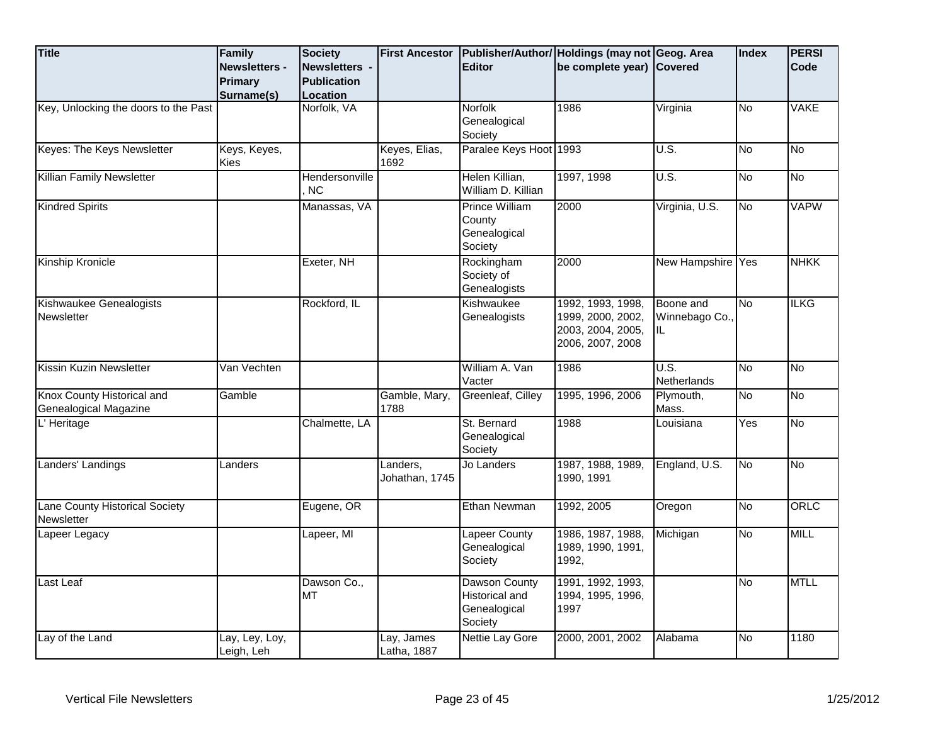| <b>Title</b>                                        | Family<br>Newsletters -<br><b>Primary</b><br>Surname(s) | <b>Society</b><br>Newsletters -<br><b>Publication</b><br>Location | <b>First Ancestor</b>      | <b>Editor</b>                                                     | Publisher/Author/ Holdings (may not Geog. Area<br>be complete year) Covered     |                                    | Index     | <b>PERSI</b><br>Code |
|-----------------------------------------------------|---------------------------------------------------------|-------------------------------------------------------------------|----------------------------|-------------------------------------------------------------------|---------------------------------------------------------------------------------|------------------------------------|-----------|----------------------|
| Key, Unlocking the doors to the Past                |                                                         | Norfolk, VA                                                       |                            | Norfolk<br>Genealogical<br>Society                                | 1986                                                                            | Virginia                           | δ         | <b>VAKE</b>          |
| Keyes: The Keys Newsletter                          | Keys, Keyes,<br>Kies                                    |                                                                   | Keyes, Elias,<br>1692      | Paralee Keys Hoot 1993                                            |                                                                                 | U.S.                               | <b>No</b> | <u>ν</u>             |
| <b>Killian Family Newsletter</b>                    |                                                         | Hendersonville<br>NC.                                             |                            | Helen Killian,<br>William D. Killian                              | 1997, 1998                                                                      | U.S.                               | <b>No</b> | <b>No</b>            |
| <b>Kindred Spirits</b>                              |                                                         | Manassas, VA                                                      |                            | <b>Prince William</b><br>County<br>Genealogical<br>Society        | 2000                                                                            | Virginia, U.S.                     | δ         | <b>VAPW</b>          |
| Kinship Kronicle                                    |                                                         | Exeter, NH                                                        |                            | Rockingham<br>Society of<br>Genealogists                          | 2000                                                                            | New Hampshire Yes                  |           | <b>NHKK</b>          |
| Kishwaukee Genealogists<br>Newsletter               |                                                         | Rockford, IL                                                      |                            | Kishwaukee<br>Genealogists                                        | 1992, 1993, 1998,<br>1999, 2000, 2002,<br>2003, 2004, 2005,<br>2006, 2007, 2008 | Boone and<br>Winnebago Co.,<br>IL. | No        | <b>ILKG</b>          |
| Kissin Kuzin Newsletter                             | Van Vechten                                             |                                                                   |                            | William A. Van<br>Vacter                                          | 1986                                                                            | $\overline{U.S.}$<br>Netherlands   | <b>No</b> | No                   |
| Knox County Historical and<br>Genealogical Magazine | Gamble                                                  |                                                                   | Gamble, Mary,<br>1788      | Greenleaf, Cilley                                                 | 1995, 1996, 2006                                                                | Plymouth,<br>Mass.                 | δ         | No                   |
| L' Heritage                                         |                                                         | Chalmette, LA                                                     |                            | St. Bernard<br>Genealogical<br>Society                            | 1988                                                                            | Louisiana                          | Yes       | <b>No</b>            |
| Landers' Landings                                   | Landers                                                 |                                                                   | Landers,<br>Johathan, 1745 | Jo Landers                                                        | 1987, 1988, 1989,<br>1990. 1991                                                 | England, U.S.                      | No        | No                   |
| Lane County Historical Society<br>Newsletter        |                                                         | Eugene, OR                                                        |                            | Ethan Newman                                                      | 1992, 2005                                                                      | Oregon                             | <b>No</b> | ORLC                 |
| Lapeer Legacy                                       |                                                         | Lapeer, MI                                                        |                            | <b>Lapeer County</b><br>Genealogical<br>Society                   | 1986, 1987, 1988,<br>1989, 1990, 1991,<br>1992,                                 | Michigan                           | δ         | <b>MILL</b>          |
| Last Leaf                                           |                                                         | Dawson Co.,<br><b>MT</b>                                          |                            | Dawson County<br><b>Historical and</b><br>Genealogical<br>Society | 1991, 1992, 1993,<br>1994, 1995, 1996,<br>1997                                  |                                    | <b>No</b> | <b>MTLL</b>          |
| Lay of the Land                                     | Lay, Ley, Loy,<br>Leigh, Leh                            |                                                                   | Lay, James<br>Latha, 1887  | Nettie Lay Gore                                                   | 2000, 2001, 2002                                                                | Alabama                            | No        | 1180                 |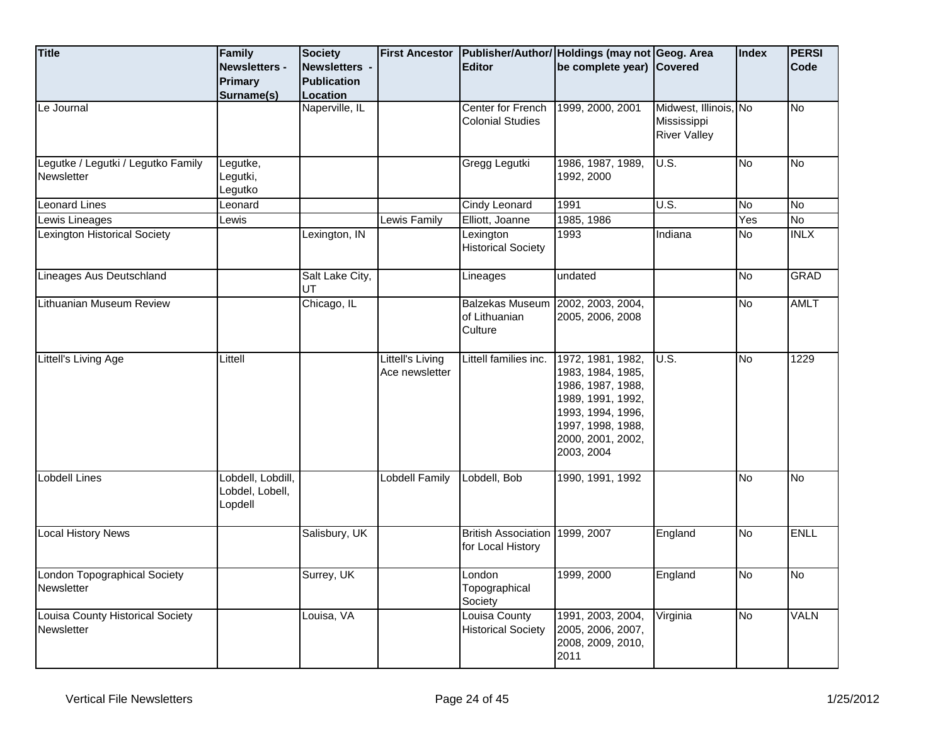| <b>Title</b>                                     | Family<br><b>Newsletters -</b><br>Primary<br>Surname(s) | <b>Society</b><br>Newsletters -<br><b>Publication</b><br>Location | <b>First Ancestor</b>              | <b>Editor</b>                                      | Publisher/Author/ Holdings (may not Geog. Area<br>be complete year) Covered                                                                                   |                                                             | <b>Index</b> | <b>PERSI</b><br>Code |
|--------------------------------------------------|---------------------------------------------------------|-------------------------------------------------------------------|------------------------------------|----------------------------------------------------|---------------------------------------------------------------------------------------------------------------------------------------------------------------|-------------------------------------------------------------|--------------|----------------------|
| Le Journal                                       |                                                         | Naperville, IL                                                    |                                    | Center for French<br><b>Colonial Studies</b>       | 1999, 2000, 2001                                                                                                                                              | Midwest, Illinois, No<br>Mississippi<br><b>River Valley</b> |              | <b>No</b>            |
| Legutke / Legutki / Legutko Family<br>Newsletter | Legutke,<br>Legutki,<br>Legutko                         |                                                                   |                                    | Gregg Legutki                                      | 1986, 1987, 1989,<br>1992, 2000                                                                                                                               | U.S.                                                        | <b>No</b>    | No                   |
| <b>Leonard Lines</b>                             | Leonard                                                 |                                                                   |                                    | <b>Cindy Leonard</b>                               | 1991                                                                                                                                                          | U.S.                                                        | <b>No</b>    | <b>No</b>            |
| Lewis Lineages                                   | Lewis                                                   |                                                                   | Lewis Family                       | Elliott, Joanne                                    | 1985, 1986                                                                                                                                                    |                                                             | Yes          | $\overline{N_{0}}$   |
| <b>Lexington Historical Society</b>              |                                                         | Lexington, IN                                                     |                                    | Lexington<br><b>Historical Society</b>             | 1993                                                                                                                                                          | Indiana                                                     | <b>No</b>    | INLX                 |
| Lineages Aus Deutschland                         |                                                         | Salt Lake City,<br>UT                                             |                                    | Lineages                                           | undated                                                                                                                                                       |                                                             | <b>No</b>    | <b>GRAD</b>          |
| Lithuanian Museum Review                         |                                                         | Chicago, IL                                                       |                                    | <b>Balzekas Museum</b><br>of Lithuanian<br>Culture | 2002, 2003, 2004,<br>2005, 2006, 2008                                                                                                                         |                                                             | No           | <b>AMLT</b>          |
| Littell's Living Age                             | Littell                                                 |                                                                   | Littell's Living<br>Ace newsletter | Littell families inc.                              | 1972, 1981, 1982,<br>1983, 1984, 1985,<br>1986, 1987, 1988,<br>1989, 1991, 1992,<br>1993, 1994, 1996,<br>1997, 1998, 1988,<br>2000, 2001, 2002,<br>2003, 2004 | U.S.                                                        | No           | 1229                 |
| Lobdell Lines                                    | Lobdell, Lobdill,<br>Lobdel, Lobell,<br>Lopdell         |                                                                   | <b>Lobdell Family</b>              | Lobdell, Bob                                       | 1990, 1991, 1992                                                                                                                                              |                                                             | <b>No</b>    | No                   |
| <b>Local History News</b>                        |                                                         | Salisbury, UK                                                     |                                    | <b>British Association</b><br>for Local History    | 1999, 2007                                                                                                                                                    | England                                                     | <b>No</b>    | <b>ENLL</b>          |
| London Topographical Society<br>Newsletter       |                                                         | Surrey, UK                                                        |                                    | London<br>Topographical<br>Society                 | 1999, 2000                                                                                                                                                    | England                                                     | No           | <b>No</b>            |
| Louisa County Historical Society<br>Newsletter   |                                                         | Louisa, VA                                                        |                                    | <b>Louisa County</b><br><b>Historical Society</b>  | 1991, 2003, 2004,<br>2005, 2006, 2007,<br>2008, 2009, 2010,<br>2011                                                                                           | Virginia                                                    | No           | <b>VALN</b>          |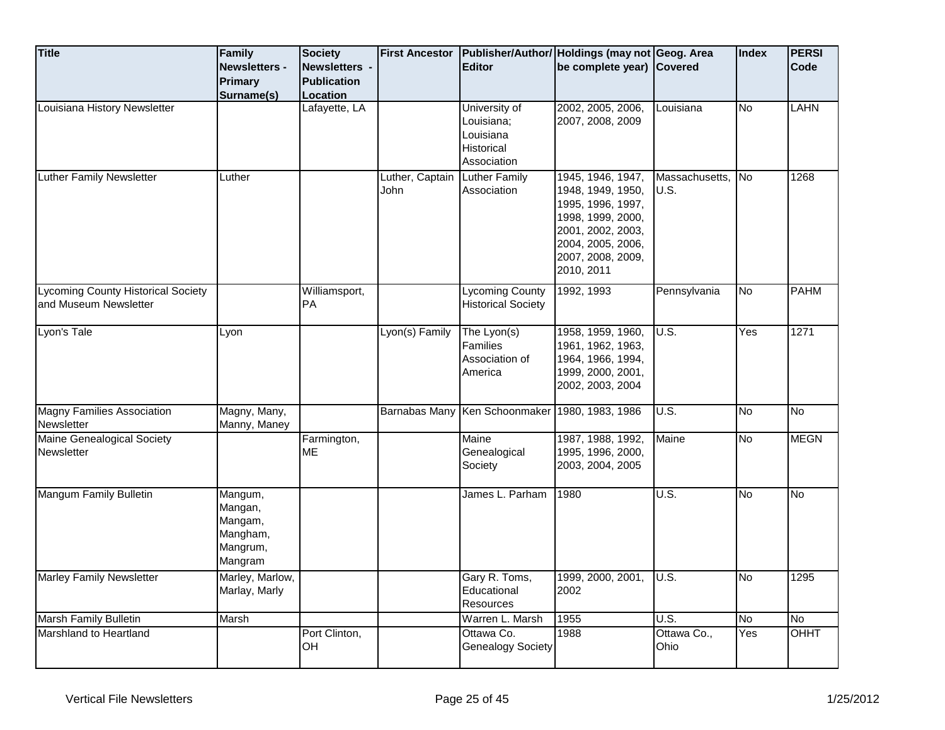| <b>Title</b>                                                       | Family<br><b>Newsletters -</b><br><b>Primary</b><br>Surname(s)   | <b>Society</b><br><b>Newsletters -</b><br><b>Publication</b><br>Location | <b>First Ancestor</b>   | <b>Editor</b>                                                         | Publisher/Author/ Holdings (may not Geog. Area<br>be complete year) Covered                                                                                   |                        | <b>Index</b> | <b>PERSI</b><br>Code |
|--------------------------------------------------------------------|------------------------------------------------------------------|--------------------------------------------------------------------------|-------------------------|-----------------------------------------------------------------------|---------------------------------------------------------------------------------------------------------------------------------------------------------------|------------------------|--------------|----------------------|
| Louisiana History Newsletter                                       |                                                                  | Lafayette, LA                                                            |                         | University of<br>Louisiana;<br>Louisiana<br>Historical<br>Association | 2002, 2005, 2006,<br>2007, 2008, 2009                                                                                                                         | Louisiana              | No           | <b>LAHN</b>          |
| Luther Family Newsletter                                           | Luther                                                           |                                                                          | Luther, Captain<br>John | <b>Luther Family</b><br>Association                                   | 1945, 1946, 1947,<br>1948, 1949, 1950,<br>1995, 1996, 1997,<br>1998, 1999, 2000,<br>2001, 2002, 2003,<br>2004, 2005, 2006,<br>2007, 2008, 2009,<br>2010, 2011 | Massachusetts,<br>U.S. | <b>No</b>    | 1268                 |
| <b>Lycoming County Historical Society</b><br>and Museum Newsletter |                                                                  | Williamsport,<br><b>PA</b>                                               |                         | <b>Lycoming County</b><br><b>Historical Society</b>                   | 1992, 1993                                                                                                                                                    | Pennsylvania           | <b>No</b>    | <b>PAHM</b>          |
| Lyon's Tale                                                        | Lyon                                                             |                                                                          | Lyon(s) Family          | The Lyon(s)<br>Families<br>Association of<br>America                  | 1958, 1959, 1960,<br>1961, 1962, 1963,<br>1964, 1966, 1994,<br>1999, 2000, 2001,<br>2002, 2003, 2004                                                          | U.S.                   | Yes          | 1271                 |
| <b>Magny Families Association</b><br>Newsletter                    | Magny, Many,<br>Manny, Maney                                     |                                                                          |                         | Barnabas Many Ken Schoonmaker 1980, 1983, 1986                        |                                                                                                                                                               | U.S.                   | No           | No                   |
| Maine Genealogical Society<br>Newsletter                           |                                                                  | Farmington,<br><b>ME</b>                                                 |                         | Maine<br>Genealogical<br>Society                                      | 1987, 1988, 1992,<br>1995, 1996, 2000,<br>2003, 2004, 2005                                                                                                    | Maine                  | No           | <b>MEGN</b>          |
| Mangum Family Bulletin                                             | Mangum,<br>Mangan,<br>Mangam,<br>Mangham,<br>Mangrum,<br>Mangram |                                                                          |                         | James L. Parham                                                       | 1980                                                                                                                                                          | <b>U.S.</b>            | No           | <b>No</b>            |
| <b>Marley Family Newsletter</b>                                    | Marley, Marlow,<br>Marlay, Marly                                 |                                                                          |                         | Gary R. Toms,<br>Educational<br>Resources                             | 1999, 2000, 2001,<br>2002                                                                                                                                     | U.S.                   | No           | 1295                 |
| <b>Marsh Family Bulletin</b>                                       | Marsh                                                            |                                                                          |                         | Warren L. Marsh                                                       | 1955                                                                                                                                                          | U.S.                   | No           | No                   |
| Marshland to Heartland                                             |                                                                  | Port Clinton,<br>OH                                                      |                         | Ottawa Co.<br><b>Genealogy Society</b>                                | 1988                                                                                                                                                          | Ottawa Co.,<br>Ohio    | Yes          | OHHT                 |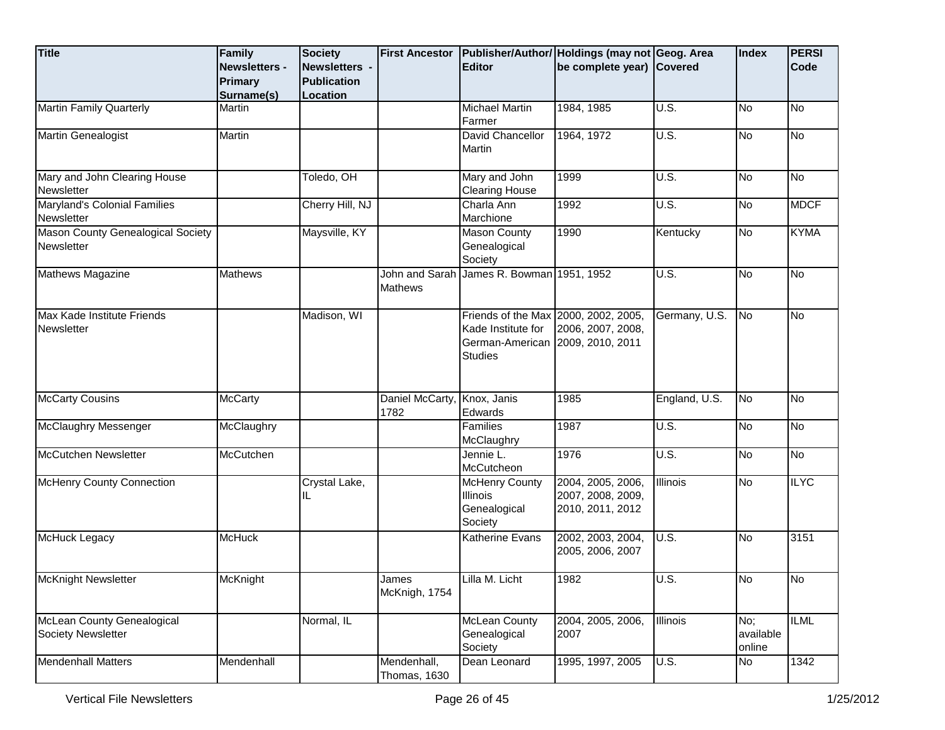| <b>Title</b>                                      | Family<br><b>Newsletters -</b><br><b>Primary</b><br>Surname(s) | <b>Society</b><br>Newsletters -<br><b>Publication</b><br>Location | <b>First Ancestor</b>       | <b>Editor</b>                                                                                                    | Publisher/Author/ Holdings (may not Geog. Area<br>be complete year) Covered |                                     | <b>Index</b>               | <b>PERSI</b><br><b>Code</b> |
|---------------------------------------------------|----------------------------------------------------------------|-------------------------------------------------------------------|-----------------------------|------------------------------------------------------------------------------------------------------------------|-----------------------------------------------------------------------------|-------------------------------------|----------------------------|-----------------------------|
| <b>Martin Family Quarterly</b>                    | Martin                                                         |                                                                   |                             | <b>Michael Martin</b><br>Farmer                                                                                  | 1984, 1985                                                                  | U.S.                                | <b>No</b>                  | <u>ν</u>                    |
| Martin Genealogist                                | Martin                                                         |                                                                   |                             | David Chancellor<br>Martin                                                                                       | 1964, 1972                                                                  | U.S.                                | <b>No</b>                  | No                          |
| Mary and John Clearing House<br>Newsletter        |                                                                | Toledo, OH                                                        |                             | Mary and John<br><b>Clearing House</b>                                                                           | 1999                                                                        | $\overline{U.S.}$                   | <b>No</b>                  | No                          |
| <b>Maryland's Colonial Families</b><br>Newsletter |                                                                | Cherry Hill, NJ                                                   |                             | Charla Ann<br>Marchione                                                                                          | 1992                                                                        | $\overline{\mathsf{U}.\mathsf{S}.}$ | <b>No</b>                  | <b>MDCF</b>                 |
| Mason County Genealogical Society<br>Newsletter   |                                                                | Maysville, KY                                                     |                             | <b>Mason County</b><br>Genealogical<br>Society                                                                   | 1990                                                                        | Kentucky                            | <b>No</b>                  | <b>KYMA</b>                 |
| Mathews Magazine                                  | Mathews                                                        |                                                                   | <b>Mathews</b>              | John and Sarah James R. Bowman 1951, 1952                                                                        |                                                                             | U.S.                                | <b>No</b>                  | <b>No</b>                   |
| Max Kade Institute Friends<br>Newsletter          |                                                                | Madison, WI                                                       |                             | Friends of the Max 2000, 2002, 2005,<br>Kade Institute for<br>German-American 2009, 2010, 2011<br><b>Studies</b> | 2006, 2007, 2008,                                                           | Germany, U.S.                       | N <sub>o</sub>             | <b>No</b>                   |
| <b>McCarty Cousins</b>                            | <b>McCarty</b>                                                 |                                                                   | Daniel McCarty,<br>1782     | Knox, Janis<br>Edwards                                                                                           | 1985                                                                        | England, U.S.                       | <b>No</b>                  | No                          |
| McClaughry Messenger                              | McClaughry                                                     |                                                                   |                             | Families<br>McClaughry                                                                                           | 1987                                                                        | U.S.                                | No                         | No                          |
| <b>McCutchen Newsletter</b>                       | McCutchen                                                      |                                                                   |                             | Jennie L.<br>McCutcheon                                                                                          | 1976                                                                        | U.S.                                | <b>No</b>                  | No                          |
| <b>McHenry County Connection</b>                  |                                                                | Crystal Lake,<br>IL                                               |                             | <b>McHenry County</b><br><b>Illinois</b><br>Genealogical<br>Society                                              | 2004, 2005, 2006,<br>2007, 2008, 2009,<br>2010, 2011, 2012                  | Illinois                            | No                         | <b>ILYC</b>                 |
| McHuck Legacy                                     | McHuck                                                         |                                                                   |                             | Katherine Evans                                                                                                  | 2002, 2003, 2004,<br>2005, 2006, 2007                                       | U.S.                                | <b>No</b>                  | 3151                        |
| McKnight Newsletter                               | McKnight                                                       |                                                                   | James<br>McKnigh, 1754      | Lilla M. Licht                                                                                                   | 1982                                                                        | U.S.                                | No                         | No                          |
| McLean County Genealogical<br>Society Newsletter  |                                                                | Normal, IL                                                        |                             | <b>McLean County</b><br>Genealogical<br>Society                                                                  | 2004, 2005, 2006,<br>2007                                                   | <b>Illinois</b>                     | No;<br>available<br>online | <b>ILML</b>                 |
| <b>Mendenhall Matters</b>                         | Mendenhall                                                     |                                                                   | Mendenhall,<br>Thomas, 1630 | Dean Leonard                                                                                                     | 1995, 1997, 2005                                                            | <b>U.S.</b>                         | <b>No</b>                  | 1342                        |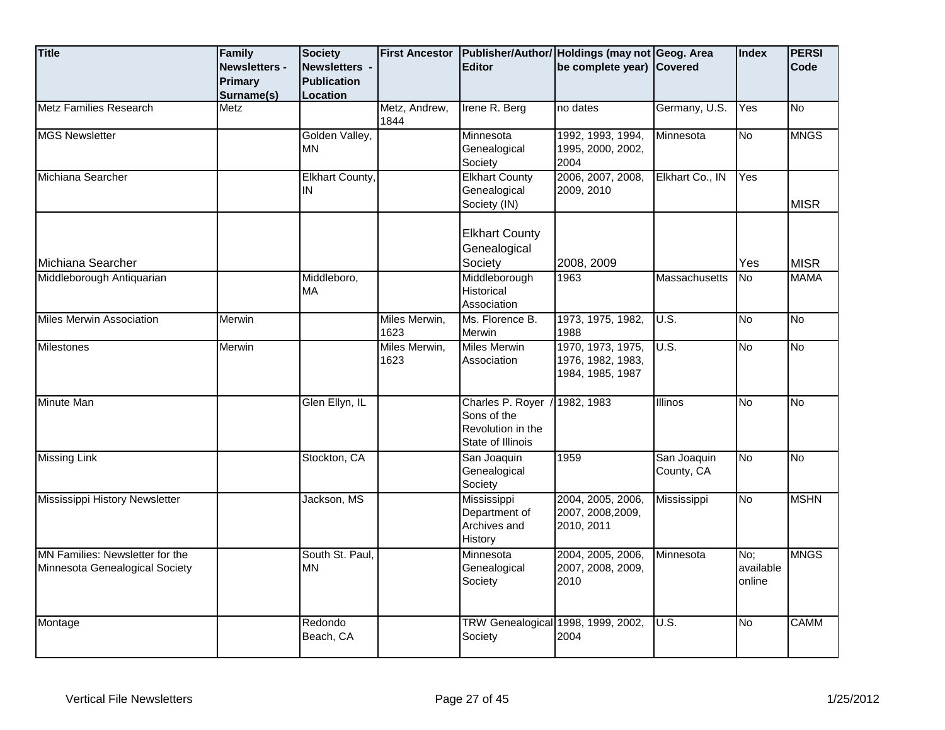| <b>Title</b>                                                      | Family<br>Newsletters -<br><b>Primary</b><br>Surname(s) | <b>Society</b><br>Newsletters -<br><b>Publication</b><br>Location | <b>First Ancestor</b> | <b>Editor</b>                                                               | Publisher/Author/ Holdings (may not Geog. Area<br>be complete year) Covered |                           | <b>Index</b>               | <b>PERSI</b><br>Code |
|-------------------------------------------------------------------|---------------------------------------------------------|-------------------------------------------------------------------|-----------------------|-----------------------------------------------------------------------------|-----------------------------------------------------------------------------|---------------------------|----------------------------|----------------------|
| <b>Metz Families Research</b>                                     | <b>Metz</b>                                             |                                                                   | Metz, Andrew,<br>1844 | Irene R. Berg                                                               | no dates                                                                    | Germany, U.S.             | Yes                        | <b>No</b>            |
| <b>MGS Newsletter</b>                                             |                                                         | Golden Valley,<br><b>MN</b>                                       |                       | Minnesota<br>Genealogical<br>Society                                        | 1992, 1993, 1994,<br>1995, 2000, 2002,<br>2004                              | Minnesota                 | No                         | <b>MNGS</b>          |
| Michiana Searcher                                                 |                                                         | Elkhart County,<br>IN                                             |                       | <b>Elkhart County</b><br>Genealogical<br>Society (IN)                       | 2006, 2007, 2008,<br>2009, 2010                                             | Elkhart Co., IN           | Yes                        | <b>MISR</b>          |
| Michiana Searcher                                                 |                                                         |                                                                   |                       | <b>Elkhart County</b><br>Genealogical<br>Society                            | 2008, 2009                                                                  |                           | Yes                        | <b>MISR</b>          |
| Middleborough Antiquarian                                         |                                                         | Middleboro,<br><b>MA</b>                                          |                       | Middleborough<br>Historical<br>Association                                  | 1963                                                                        | <b>Massachusetts</b>      | No.                        | <b>MAMA</b>          |
| <b>Miles Merwin Association</b>                                   | Merwin                                                  |                                                                   | Miles Merwin,<br>1623 | Ms. Florence B.<br>Merwin                                                   | 1973, 1975, 1982,<br>1988                                                   | U.S.                      | <b>No</b>                  | $\overline{N}$       |
| <b>Milestones</b>                                                 | Merwin                                                  |                                                                   | Miles Merwin,<br>1623 | <b>Miles Merwin</b><br>Association                                          | 1970, 1973, 1975,<br>1976, 1982, 1983,<br>1984, 1985, 1987                  | $\overline{U.S.}$         | No                         | <b>No</b>            |
| Minute Man                                                        |                                                         | Glen Ellyn, IL                                                    |                       | Charles P. Royer /<br>Sons of the<br>Revolution in the<br>State of Illinois | 1982, 1983                                                                  | <b>Illinos</b>            | <b>No</b>                  | No                   |
| <b>Missing Link</b>                                               |                                                         | Stockton, CA                                                      |                       | San Joaquin<br>Genealogical<br>Society                                      | 1959                                                                        | San Joaquin<br>County, CA | <b>No</b>                  | No                   |
| Mississippi History Newsletter                                    |                                                         | Jackson, MS                                                       |                       | Mississippi<br>Department of<br>Archives and<br>History                     | 2004, 2005, 2006,<br>2007, 2008, 2009,<br>2010, 2011                        | Mississippi               | No                         | <b>MSHN</b>          |
| MN Families: Newsletter for the<br>Minnesota Genealogical Society |                                                         | South St. Paul,<br>ΜN                                             |                       | Minnesota<br>Genealogical<br>Society                                        | 2004, 2005, 2006,<br>2007, 2008, 2009,<br>2010                              | Minnesota                 | No:<br>available<br>online | <b>MNGS</b>          |
| Montage                                                           |                                                         | Redondo<br>Beach, CA                                              |                       | TRW Genealogical 1998, 1999, 2002,<br>Society                               | 2004                                                                        | U.S.                      | No                         | <b>CAMM</b>          |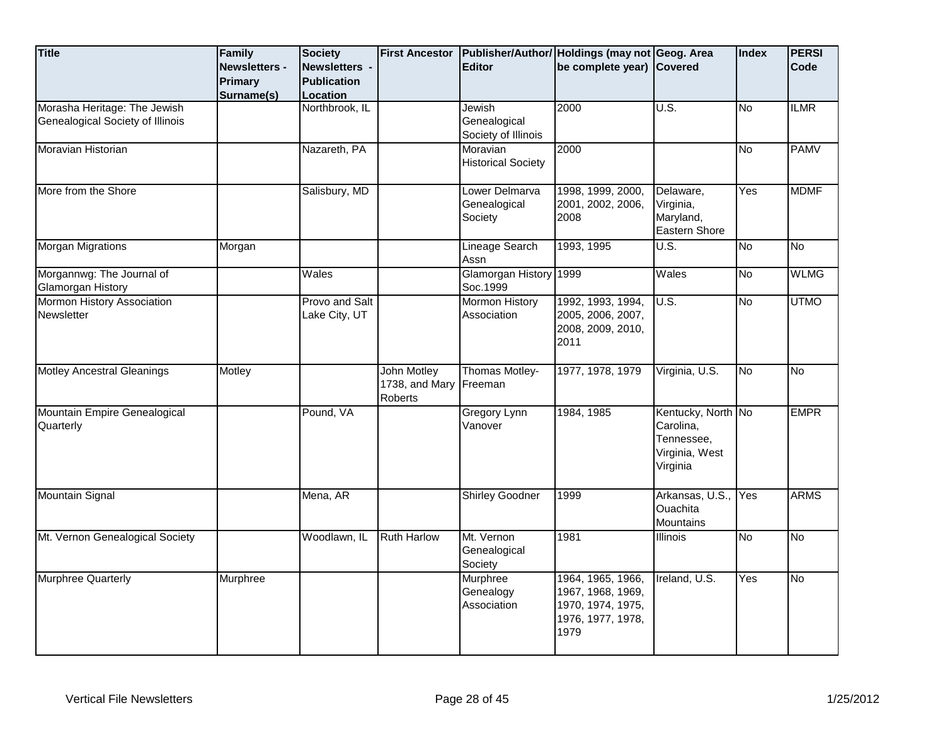| <b>Title</b>                                                     | Family<br><b>Newsletters -</b> | Society<br>Newsletters -        | <b>First Ancestor</b>                                   | <b>Editor</b>                                 | Publisher/Author/ Holdings (may not Geog. Area<br>be complete year) Covered              |                                                                             | Index     | <b>PERSI</b><br>Code |
|------------------------------------------------------------------|--------------------------------|---------------------------------|---------------------------------------------------------|-----------------------------------------------|------------------------------------------------------------------------------------------|-----------------------------------------------------------------------------|-----------|----------------------|
|                                                                  | Primary<br>Surname(s)          | <b>Publication</b><br>Location  |                                                         |                                               |                                                                                          |                                                                             |           |                      |
| Morasha Heritage: The Jewish<br>Genealogical Society of Illinois |                                | Northbrook, IL                  |                                                         | Jewish<br>Genealogical<br>Society of Illinois | 2000                                                                                     | U.S.                                                                        | No        | <b>ILMR</b>          |
| Moravian Historian                                               |                                | Nazareth, PA                    |                                                         | Moravian<br><b>Historical Society</b>         | 2000                                                                                     |                                                                             | No        | <b>PAMV</b>          |
| More from the Shore                                              |                                | Salisbury, MD                   |                                                         | Lower Delmarva<br>Genealogical<br>Society     | 1998, 1999, 2000,<br>2001, 2002, 2006,<br>2008                                           | Delaware,<br>Virginia,<br>Maryland,<br><b>Eastern Shore</b>                 | Yes       | <b>MDMF</b>          |
| <b>Morgan Migrations</b>                                         | Morgan                         |                                 |                                                         | Lineage Search<br>Assn                        | 1993, 1995                                                                               | U.S.                                                                        | Μ         | No                   |
| Morgannwg: The Journal of<br>Glamorgan History                   |                                | Wales                           |                                                         | Glamorgan History 1999<br>Soc.1999            |                                                                                          | Wales                                                                       | No        | <b>WLMG</b>          |
| Mormon History Association<br>Newsletter                         |                                | Provo and Salt<br>Lake City, UT |                                                         | <b>Mormon History</b><br>Association          | 1992, 1993, 1994,<br>2005, 2006, 2007,<br>2008, 2009, 2010,<br>2011                      | U.S.                                                                        | δ         | <b>UTMO</b>          |
| <b>Motley Ancestral Gleanings</b>                                | Motley                         |                                 | John Motley<br>1738, and Mary Freeman<br><b>Roberts</b> | Thomas Motley-                                | 1977, 1978, 1979                                                                         | Virginia, U.S.                                                              | <b>No</b> | <b>No</b>            |
| Mountain Empire Genealogical<br>Quarterly                        |                                | Pound, VA                       |                                                         | Gregory Lynn<br>Vanover                       | 1984, 1985                                                                               | Kentucky, North No<br>Carolina,<br>Tennessee,<br>Virginia, West<br>Virginia |           | <b>EMPR</b>          |
| <b>Mountain Signal</b>                                           |                                | Mena, AR                        |                                                         | <b>Shirley Goodner</b>                        | 1999                                                                                     | Arkansas, U.S.,<br><b>Ouachita</b><br><b>Mountains</b>                      | Yes       | <b>ARMS</b>          |
| Mt. Vernon Genealogical Society                                  |                                | Woodlawn, IL                    | <b>Ruth Harlow</b>                                      | Mt. Vernon<br>Genealogical<br>Society         | 1981                                                                                     | <b>Illinois</b>                                                             | No        | No                   |
| <b>Murphree Quarterly</b>                                        | Murphree                       |                                 |                                                         | Murphree<br>Genealogy<br>Association          | 1964, 1965, 1966,<br>1967, 1968, 1969,<br>1970, 1974, 1975,<br>1976, 1977, 1978,<br>1979 | Ireland, U.S.                                                               | Yes       | No                   |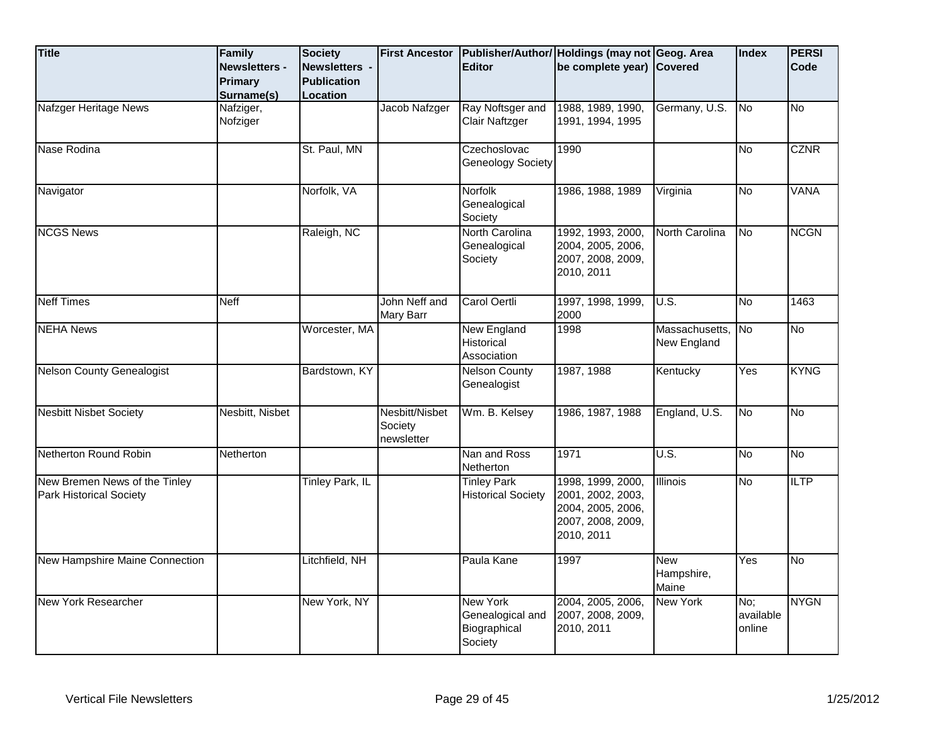| <b>Title</b>                                                    | Family<br><b>Newsletters -</b><br>Primary<br>Surname(s) | Society<br>Newsletters -<br><b>Publication</b><br>Location | <b>First Ancestor</b>                   | <b>Editor</b>                                                  | Publisher/Author/ Holdings (may not Geog. Area<br>be complete year) Covered                    |                                   | Index                      | <b>PERSI</b><br>Code |
|-----------------------------------------------------------------|---------------------------------------------------------|------------------------------------------------------------|-----------------------------------------|----------------------------------------------------------------|------------------------------------------------------------------------------------------------|-----------------------------------|----------------------------|----------------------|
| Nafzger Heritage News                                           | Nafziger,<br>Nofziger                                   |                                                            | Jacob Nafzger                           | Ray Noftsger and<br>Clair Naftzger                             | 1988, 1989, 1990,<br>1991, 1994, 1995                                                          | Germany, U.S.                     | <b>No</b>                  | No                   |
| Nase Rodina                                                     |                                                         | St. Paul, MN                                               |                                         | Czechoslovac<br>Geneology Society                              | 1990                                                                                           |                                   | <b>No</b>                  | <b>CZNR</b>          |
| Navigator                                                       |                                                         | Norfolk, VA                                                |                                         | Norfolk<br>Genealogical<br>Society                             | 1986, 1988, 1989                                                                               | Virginia                          | <b>No</b>                  | <b>VANA</b>          |
| <b>NCGS News</b>                                                |                                                         | Raleigh, NC                                                |                                         | North Carolina<br>Genealogical<br>Society                      | 1992, 1993, 2000,<br>2004, 2005, 2006,<br>2007, 2008, 2009,<br>2010, 2011                      | North Carolina                    | <b>No</b>                  | <b>NCGN</b>          |
| <b>Neff Times</b>                                               | <b>Neff</b>                                             |                                                            | John Neff and<br>Mary Barr              | Carol Oertli                                                   | 1997, 1998, 1999,<br>2000                                                                      | U.S.                              | No                         | 1463                 |
| <b>NEHA News</b>                                                |                                                         | Worcester, MA                                              |                                         | <b>New England</b><br>Historical<br>Association                | 1998                                                                                           | Massachusetts,<br>New England     | N <sub>o</sub>             | $\overline{N}$       |
| <b>Nelson County Genealogist</b>                                |                                                         | Bardstown, KY                                              |                                         | <b>Nelson County</b><br>Genealogist                            | 1987, 1988                                                                                     | Kentucky                          | Yes                        | <b>KYNG</b>          |
| <b>Nesbitt Nisbet Society</b>                                   | Nesbitt, Nisbet                                         |                                                            | Nesbitt/Nisbet<br>Society<br>newsletter | Wm. B. Kelsey                                                  | 1986, 1987, 1988                                                                               | England, U.S.                     | No                         | <b>No</b>            |
| Netherton Round Robin                                           | <b>Netherton</b>                                        |                                                            |                                         | Nan and Ross<br>Netherton                                      | 1971                                                                                           | U.S.                              | <b>No</b>                  | <b>No</b>            |
| New Bremen News of the Tinley<br><b>Park Historical Society</b> |                                                         | <b>Tinley Park, IL</b>                                     |                                         | <b>Tinley Park</b><br><b>Historical Society</b>                | 1998, 1999, 2000,<br>2001, 2002, 2003,<br>2004, 2005, 2006,<br>2007, 2008, 2009,<br>2010, 2011 | <b>Illinois</b>                   | No                         | <b>ILTP</b>          |
| New Hampshire Maine Connection                                  |                                                         | Litchfield, NH                                             |                                         | Paula Kane                                                     | 1997                                                                                           | <b>New</b><br>Hampshire,<br>Maine | Yes                        | No                   |
| New York Researcher                                             |                                                         | New York, NY                                               |                                         | <b>New York</b><br>Genealogical and<br>Biographical<br>Society | 2004, 2005, 2006,<br>2007, 2008, 2009,<br>2010, 2011                                           | New York                          | No;<br>available<br>online | <b>NYGN</b>          |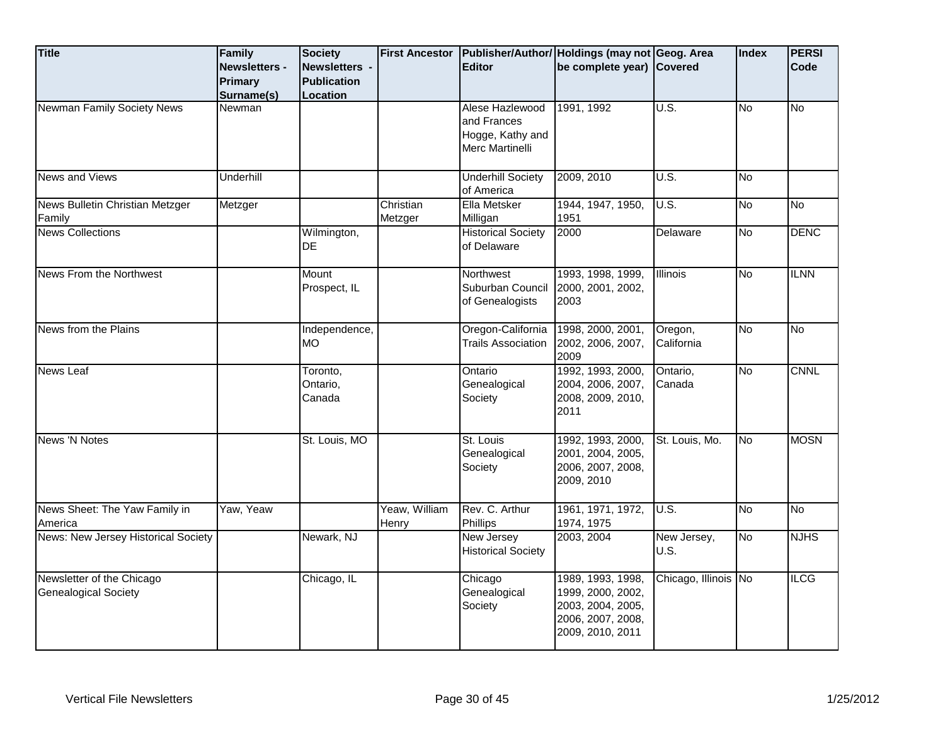| <b>Title</b>                                             | Family<br>Newsletters -<br>Primary<br>Surname(s) | <b>Society</b><br><b>Newsletters -</b><br><b>Publication</b><br>Location | <b>First Ancestor</b>  | <b>Editor</b>                                                         | Publisher/Author/ Holdings (may not Geog. Area<br>be complete year) Covered                          |                       | Index     | <b>PERSI</b><br>Code |
|----------------------------------------------------------|--------------------------------------------------|--------------------------------------------------------------------------|------------------------|-----------------------------------------------------------------------|------------------------------------------------------------------------------------------------------|-----------------------|-----------|----------------------|
| Newman Family Society News                               | Newman                                           |                                                                          |                        | Alese Hazlewood<br>and Frances<br>Hogge, Kathy and<br>Merc Martinelli | 1991, 1992                                                                                           | U.S.                  | No        | No                   |
| News and Views                                           | Underhill                                        |                                                                          |                        | <b>Underhill Society</b><br>of America                                | 2009, 2010                                                                                           | U.S.                  | No        |                      |
| News Bulletin Christian Metzger<br>Family                | Metzger                                          |                                                                          | Christian<br>Metzger   | Ella Metsker<br>Milligan                                              | 1944, 1947, 1950,<br>1951                                                                            | U.S.                  | No        | <b>No</b>            |
| <b>News Collections</b>                                  |                                                  | Wilmington,<br><b>DE</b>                                                 |                        | <b>Historical Society</b><br>of Delaware                              | 2000                                                                                                 | Delaware              | No        | <b>DENC</b>          |
| News From the Northwest                                  |                                                  | Mount<br>Prospect, IL                                                    |                        | Northwest<br>Suburban Council<br>of Genealogists                      | 1993, 1998, 1999,<br>2000, 2001, 2002,<br>2003                                                       | <b>Illinois</b>       | <b>No</b> | <b>ILNN</b>          |
| News from the Plains                                     |                                                  | Independence,<br>MO.                                                     |                        | Oregon-California<br><b>Trails Association</b>                        | 1998, 2000, 2001,<br>2002, 2006, 2007,<br>2009                                                       | Oregon,<br>California | <b>No</b> | δ                    |
| <b>News Leaf</b>                                         |                                                  | Toronto,<br>Ontario,<br>Canada                                           |                        | Ontario<br>Genealogical<br>Society                                    | 1992, 1993, 2000,<br>2004, 2006, 2007,<br>2008, 2009, 2010,<br>2011                                  | Ontario,<br>Canada    | No        | <b>CNNL</b>          |
| <b>News 'N Notes</b>                                     |                                                  | St. Louis, MO                                                            |                        | St. Louis<br>Genealogical<br>Society                                  | 1992, 1993, 2000,<br>2001, 2004, 2005,<br>2006, 2007, 2008,<br>2009, 2010                            | St. Louis, Mo.        | No        | <b>MOSN</b>          |
| News Sheet: The Yaw Family in<br>America                 | Yaw, Yeaw                                        |                                                                          | Yeaw, William<br>Henry | Rev. C. Arthur<br>Phillips                                            | 1961, 1971, 1972,<br>1974, 1975                                                                      | U.S.                  | No        | $\overline{No}$      |
| News: New Jersey Historical Society                      |                                                  | Newark, NJ                                                               |                        | New Jersey<br><b>Historical Society</b>                               | 2003, 2004                                                                                           | New Jersey,<br>U.S.   | No        | <b>NJHS</b>          |
| Newsletter of the Chicago<br><b>Genealogical Society</b> |                                                  | Chicago, IL                                                              |                        | Chicago<br>Genealogical<br>Society                                    | 1989, 1993, 1998,<br>1999, 2000, 2002,<br>2003, 2004, 2005,<br>2006, 2007, 2008,<br>2009, 2010, 2011 | Chicago, Illinois No  |           | <b>ILCG</b>          |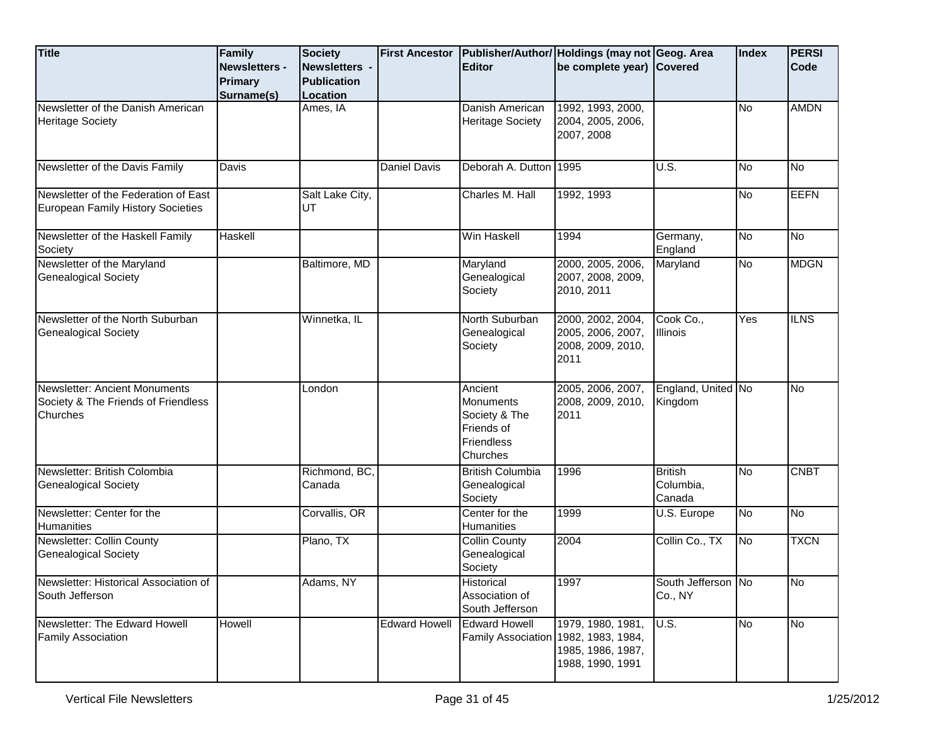| <b>Title</b><br>Newsletter of the Danish American                                | Family<br><b>Newsletters -</b><br>Primary<br>Surname(s) | <b>Society</b><br>Newsletters -<br><b>Publication</b><br>Location<br>Ames, IA | <b>First Ancestor</b> | <b>Editor</b><br>Danish American                                                     | Publisher/Author/ Holdings (may not Geog. Area<br>be complete year) Covered<br>1992, 1993, 2000, |                                       | Index<br>No              | <b>PERSI</b><br><b>Code</b><br><b>AMDN</b> |
|----------------------------------------------------------------------------------|---------------------------------------------------------|-------------------------------------------------------------------------------|-----------------------|--------------------------------------------------------------------------------------|--------------------------------------------------------------------------------------------------|---------------------------------------|--------------------------|--------------------------------------------|
| <b>Heritage Society</b>                                                          |                                                         |                                                                               |                       | <b>Heritage Society</b>                                                              | 2004, 2005, 2006,<br>2007, 2008                                                                  |                                       |                          |                                            |
| Newsletter of the Davis Family                                                   | Davis                                                   |                                                                               | Daniel Davis          | Deborah A. Dutton 1995                                                               |                                                                                                  | U.S.                                  | <b>No</b>                | No                                         |
| Newsletter of the Federation of East<br>European Family History Societies        |                                                         | Salt Lake City,<br>UT                                                         |                       | Charles M. Hall                                                                      | 1992, 1993                                                                                       |                                       | <b>No</b>                | <b>EEFN</b>                                |
| Newsletter of the Haskell Family<br>Society                                      | Haskell                                                 |                                                                               |                       | Win Haskell                                                                          | 1994                                                                                             | Germany,<br>England                   | <b>No</b>                | No                                         |
| Newsletter of the Maryland<br><b>Genealogical Society</b>                        |                                                         | Baltimore, MD                                                                 |                       | Maryland<br>Genealogical<br>Society                                                  | 2000, 2005, 2006,<br>2007, 2008, 2009,<br>2010, 2011                                             | Maryland                              | $\overline{\text{No}}$   | <b>MDGN</b>                                |
| Newsletter of the North Suburban<br><b>Genealogical Society</b>                  |                                                         | Winnetka, IL                                                                  |                       | North Suburban<br>Genealogical<br>Society                                            | 2000, 2002, 2004,<br>2005, 2006, 2007,<br>2008, 2009, 2010,<br>2011                              | Cook Co.,<br><b>Illinois</b>          | Yes                      | <b>ILNS</b>                                |
| Newsletter: Ancient Monuments<br>Society & The Friends of Friendless<br>Churches |                                                         | London                                                                        |                       | Ancient<br><b>Monuments</b><br>Society & The<br>Friends of<br>Friendless<br>Churches | 2005, 2006, 2007,<br>2008, 2009, 2010,<br>2011                                                   | England, United No<br>Kingdom         |                          | No                                         |
| Newsletter: British Colombia<br><b>Genealogical Society</b>                      |                                                         | Richmond, BC.<br>Canada                                                       |                       | <b>British Columbia</b><br>Genealogical<br>Society                                   | 1996                                                                                             | <b>British</b><br>Columbia,<br>Canada | $\overline{\mathsf{No}}$ | <b>CNBT</b>                                |
| Newsletter: Center for the<br>Humanities                                         |                                                         | Corvallis, OR                                                                 |                       | Center for the<br>Humanities                                                         | 1999                                                                                             | U.S. Europe                           | No                       | No                                         |
| Newsletter: Collin County<br><b>Genealogical Society</b>                         |                                                         | Plano, TX                                                                     |                       | <b>Collin County</b><br>Genealogical<br>Society                                      | 2004                                                                                             | Collin Co., TX                        | $\overline{\text{No}}$   | <b>TXCN</b>                                |
| Newsletter: Historical Association of<br>South Jefferson                         |                                                         | Adams, NY                                                                     |                       | <b>Historical</b><br>Association of<br>South Jefferson                               | 1997                                                                                             | South Jefferson INo<br>Co., NY        |                          | INo                                        |
| Newsletter: The Edward Howell<br><b>Family Association</b>                       | <b>Howell</b>                                           |                                                                               | <b>Edward Howell</b>  | <b>Edward Howell</b><br>Family Association 1982, 1983, 1984,                         | 1979, 1980, 1981,<br>1985, 1986, 1987,<br>1988, 1990, 1991                                       | U.S.                                  | No                       | <b>No</b>                                  |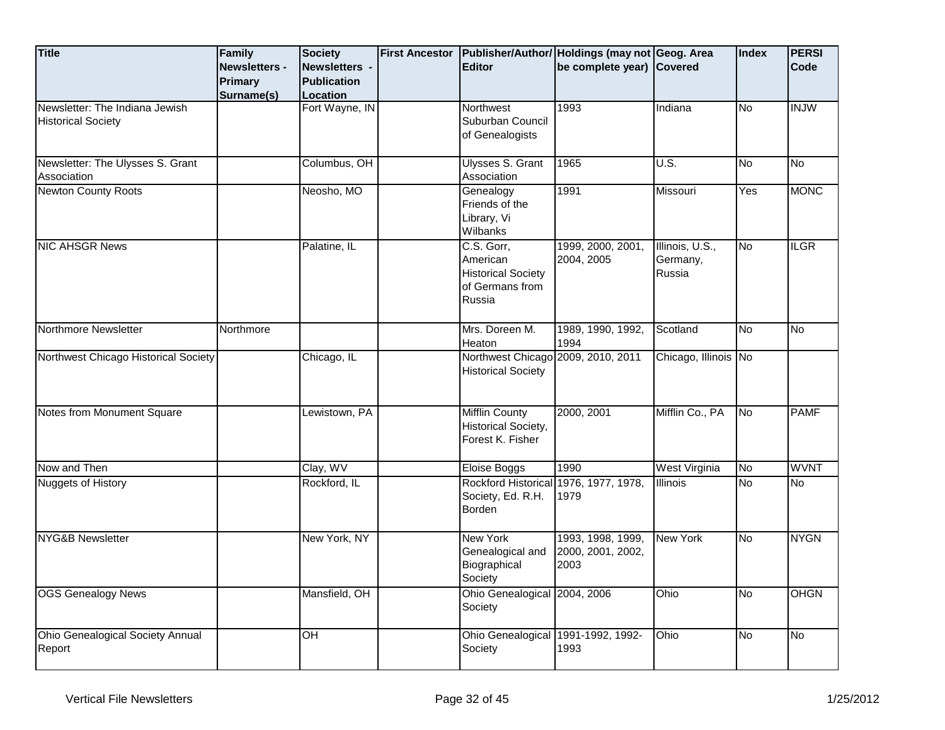| <b>Title</b>                                                | Family<br><b>Newsletters -</b><br><b>Primary</b><br>Surname(s) | <b>Society</b><br>Newsletters -<br><b>Publication</b><br>Location | <b>First Ancestor</b> | <b>Editor</b>                                                                    | Publisher/Author/ Holdings (may not Geog. Area<br>be complete year) Covered |                                       | Index     | <b>PERSI</b><br>Code |
|-------------------------------------------------------------|----------------------------------------------------------------|-------------------------------------------------------------------|-----------------------|----------------------------------------------------------------------------------|-----------------------------------------------------------------------------|---------------------------------------|-----------|----------------------|
| Newsletter: The Indiana Jewish<br><b>Historical Society</b> |                                                                | Fort Wayne, IN                                                    |                       | Northwest<br>Suburban Council<br>of Genealogists                                 | 1993                                                                        | Indiana                               | No        | <b>INJW</b>          |
| Newsletter: The Ulysses S. Grant<br>Association             |                                                                | Columbus, OH                                                      |                       | <b>Ulysses S. Grant</b><br>Association                                           | 1965                                                                        | $\overline{U.S.}$                     | <b>No</b> | No                   |
| <b>Newton County Roots</b>                                  |                                                                | Neosho, MO                                                        |                       | Genealogy<br>Friends of the<br>Library, Vi<br>Wilbanks                           | 1991                                                                        | Missouri                              | Yes       | <b>MONC</b>          |
| <b>NIC AHSGR News</b>                                       |                                                                | Palatine, IL                                                      |                       | C.S. Gorr,<br>American<br><b>Historical Society</b><br>of Germans from<br>Russia | 1999, 2000, 2001,<br>2004, 2005                                             | Illinois, U.S.,<br>Germany,<br>Russia | No        | <b>ILGR</b>          |
| Northmore Newsletter                                        | Northmore                                                      |                                                                   |                       | Mrs. Doreen M.<br>Heaton                                                         | 1989, 1990, 1992,<br>1994                                                   | Scotland                              | No        | <b>No</b>            |
| Northwest Chicago Historical Society                        |                                                                | Chicago, IL                                                       |                       | Northwest Chicago 2009, 2010, 2011<br><b>Historical Society</b>                  |                                                                             | Chicago, Illinois No                  |           |                      |
| Notes from Monument Square                                  |                                                                | Lewistown, PA                                                     |                       | Mifflin County<br>Historical Society,<br>Forest K. Fisher                        | 2000, 2001                                                                  | Mifflin Co., PA                       | lNo.      | <b>PAMF</b>          |
| Now and Then                                                |                                                                | Clay, WV                                                          |                       | Eloise Boggs                                                                     | 1990                                                                        | West Virginia                         | <b>No</b> | <b>WVNT</b>          |
| Nuggets of History                                          |                                                                | Rockford, IL                                                      |                       | Rockford Historical<br>Society, Ed. R.H.<br>Borden                               | 1976, 1977, 1978,<br>1979                                                   | Illinois                              | No        | <b>No</b>            |
| <b>NYG&amp;B Newsletter</b>                                 |                                                                | New York, NY                                                      |                       | <b>New York</b><br>Genealogical and<br>Biographical<br>Society                   | 1993, 1998, 1999,<br>2000, 2001, 2002,<br>2003                              | <b>New York</b>                       | No        | <b>NYGN</b>          |
| <b>OGS Genealogy News</b>                                   |                                                                | Mansfield, OH                                                     |                       | Ohio Genealogical 2004, 2006<br>Society                                          |                                                                             | Ohio                                  | No        | <b>OHGN</b>          |
| Ohio Genealogical Society Annual<br>Report                  |                                                                | OH                                                                |                       | Ohio Genealogical 1991-1992, 1992-<br>Society                                    | 1993                                                                        | Ohio                                  | No        | No                   |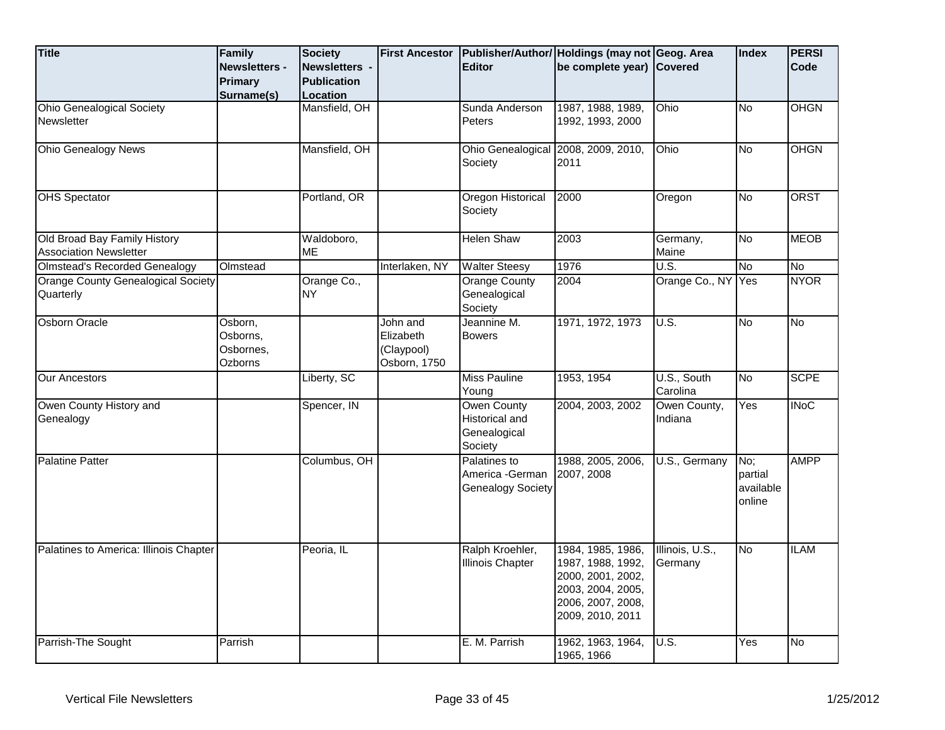| <b>Title</b>                                                  | Family<br><b>Newsletters -</b><br><b>Primary</b><br>Surname(s) | <b>Society</b><br><b>Newsletters -</b><br><b>Publication</b><br>Location | <b>First Ancestor</b>                               | <b>Editor</b>                                                   | Publisher/Author/ Holdings (may not Geog. Area<br>be complete year) Covered                                               |                            | <b>Index</b>                          | <b>PERSI</b><br>Code |
|---------------------------------------------------------------|----------------------------------------------------------------|--------------------------------------------------------------------------|-----------------------------------------------------|-----------------------------------------------------------------|---------------------------------------------------------------------------------------------------------------------------|----------------------------|---------------------------------------|----------------------|
| <b>Ohio Genealogical Society</b><br>Newsletter                |                                                                | Mansfield, OH                                                            |                                                     | Sunda Anderson<br><b>Peters</b>                                 | 1987, 1988, 1989,<br>1992, 1993, 2000                                                                                     | Ohio                       | No                                    | OHGN                 |
| <b>Ohio Genealogy News</b>                                    |                                                                | Mansfield, OH                                                            |                                                     | Society                                                         | Ohio Genealogical 2008, 2009, 2010,<br>2011                                                                               | Ohio                       | No                                    | <b>OHGN</b>          |
| <b>OHS Spectator</b>                                          |                                                                | Portland, OR                                                             |                                                     | Oregon Historical<br>Society                                    | 2000                                                                                                                      | Oregon                     | No                                    | <b>ORST</b>          |
| Old Broad Bay Family History<br><b>Association Newsletter</b> |                                                                | Waldoboro,<br><b>ME</b>                                                  |                                                     | <b>Helen Shaw</b>                                               | 2003                                                                                                                      | Germany,<br>Maine          | No                                    | <b>MEOB</b>          |
| Olmstead's Recorded Genealogy                                 | Olmstead                                                       |                                                                          | Interlaken, NY                                      | <b>Walter Steesy</b>                                            | 1976                                                                                                                      | U.S.                       | No                                    | <b>No</b>            |
| <b>Orange County Genealogical Society</b><br>Quarterly        |                                                                | Orange Co.,<br><b>NY</b>                                                 |                                                     | <b>Orange County</b><br>Genealogical<br>Society                 | 2004                                                                                                                      | Orange Co., NY Yes         |                                       | <b>NYOR</b>          |
| <b>Osborn Oracle</b>                                          | Osborn,<br>Osborns,<br>Osbornes,<br>Ozborns                    |                                                                          | John and<br>Elizabeth<br>(Claypool)<br>Osborn, 1750 | Jeannine M.<br><b>Bowers</b>                                    | 1971, 1972, 1973                                                                                                          | U.S.                       | No                                    | <b>No</b>            |
| <b>Our Ancestors</b>                                          |                                                                | Liberty, SC                                                              |                                                     | <b>Miss Pauline</b><br>Young                                    | 1953, 1954                                                                                                                | U.S., South<br>Carolina    | No                                    | <b>SCPE</b>          |
| Owen County History and<br>Genealogy                          |                                                                | Spencer, IN                                                              |                                                     | <b>Owen County</b><br>Historical and<br>Genealogical<br>Society | 2004, 2003, 2002                                                                                                          | Owen County,<br>Indiana    | Yes                                   | <b>INoC</b>          |
| <b>Palatine Patter</b>                                        |                                                                | Columbus, OH                                                             |                                                     | Palatines to<br>America -German<br><b>Genealogy Society</b>     | 1988, 2005, 2006,<br>2007, 2008                                                                                           | U.S., Germany              | No:<br>partial<br>available<br>online | <b>AMPP</b>          |
| Palatines to America: Illinois Chapter                        |                                                                | Peoria, IL                                                               |                                                     | Ralph Kroehler,<br><b>Illinois Chapter</b>                      | 1984, 1985, 1986,<br>1987, 1988, 1992,<br>2000, 2001, 2002,<br>2003, 2004, 2005,<br>2006, 2007, 2008,<br>2009, 2010, 2011 | Illinois, U.S.,<br>Germany | No                                    | <b>ILAM</b>          |
| Parrish-The Sought                                            | Parrish                                                        |                                                                          |                                                     | E. M. Parrish                                                   | 1962, 1963, 1964,<br>1965, 1966                                                                                           | U.S.                       | $\overline{Y}$ es                     | No                   |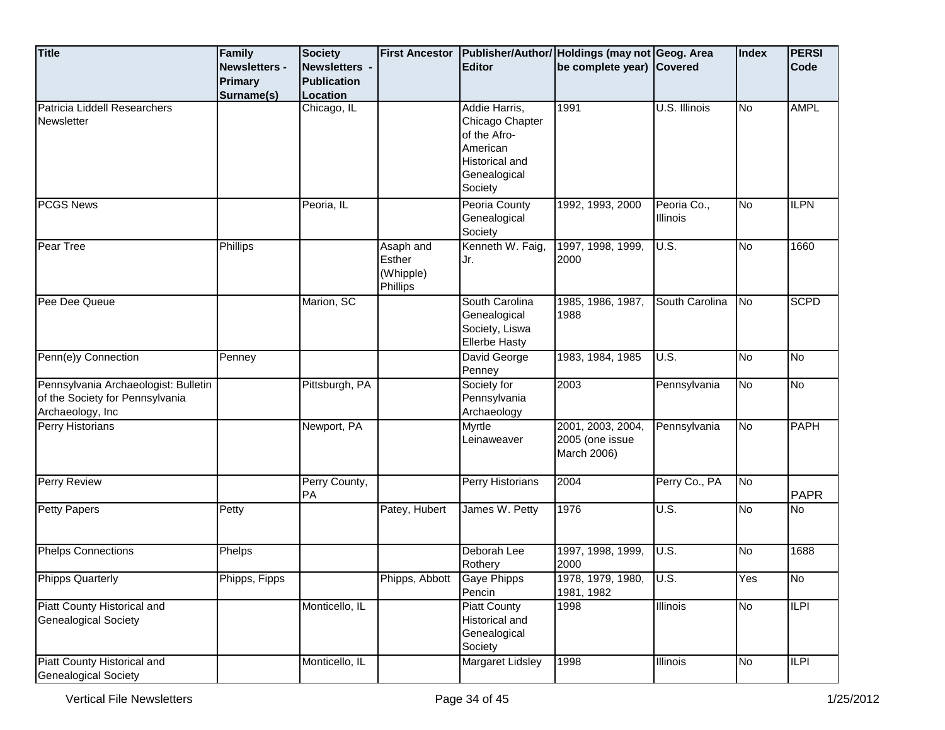| <b>Title</b>                                                                                | <b>Family</b><br><b>Newsletters -</b><br><b>Primary</b> | <b>Society</b><br>Newsletters -<br><b>Publication</b> | <b>First Ancestor</b>                        | <b>Editor</b>                                                                                                    | Publisher/Author/ Holdings (may not Geog. Area<br>be complete year) Covered |                         | Index     | <b>PERSI</b><br>Code |
|---------------------------------------------------------------------------------------------|---------------------------------------------------------|-------------------------------------------------------|----------------------------------------------|------------------------------------------------------------------------------------------------------------------|-----------------------------------------------------------------------------|-------------------------|-----------|----------------------|
| Patricia Liddell Researchers<br>Newsletter                                                  | Surname(s)                                              | Location<br>Chicago, IL                               |                                              | Addie Harris,<br>Chicago Chapter<br>of the Afro-<br>American<br><b>Historical and</b><br>Genealogical<br>Society | 1991                                                                        | U.S. Illinois           | <b>No</b> | <b>AMPL</b>          |
| <b>PCGS News</b>                                                                            |                                                         | Peoria, IL                                            |                                              | Peoria County<br>Genealogical<br>Society                                                                         | 1992, 1993, 2000                                                            | Peoria Co.,<br>Illinois | <b>No</b> | <b>ILPN</b>          |
| Pear Tree                                                                                   | Phillips                                                |                                                       | Asaph and<br>Esther<br>(Whipple)<br>Phillips | Kenneth W. Faig,<br>Jr.                                                                                          | 1997, 1998, 1999,<br>2000                                                   | U.S.                    | <b>No</b> | 1660                 |
| Pee Dee Queue                                                                               |                                                         | Marion, SC                                            |                                              | South Carolina<br>Genealogical<br>Society, Liswa<br><b>Ellerbe Hasty</b>                                         | 1985, 1986, 1987,<br>1988                                                   | South Carolina          | <b>No</b> | <b>SCPD</b>          |
| Penn(e)y Connection                                                                         | Penney                                                  |                                                       |                                              | David George<br>Penney                                                                                           | 1983, 1984, 1985                                                            | U.S.                    | <b>No</b> | <b>No</b>            |
| Pennsylvania Archaeologist: Bulletin<br>of the Society for Pennsylvania<br>Archaeology, Inc |                                                         | Pittsburgh, PA                                        |                                              | Society for<br>Pennsylvania<br>Archaeology                                                                       | 2003                                                                        | Pennsylvania            | <b>No</b> | No                   |
| Perry Historians                                                                            |                                                         | Newport, PA                                           |                                              | Myrtle<br>Leinaweaver                                                                                            | 2001, 2003, 2004,<br>2005 (one issue<br>March 2006)                         | Pennsylvania            | <b>No</b> | <b>PAPH</b>          |
| Perry Review                                                                                |                                                         | Perry County,<br>PA                                   |                                              | Perry Historians                                                                                                 | 2004                                                                        | Perry Co., PA           | <b>No</b> | <b>PAPR</b>          |
| <b>Petty Papers</b>                                                                         | Petty                                                   |                                                       | Patey, Hubert                                | James W. Petty                                                                                                   | 1976                                                                        | U.S.                    | No        | <b>No</b>            |
| <b>Phelps Connections</b>                                                                   | Phelps                                                  |                                                       |                                              | Deborah Lee<br>Rothery                                                                                           | 1997, 1998, 1999,<br>2000                                                   | U.S.                    | No        | 1688                 |
| <b>Phipps Quarterly</b>                                                                     | Phipps, Fipps                                           |                                                       | Phipps, Abbott Gaye Phipps                   | Pencin                                                                                                           | 1978, 1979, 1980,<br>1981, 1982                                             | U.S.                    | Yes       | No                   |
| Piatt County Historical and<br><b>Genealogical Society</b>                                  |                                                         | Monticello, IL                                        |                                              | <b>Piatt County</b><br><b>Historical and</b><br>Genealogical<br>Society                                          | 1998                                                                        | Illinois                | <b>No</b> | ILPI                 |
| Piatt County Historical and<br><b>Genealogical Society</b>                                  |                                                         | Monticello, IL                                        |                                              | <b>Margaret Lidsley</b>                                                                                          | 1998                                                                        | <b>Illinois</b>         | No        | $\overline{LPI}$     |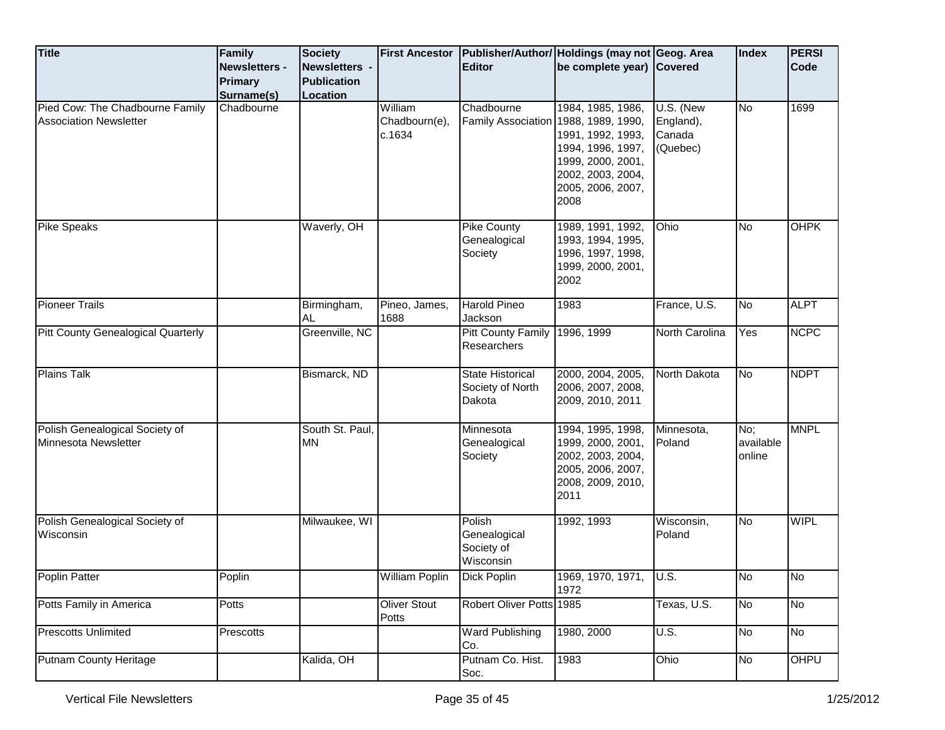| <b>Title</b>                                                     | Family<br>Newsletters -  | <b>Society</b><br>Newsletters - | <b>First Ancestor</b>              | <b>Editor</b>                                         | Publisher/Author/ Holdings (may not Geog. Area<br>be complete year) Covered                                                        |                                              | <b>Index</b>                                      | <b>PERSI</b><br>Code |
|------------------------------------------------------------------|--------------------------|---------------------------------|------------------------------------|-------------------------------------------------------|------------------------------------------------------------------------------------------------------------------------------------|----------------------------------------------|---------------------------------------------------|----------------------|
|                                                                  | Primary                  | <b>Publication</b>              |                                    |                                                       |                                                                                                                                    |                                              |                                                   |                      |
| Pied Cow: The Chadbourne Family<br><b>Association Newsletter</b> | Surname(s)<br>Chadbourne | <b>Location</b>                 | William<br>Chadbourn(e),<br>c.1634 | Chadbourne<br>Family Association 1988, 1989, 1990,    | 1984, 1985, 1986,<br>1991, 1992, 1993,<br>1994, 1996, 1997,<br>1999, 2000, 2001,<br>2002, 2003, 2004,<br>2005, 2006, 2007,<br>2008 | U.S. (New<br>England),<br>Canada<br>(Quebec) | <b>No</b>                                         | 1699                 |
| <b>Pike Speaks</b>                                               |                          | Waverly, OH                     |                                    | Pike County<br>Genealogical<br>Society                | 1989, 1991, 1992,<br>1993, 1994, 1995,<br>1996, 1997, 1998,<br>1999, 2000, 2001,<br>2002                                           | Ohio                                         | <b>No</b>                                         | <b>OHPK</b>          |
| <b>Pioneer Trails</b>                                            |                          | Birmingham,<br>AL               | Pineo, James,<br>1688              | <b>Harold Pineo</b><br>Jackson                        | 1983                                                                                                                               | France, U.S.                                 | <b>No</b>                                         | <b>ALPT</b>          |
| <b>Pitt County Genealogical Quarterly</b>                        |                          | Greenville, NC                  |                                    | <b>Pitt County Family</b><br>Researchers              | 1996, 1999                                                                                                                         | North Carolina                               | Yes                                               | <b>NCPC</b>          |
| <b>Plains Talk</b>                                               |                          | Bismarck, ND                    |                                    | <b>State Historical</b><br>Society of North<br>Dakota | 2000, 2004, 2005,<br>2006, 2007, 2008,<br>2009, 2010, 2011                                                                         | North Dakota                                 | <b>No</b>                                         | <b>NDPT</b>          |
| Polish Genealogical Society of<br>Minnesota Newsletter           |                          | South St. Paul,<br><b>MN</b>    |                                    | Minnesota<br>Genealogical<br>Society                  | 1994, 1995, 1998,<br>1999, 2000, 2001,<br>2002, 2003, 2004,<br>2005, 2006, 2007,<br>2008, 2009, 2010,<br>2011                      | Minnesota,<br>Poland                         | $\overline{\mathsf{No}}$ ;<br>available<br>online | <b>MNPL</b>          |
| Polish Genealogical Society of<br>Wisconsin                      |                          | Milwaukee, WI                   |                                    | Polish<br>Genealogical<br>Society of<br>Wisconsin     | 1992, 1993                                                                                                                         | Wisconsin,<br>Poland                         | <b>No</b>                                         | <b>WIPL</b>          |
| Poplin Patter                                                    | Poplin                   |                                 | William Poplin                     | Dick Poplin                                           | 1969, 1970, 1971,<br>1972                                                                                                          | $\overline{\bigcup}$ U.S.                    | $\overline{\text{No}}$                            | No                   |
| Potts Family in America                                          | Potts                    |                                 | <b>Oliver Stout</b><br>Potts       | Robert Oliver Potts 1985                              |                                                                                                                                    | Texas, U.S.                                  | <b>No</b>                                         | <b>No</b>            |
| <b>Prescotts Unlimited</b>                                       | Prescotts                |                                 |                                    | <b>Ward Publishing</b><br>Co.                         | 1980, 2000                                                                                                                         | <b>U.S.</b>                                  | <b>No</b>                                         | No                   |
| <b>Putnam County Heritage</b>                                    |                          | Kalida, OH                      |                                    | Putnam Co. Hist.<br>Soc.                              | 1983                                                                                                                               | Ohio                                         | No                                                | OHPU                 |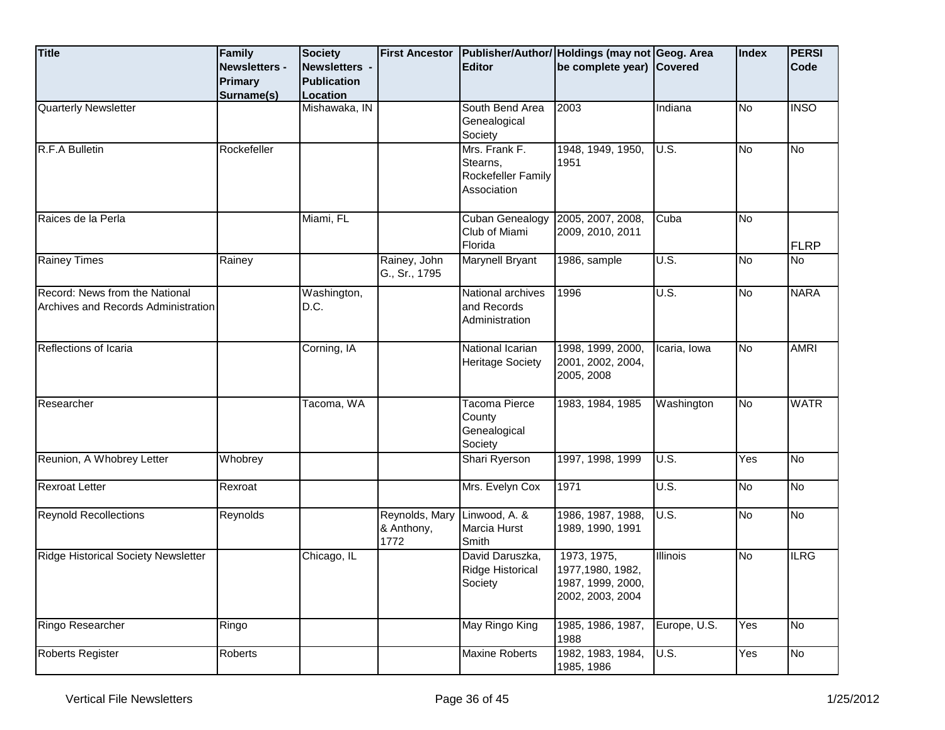| <b>Title</b>                                                          | Family<br><b>Newsletters -</b> | Society<br>Newsletters -       | <b>First Ancestor</b>                | <b>Editor</b>                                                  | Publisher/Author/ Holdings (may not Geog. Area<br>be complete year) Covered |                 | Index             | <b>PERSI</b><br><b>Code</b> |
|-----------------------------------------------------------------------|--------------------------------|--------------------------------|--------------------------------------|----------------------------------------------------------------|-----------------------------------------------------------------------------|-----------------|-------------------|-----------------------------|
|                                                                       | <b>Primary</b><br>Surname(s)   | <b>Publication</b><br>Location |                                      |                                                                |                                                                             |                 |                   |                             |
| <b>Quarterly Newsletter</b>                                           |                                | Mishawaka, IN                  |                                      | South Bend Area<br>Genealogical<br>Society                     | 2003                                                                        | Indiana         | No                | <b>INSO</b>                 |
| R.F.A Bulletin                                                        | Rockefeller                    |                                |                                      | Mrs. Frank F.<br>Stearns,<br>Rockefeller Family<br>Association | 1948, 1949, 1950,<br>1951                                                   | U.S.            | No                | No                          |
| Raices de la Perla                                                    |                                | Miami, FL                      |                                      | <b>Cuban Genealogy</b><br>Club of Miami<br>Florida             | 2005, 2007, 2008,<br>2009, 2010, 2011                                       | Cuba            | No                | <b>FLRP</b>                 |
| <b>Rainey Times</b>                                                   | Rainey                         |                                | Rainey, John<br>G., Sr., 1795        | Marynell Bryant                                                | 1986, sample                                                                | U.S.            | No                | <b>No</b>                   |
| Record: News from the National<br>Archives and Records Administration |                                | Washington,<br>D.C.            |                                      | National archives<br>and Records<br>Administration             | 1996                                                                        | U.S.            | No                | <b>NARA</b>                 |
| Reflections of Icaria                                                 |                                | Corning, IA                    |                                      | National Icarian<br><b>Heritage Society</b>                    | 1998, 1999, 2000,<br>2001, 2002, 2004,<br>2005, 2008                        | Icaria, Iowa    | No.               | <b>AMRI</b>                 |
| Researcher                                                            |                                | Tacoma, WA                     |                                      | <b>Tacoma Pierce</b><br>County<br>Genealogical<br>Society      | 1983, 1984, 1985                                                            | Washington      | No                | <b>WATR</b>                 |
| Reunion, A Whobrey Letter                                             | Whobrey                        |                                |                                      | Shari Ryerson                                                  | 1997, 1998, 1999                                                            | U.S.            | $\overline{Y}$ es | <b>No</b>                   |
| <b>Rexroat Letter</b>                                                 | Rexroat                        |                                |                                      | Mrs. Evelyn Cox                                                | 1971                                                                        | U.S.            | No                | No                          |
| <b>Reynold Recollections</b>                                          | Reynolds                       |                                | Reynolds, Mary<br>& Anthony,<br>1772 | Linwood, A. &<br>Marcia Hurst<br>Smith                         | 1986, 1987, 1988,<br>1989, 1990, 1991                                       | U.S.            | No                | No                          |
| <b>Ridge Historical Society Newsletter</b>                            |                                | Chicago, IL                    |                                      | David Daruszka,<br>Ridge Historical<br>Society                 | 1973, 1975,<br>1977, 1980, 1982,<br>1987, 1999, 2000,<br>2002, 2003, 2004   | <b>Illinois</b> | No                | <b>ILRG</b>                 |
| Ringo Researcher                                                      | Ringo                          |                                |                                      | May Ringo King                                                 | 1985, 1986, 1987,<br>1988                                                   | Europe, U.S.    | Yes               | <b>No</b>                   |
| <b>Roberts Register</b>                                               | Roberts                        |                                |                                      | <b>Maxine Roberts</b>                                          | 1982, 1983, 1984,<br>1985, 1986                                             | U.S.            | Yes               | No                          |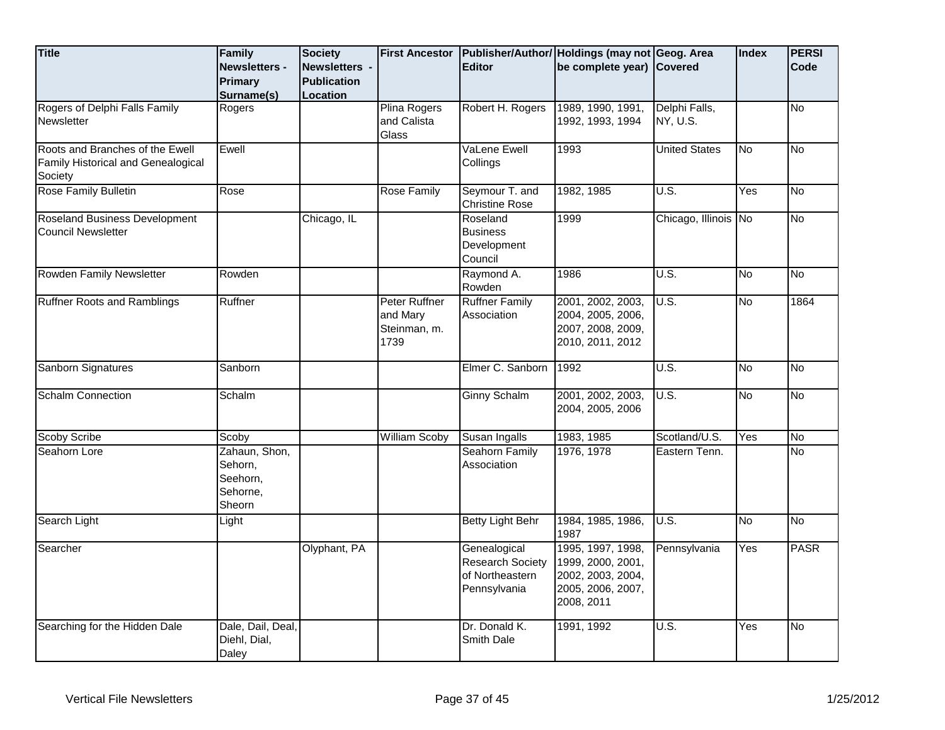| <b>Title</b>                                                                     | Family<br>Newsletters -<br><b>Primary</b><br>Surname(s)    | <b>Society</b><br>Newsletters -<br><b>Publication</b><br>Location | <b>First Ancestor</b>                             | <b>Editor</b>                                                              | Publisher/Author/ Holdings (may not Geog. Area<br>be complete year) Covered                    |                           | <b>Index</b> | <b>PERSI</b><br>Code |
|----------------------------------------------------------------------------------|------------------------------------------------------------|-------------------------------------------------------------------|---------------------------------------------------|----------------------------------------------------------------------------|------------------------------------------------------------------------------------------------|---------------------------|--------------|----------------------|
| Rogers of Delphi Falls Family<br>Newsletter                                      | Rogers                                                     |                                                                   | <b>Plina Rogers</b><br>and Calista<br>Glass       | Robert H. Rogers                                                           | 1989, 1990, 1991,<br>1992, 1993, 1994                                                          | Delphi Falls,<br>NY, U.S. |              | <b>No</b>            |
| Roots and Branches of the Ewell<br>Family Historical and Genealogical<br>Society | Ewell                                                      |                                                                   |                                                   | VaLene Ewell<br>Collings                                                   | 1993                                                                                           | <b>United States</b>      | No           | $\overline{No}$      |
| Rose Family Bulletin                                                             | Rose                                                       |                                                                   | Rose Family                                       | Seymour T. and<br><b>Christine Rose</b>                                    | 1982, 1985                                                                                     | U.S.                      | Yes          | No                   |
| Roseland Business Development<br><b>Council Newsletter</b>                       |                                                            | Chicago, IL                                                       |                                                   | Roseland<br><b>Business</b><br>Development<br>Council                      | 1999                                                                                           | Chicago, Illinois No      |              | <b>No</b>            |
| Rowden Family Newsletter                                                         | Rowden                                                     |                                                                   |                                                   | Raymond A.<br>Rowden                                                       | 1986                                                                                           | U.S.                      | No           | No                   |
| <b>Ruffner Roots and Ramblings</b>                                               | Ruffner                                                    |                                                                   | Peter Ruffner<br>and Mary<br>Steinman, m.<br>1739 | <b>Ruffner Family</b><br>Association                                       | 2001, 2002, 2003,<br>2004, 2005, 2006,<br>2007, 2008, 2009,<br>2010, 2011, 2012                | U.S.                      | <b>No</b>    | 1864                 |
| Sanborn Signatures                                                               | Sanborn                                                    |                                                                   |                                                   | Elmer C. Sanborn                                                           | 1992                                                                                           | U.S.                      | No           | No                   |
| <b>Schalm Connection</b>                                                         | Schalm                                                     |                                                                   |                                                   | Ginny Schalm                                                               | 2001, 2002, 2003,<br>2004, 2005, 2006                                                          | U.S.                      | <b>No</b>    | No                   |
| <b>Scoby Scribe</b>                                                              | Scoby                                                      |                                                                   | William Scoby                                     | Susan Ingalls                                                              | 1983, 1985                                                                                     | Scotland/U.S.             | Yes          | $\overline{N}$       |
| Seahorn Lore                                                                     | Zahaun, Shon,<br>Sehorn,<br>Seehorn,<br>Sehorne,<br>Sheorn |                                                                   |                                                   | <b>Seahorn Family</b><br>Association                                       | 1976, 1978                                                                                     | Eastern Tenn.             |              | <b>No</b>            |
| Search Light                                                                     | Light                                                      |                                                                   |                                                   | <b>Betty Light Behr</b>                                                    | 1984, 1985, 1986,<br>1987                                                                      | U.S.                      | No           | <b>No</b>            |
| Searcher                                                                         |                                                            | Olyphant, PA                                                      |                                                   | Genealogical<br><b>Research Society</b><br>of Northeastern<br>Pennsylvania | 1995, 1997, 1998,<br>1999, 2000, 2001,<br>2002, 2003, 2004,<br>2005, 2006, 2007,<br>2008, 2011 | Pennsylvania              | Yes          | <b>PASR</b>          |
| Searching for the Hidden Dale                                                    | Dale, Dail, Deal,<br>Diehl, Dial,<br>Daley                 |                                                                   |                                                   | Dr. Donald K.<br>Smith Dale                                                | 1991, 1992                                                                                     | U.S.                      | Yes          | <b>No</b>            |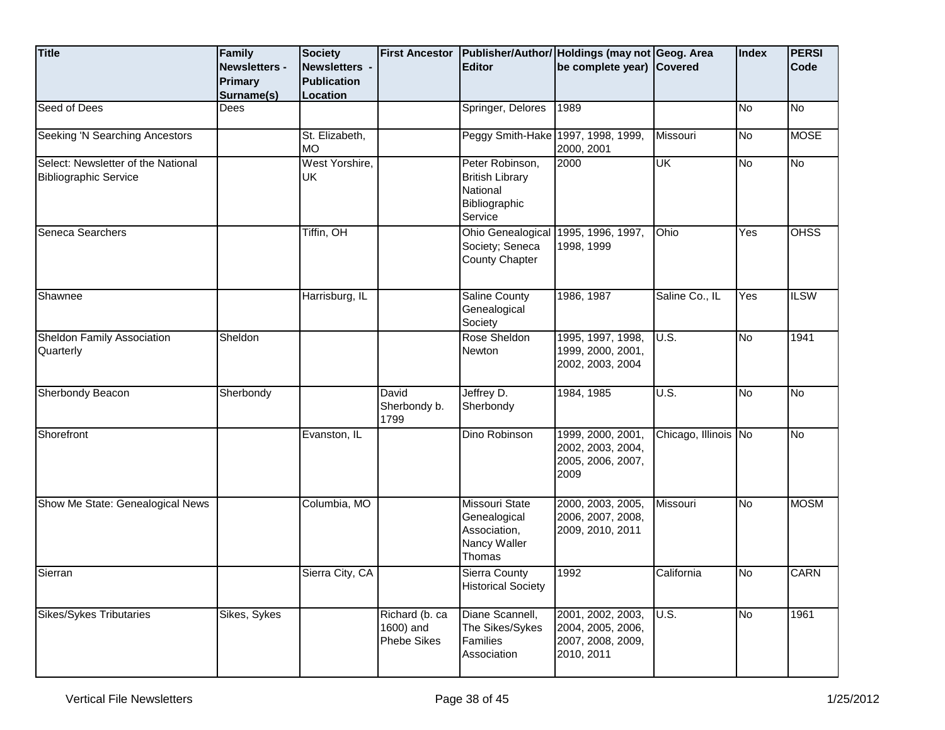| <b>Title</b>                                                       | Family<br><b>Newsletters -</b><br><b>Primary</b><br>Surname(s) | <b>Society</b><br>Newsletters -<br><b>Publication</b><br>Location | <b>First Ancestor</b>                             | <b>Editor</b>                                                                     | Publisher/Author/ Holdings (may not Geog. Area<br>be complete year) Covered |                      | Index | <b>PERSI</b><br>Code |
|--------------------------------------------------------------------|----------------------------------------------------------------|-------------------------------------------------------------------|---------------------------------------------------|-----------------------------------------------------------------------------------|-----------------------------------------------------------------------------|----------------------|-------|----------------------|
| Seed of Dees                                                       | Dees                                                           |                                                                   |                                                   | Springer, Delores                                                                 | 1989                                                                        |                      | No    | No                   |
| Seeking 'N Searching Ancestors                                     |                                                                | St. Elizabeth,<br><b>MO</b>                                       |                                                   | Peggy Smith-Hake 1997, 1998, 1999,                                                | 2000, 2001                                                                  | Missouri             | No    | <b>MOSE</b>          |
| Select: Newsletter of the National<br><b>Bibliographic Service</b> |                                                                | West Yorshire,<br>UK                                              |                                                   | Peter Robinson,<br><b>British Library</b><br>National<br>Bibliographic<br>Service | 2000                                                                        | UK                   | No    | No                   |
| Seneca Searchers                                                   |                                                                | Tiffin, OH                                                        |                                                   | Ohio Genealogical<br>Society; Seneca<br><b>County Chapter</b>                     | 1995, 1996, 1997,<br>1998, 1999                                             | Ohio                 | Yes   | <b>OHSS</b>          |
| Shawnee                                                            |                                                                | Harrisburg, IL                                                    |                                                   | <b>Saline County</b><br>Genealogical<br>Society                                   | 1986, 1987                                                                  | Saline Co., IL       | Yes   | <b>ILSW</b>          |
| Sheldon Family Association<br>Quarterly                            | Sheldon                                                        |                                                                   |                                                   | Rose Sheldon<br><b>Newton</b>                                                     | 1995, 1997, 1998,<br>1999, 2000, 2001,<br>2002, 2003, 2004                  | U.S.                 | No    | 1941                 |
| Sherbondy Beacon                                                   | Sherbondy                                                      |                                                                   | David<br>Sherbondy b.<br>1799                     | Jeffrey D.<br>Sherbondy                                                           | 1984, 1985                                                                  | U.S.                 | No    | No                   |
| Shorefront                                                         |                                                                | Evanston, IL                                                      |                                                   | Dino Robinson                                                                     | 1999, 2000, 2001,<br>2002, 2003, 2004,<br>2005, 2006, 2007,<br>2009         | Chicago, Illinois No |       | No                   |
| Show Me State: Genealogical News                                   |                                                                | Columbia, MO                                                      |                                                   | <b>Missouri State</b><br>Genealogical<br>Association,<br>Nancy Waller<br>Thomas   | 2000, 2003, 2005,<br>2006, 2007, 2008,<br>2009, 2010, 2011                  | Missouri             | No    | <b>MOSM</b>          |
| Sierran                                                            |                                                                | Sierra City, CA                                                   |                                                   | Sierra County<br><b>Historical Society</b>                                        | 1992                                                                        | California           | No    | <b>CARN</b>          |
| <b>Sikes/Sykes Tributaries</b>                                     | Sikes, Sykes                                                   |                                                                   | Richard (b. ca<br>1600) and<br><b>Phebe Sikes</b> | Diane Scannell,<br>The Sikes/Sykes<br><b>Families</b><br>Association              | 2001, 2002, 2003,<br>2004, 2005, 2006,<br>2007, 2008, 2009,<br>2010, 2011   | $\overline{U.S.}$    | No    | 1961                 |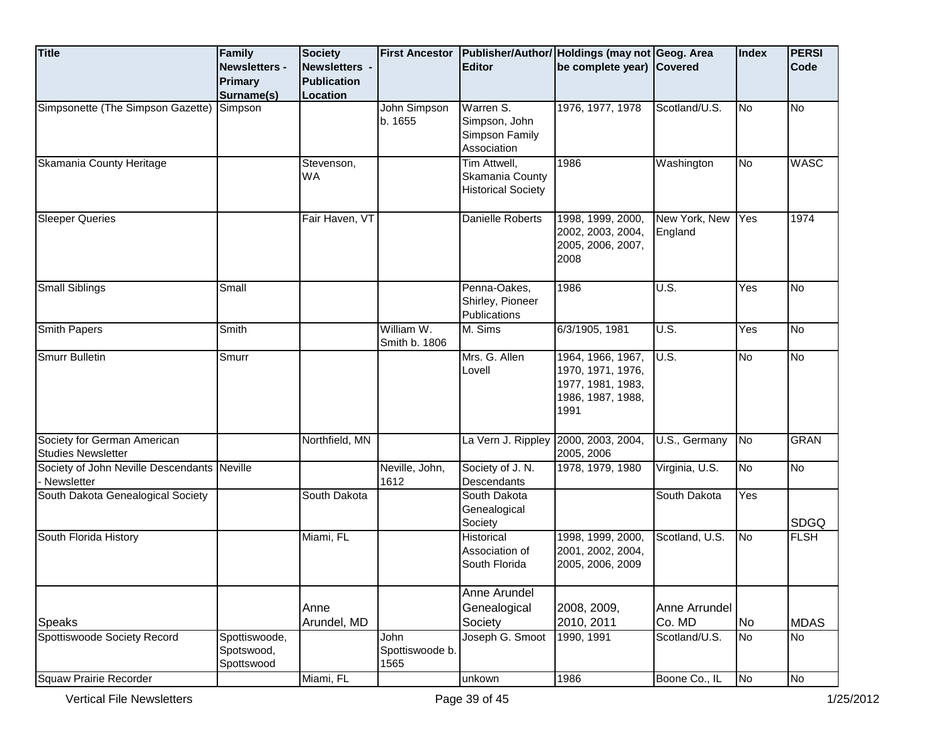| <b>Title</b>                                              | <b>Family</b><br><b>Newsletters -</b><br><b>Primary</b><br>Surname(s) | <b>Society</b><br>Newsletters -<br><b>Publication</b><br><b>Location</b> | <b>First Ancestor</b>           | <b>Editor</b>                                                | Publisher/Author/ Holdings (may not Geog. Area<br>be complete year) Covered              |                          | Index             | <b>PERSI</b><br>Code |
|-----------------------------------------------------------|-----------------------------------------------------------------------|--------------------------------------------------------------------------|---------------------------------|--------------------------------------------------------------|------------------------------------------------------------------------------------------|--------------------------|-------------------|----------------------|
| Simpsonette (The Simpson Gazette) Simpson                 |                                                                       |                                                                          | John Simpson<br>b. 1655         | Warren S.<br>Simpson, John<br>Simpson Family<br>Association  | 1976, 1977, 1978                                                                         | Scotland/U.S.            | No                | <b>No</b>            |
| Skamania County Heritage                                  |                                                                       | Stevenson,<br><b>WA</b>                                                  |                                 | Tim Attwell,<br>Skamania County<br><b>Historical Society</b> | 1986                                                                                     | Washington               | <b>No</b>         | <b>WASC</b>          |
| <b>Sleeper Queries</b>                                    |                                                                       | Fair Haven, VT                                                           |                                 | Danielle Roberts                                             | 1998, 1999, 2000,<br>2002, 2003, 2004,<br>2005, 2006, 2007,<br>2008                      | New York, New<br>England | Yes               | 1974                 |
| <b>Small Siblings</b>                                     | Small                                                                 |                                                                          |                                 | Penna-Oakes,<br>Shirley, Pioneer<br>Publications             | 1986                                                                                     | U.S.                     | Yes               | <b>No</b>            |
| <b>Smith Papers</b>                                       | Smith                                                                 |                                                                          | William W.<br>Smith b. 1806     | M. Sims                                                      | 6/3/1905, 1981                                                                           | U.S.                     | $\overline{Y}$ es | <b>No</b>            |
| <b>Smurr Bulletin</b>                                     | Smurr                                                                 |                                                                          |                                 | Mrs. G. Allen<br>Lovell                                      | 1964, 1966, 1967,<br>1970, 1971, 1976,<br>1977, 1981, 1983,<br>1986, 1987, 1988,<br>1991 | U.S.                     | No                | <b>No</b>            |
| Society for German American<br><b>Studies Newsletter</b>  |                                                                       | Northfield, MN                                                           |                                 | La Vern J. Rippley                                           | 2000, 2003, 2004,<br>2005, 2006                                                          | U.S., Germany            | No                | <b>GRAN</b>          |
| Society of John Neville Descendants Neville<br>Newsletter |                                                                       |                                                                          | Neville, John,<br>1612          | Society of J. N.<br>Descendants                              | 1978, 1979, 1980                                                                         | Virginia, U.S.           | <b>No</b>         | No                   |
| South Dakota Genealogical Society                         |                                                                       | South Dakota                                                             |                                 | South Dakota<br>Genealogical<br>Society                      |                                                                                          | South Dakota             | Yes               | <b>SDGQ</b>          |
| South Florida History                                     |                                                                       | Miami, FL                                                                |                                 | Historical<br>Association of<br>South Florida                | 1998, 1999, 2000,<br>2001, 2002, 2004,<br>2005, 2006, 2009                               | Scotland, U.S.           | N <sub>o</sub>    | <b>FLSH</b>          |
|                                                           |                                                                       |                                                                          |                                 | Anne Arundel                                                 |                                                                                          |                          |                   |                      |
| <b>Speaks</b>                                             |                                                                       | Anne<br>Arundel, MD                                                      |                                 | Genealogical<br>Society                                      | 2008, 2009,<br>2010, 2011                                                                | Anne Arrundel<br>Co. MD  | No                | <b>MDAS</b>          |
| Spottiswoode Society Record                               | Spottiswoode,<br>Spotswood,<br>Spottswood                             |                                                                          | John<br>Spottiswoode b.<br>1565 | Joseph G. Smoot                                              | 1990, 1991                                                                               | Scotland/U.S.            | No                | No                   |
| <b>Squaw Prairie Recorder</b>                             |                                                                       | Miami, FL                                                                |                                 | unkown                                                       | 1986                                                                                     | Boone Co., IL            | No                | No                   |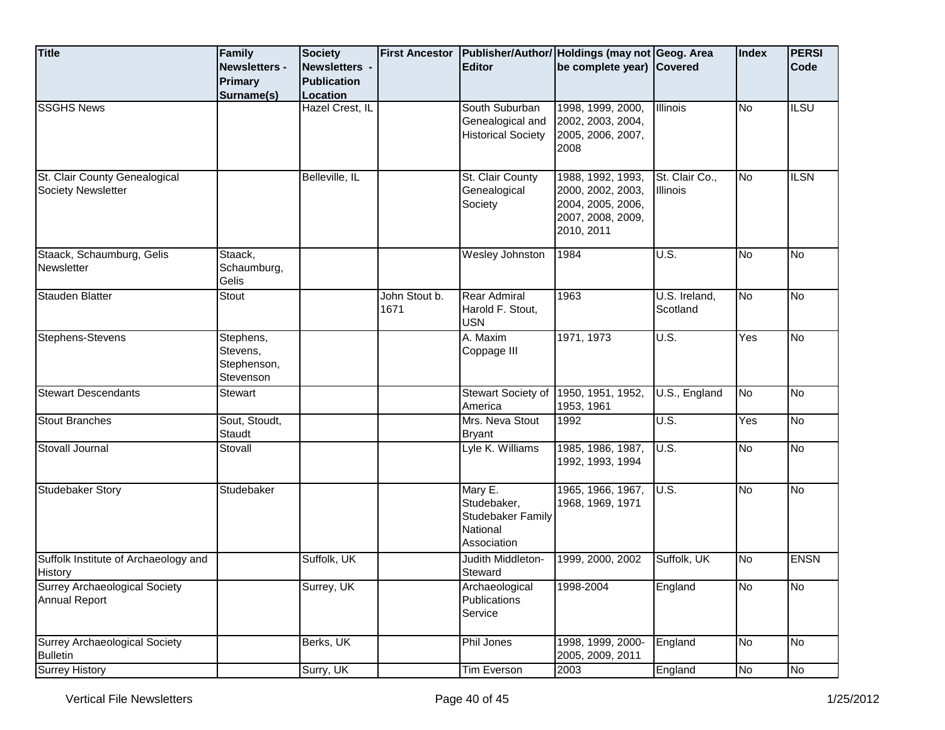| <b>Title</b>                                                 | Family<br><b>Newsletters -</b>                    | <b>Society</b><br>Newsletters - | <b>First Ancestor</b> | <b>Editor</b>                                                                 | Publisher/Author/ Holdings (may not Geog. Area<br>be complete year) Covered                    |                                     | Index                  | <b>PERSI</b><br><b>Code</b> |
|--------------------------------------------------------------|---------------------------------------------------|---------------------------------|-----------------------|-------------------------------------------------------------------------------|------------------------------------------------------------------------------------------------|-------------------------------------|------------------------|-----------------------------|
|                                                              | <b>Primary</b><br>Surname(s)                      | <b>Publication</b><br>Location  |                       |                                                                               |                                                                                                |                                     |                        |                             |
| <b>SSGHS News</b>                                            |                                                   | Hazel Crest, IL                 |                       | South Suburban<br>Genealogical and<br><b>Historical Society</b>               | 1998, 1999, 2000,<br>2002, 2003, 2004,<br>2005, 2006, 2007,<br>2008                            | <b>Illinois</b>                     | <b>No</b>              | <b>ILSU</b>                 |
| St. Clair County Genealogical<br><b>Society Newsletter</b>   |                                                   | Belleville, IL                  |                       | St. Clair County<br>Genealogical<br>Society                                   | 1988, 1992, 1993,<br>2000, 2002, 2003,<br>2004, 2005, 2006,<br>2007, 2008, 2009,<br>2010, 2011 | St. Clair Co.,<br><b>Illinois</b>   | <b>No</b>              | <b>ILSN</b>                 |
| Staack, Schaumburg, Gelis<br>Newsletter                      | Staack,<br>Schaumburg,<br>Gelis                   |                                 |                       | Wesley Johnston                                                               | 1984                                                                                           | U.S.                                | <b>No</b>              | <u>ν</u>                    |
| <b>Stauden Blatter</b>                                       | Stout                                             |                                 | John Stout b.<br>1671 | <b>Rear Admiral</b><br>Harold F. Stout,<br><b>USN</b>                         | 1963                                                                                           | U.S. Ireland,<br>Scotland           | No                     | No                          |
| Stephens-Stevens                                             | Stephens,<br>Stevens,<br>Stephenson,<br>Stevenson |                                 |                       | A. Maxim<br>Coppage III                                                       | 1971, 1973                                                                                     | $\overline{\mathsf{U}.\mathsf{S}.}$ | Yes                    | <b>No</b>                   |
| <b>Stewart Descendants</b>                                   | <b>Stewart</b>                                    |                                 |                       | Stewart Society of<br>America                                                 | 1950, 1951, 1952,<br>1953, 1961                                                                | U.S., England                       | <b>No</b>              | No                          |
| <b>Stout Branches</b>                                        | Sout, Stoudt,<br>Staudt                           |                                 |                       | Mrs. Neva Stout<br>Bryant                                                     | 1992                                                                                           | $\overline{U.S.}$                   | Yes                    | No                          |
| Stovall Journal                                              | Stovall                                           |                                 |                       | Lyle K. Williams                                                              | 1985, 1986, 1987,<br>1992, 1993, 1994                                                          | U.S.                                | <b>No</b>              | No                          |
| <b>Studebaker Story</b>                                      | Studebaker                                        |                                 |                       | Mary E.<br>Studebaker,<br><b>Studebaker Family</b><br>National<br>Association | 1965, 1966, 1967,<br>1968, 1969, 1971                                                          | U.S.                                | <b>No</b>              | No                          |
| Suffolk Institute of Archaeology and<br>History              |                                                   | Suffolk, UK                     |                       | Judith Middleton-<br>Steward                                                  | 1999, 2000, 2002                                                                               | Suffolk, UK                         | <b>No</b>              | <b>ENSN</b>                 |
| <b>Surrey Archaeological Society</b><br><b>Annual Report</b> |                                                   | Surrey, UK                      |                       | Archaeological<br>Publications<br>Service                                     | 1998-2004                                                                                      | England                             | $\overline{\text{No}}$ | <b>No</b>                   |
| <b>Surrey Archaeological Society</b><br><b>Bulletin</b>      |                                                   | Berks, UK                       |                       | Phil Jones                                                                    | 1998, 1999, 2000-<br>2005, 2009, 2011                                                          | England                             | <b>No</b>              | No                          |
| <b>Surrey History</b>                                        |                                                   | Surry, UK                       |                       | Tim Everson                                                                   | 2003                                                                                           | England                             | No                     | No                          |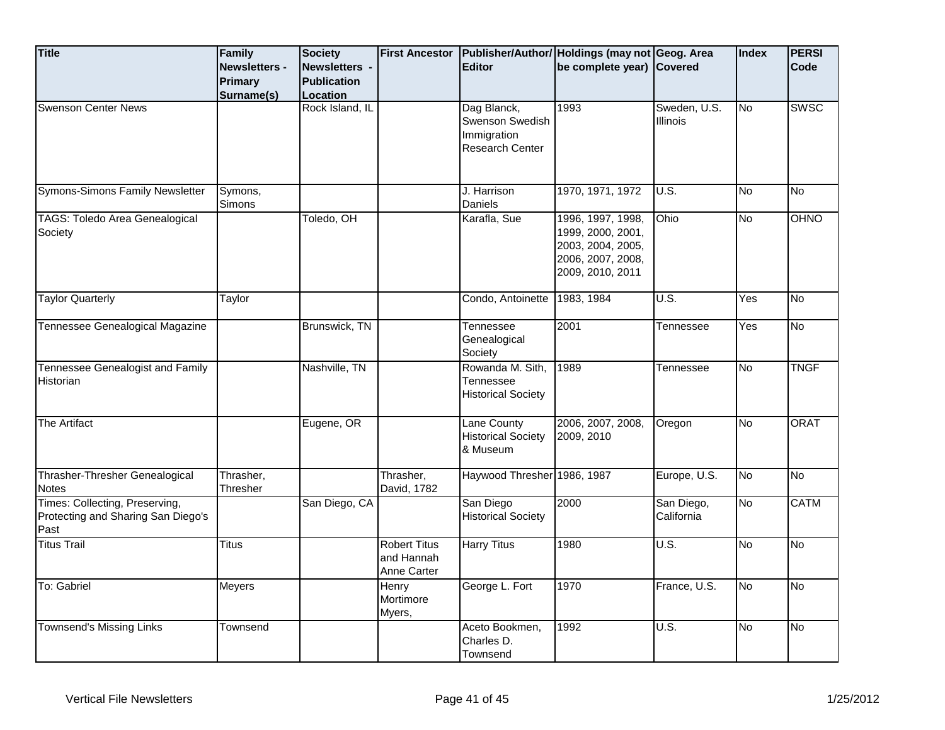| <b>Title</b>                                                                 | Family<br>Newsletters - | <b>Society</b><br>Newsletters - | <b>First Ancestor</b>                            | <b>Editor</b>                                                    | Publisher/Author/ Holdings (may not Geog. Area<br>be complete year) Covered                          |                                      | Index     | <b>PERSI</b><br>Code |
|------------------------------------------------------------------------------|-------------------------|---------------------------------|--------------------------------------------------|------------------------------------------------------------------|------------------------------------------------------------------------------------------------------|--------------------------------------|-----------|----------------------|
|                                                                              | Primary<br>Surname(s)   | <b>Publication</b><br>Location  |                                                  |                                                                  |                                                                                                      |                                      |           |                      |
| <b>Swenson Center News</b>                                                   |                         | Rock Island, IL                 |                                                  | Dag Blanck,<br>Swenson Swedish<br>Immigration<br>Research Center | 1993                                                                                                 | Sweden, U.S.<br><b>Illinois</b>      | No        | SWSC                 |
| Symons-Simons Family Newsletter                                              | Symons,<br>Simons       |                                 |                                                  | J. Harrison<br>Daniels                                           | 1970, 1971, 1972                                                                                     | $\overline{U.S.}$                    | <b>No</b> | No                   |
| TAGS: Toledo Area Genealogical<br>Society                                    |                         | Toledo, OH                      |                                                  | Karafla, Sue                                                     | 1996, 1997, 1998,<br>1999, 2000, 2001,<br>2003, 2004, 2005,<br>2006, 2007, 2008,<br>2009, 2010, 2011 | Ohio                                 | No        | <b>OHNO</b>          |
| <b>Taylor Quarterly</b>                                                      | Taylor                  |                                 |                                                  | Condo, Antoinette                                                | 1983, 1984                                                                                           | U.S.                                 | Yes       | <b>No</b>            |
| Tennessee Genealogical Magazine                                              |                         | Brunswick, TN                   |                                                  | Tennessee<br>Genealogical<br>Society                             | 2001                                                                                                 | Tennessee                            | Yes       | <b>No</b>            |
| Tennessee Genealogist and Family<br>Historian                                |                         | Nashville, TN                   |                                                  | Rowanda M. Sith,<br>Tennessee<br><b>Historical Society</b>       | 1989                                                                                                 | Tennessee                            | No        | <b>TNGF</b>          |
| <b>The Artifact</b>                                                          |                         | Eugene, OR                      |                                                  | Lane County<br><b>Historical Society</b><br>& Museum             | 2006, 2007, 2008,<br>2009, 2010                                                                      | Oregon                               | <b>No</b> | <b>ORAT</b>          |
| Thrasher-Thresher Genealogical<br>Notes                                      | Thrasher,<br>Thresher   |                                 | Thrasher,<br>David, 1782                         | Haywood Thresher 1986, 1987                                      |                                                                                                      | Europe, U.S.                         | <b>No</b> | No                   |
| Times: Collecting, Preserving,<br>Protecting and Sharing San Diego's<br>Past |                         | San Diego, CA                   |                                                  | San Diego<br><b>Historical Society</b>                           | 2000                                                                                                 | San Diego,<br>California             | No        | <b>CATM</b>          |
| <b>Titus Trail</b>                                                           | <b>Titus</b>            |                                 | <b>Robert Titus</b><br>and Hannah<br>Anne Carter | Harry Titus                                                      | 1980                                                                                                 | $\overline{\mathsf{U}.\mathsf{S}}$ . | No        | <b>No</b>            |
| To: Gabriel                                                                  | Meyers                  |                                 | Henry<br>Mortimore<br>Myers,                     | George L. Fort                                                   | 1970                                                                                                 | France, U.S.                         | No        | <b>No</b>            |
| <b>Townsend's Missing Links</b>                                              | Townsend                |                                 |                                                  | Aceto Bookmen,<br>Charles D.<br>Townsend                         | 1992                                                                                                 | U.S.                                 | No        | <b>No</b>            |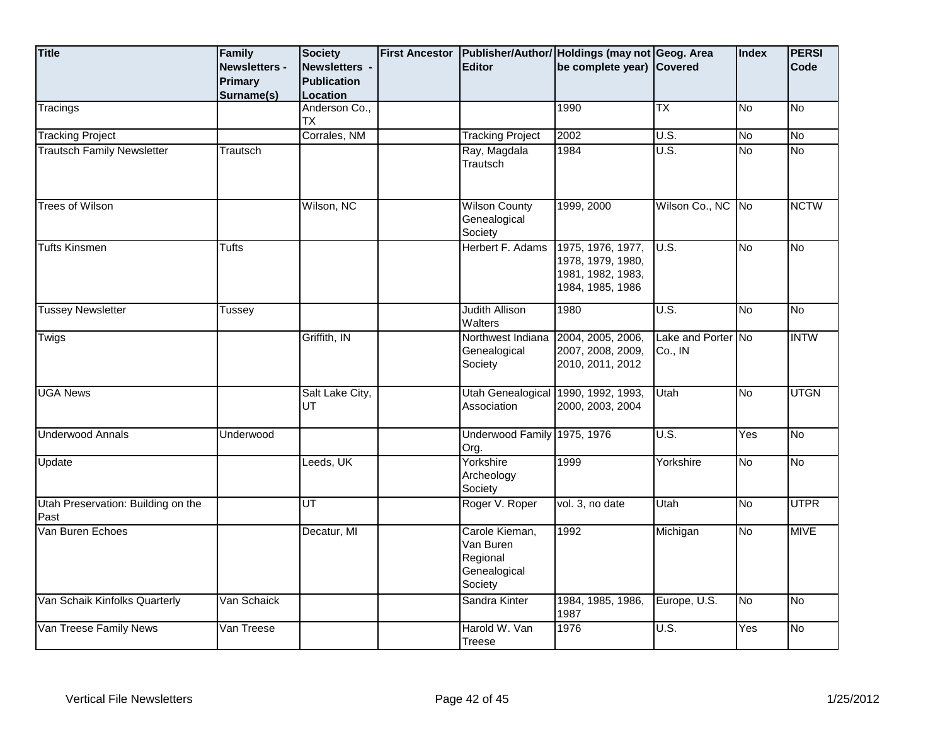| <b>Title</b>                               | Family        | <b>Society</b>             | <b>First Ancestor</b> |                                                                    | Publisher/Author/ Holdings (may not Geog. Area                                  |                               | Index     | <b>PERSI</b> |
|--------------------------------------------|---------------|----------------------------|-----------------------|--------------------------------------------------------------------|---------------------------------------------------------------------------------|-------------------------------|-----------|--------------|
|                                            | Newsletters - | Newsletters -              |                       | <b>Editor</b>                                                      | be complete year) Covered                                                       |                               |           | Code         |
|                                            | Primary       | <b>Publication</b>         |                       |                                                                    |                                                                                 |                               |           |              |
|                                            | Surname(s)    | Location                   |                       |                                                                    |                                                                                 |                               |           |              |
| Tracings                                   |               | Anderson Co.,<br><b>TX</b> |                       |                                                                    | 1990                                                                            | TX                            | No        | No           |
| <b>Tracking Project</b>                    |               | Corrales, NM               |                       | <b>Tracking Project</b>                                            | 2002                                                                            | $\overline{U.S.}$             | No        | No           |
| <b>Trautsch Family Newsletter</b>          | Trautsch      |                            |                       | Ray, Magdala<br>Trautsch                                           | 1984                                                                            | U.S.                          | No        | <b>No</b>    |
| <b>Trees of Wilson</b>                     |               | Wilson, NC                 |                       | <b>Wilson County</b><br>Genealogical<br>Society                    | 1999, 2000                                                                      | Wilson Co., NC No             |           | <b>NCTW</b>  |
| <b>Tufts Kinsmen</b>                       | Tufts         |                            |                       | Herbert F. Adams                                                   | 1975, 1976, 1977,<br>1978, 1979, 1980,<br>1981, 1982, 1983,<br>1984, 1985, 1986 | U.S.                          | No        | <u>ν</u>     |
| <b>Tussey Newsletter</b>                   | Tussey        |                            |                       | <b>Judith Allison</b><br>Walters                                   | 1980                                                                            | U.S.                          | No        | <b>No</b>    |
| Twigs                                      |               | Griffith, IN               |                       | Northwest Indiana<br>Genealogical<br>Society                       | 2004, 2005, 2006,<br>2007, 2008, 2009,<br>2010, 2011, 2012                      | Lake and Porter No<br>Co., IN |           | <b>INTW</b>  |
| <b>UGA News</b>                            |               | Salt Lake City,<br>UT      |                       | Utah Genealogical 1990, 1992, 1993,<br>Association                 | 2000, 2003, 2004                                                                | Utah                          | No        | <b>UTGN</b>  |
| <b>Underwood Annals</b>                    | Underwood     |                            |                       | <b>Underwood Family</b><br>Org.                                    | 1975, 1976                                                                      | U.S.                          | Yes       | <b>No</b>    |
| Update                                     |               | Leeds, UK                  |                       | Yorkshire<br>Archeology<br>Society                                 | 1999                                                                            | Yorkshire                     | No        | <b>No</b>    |
| Utah Preservation: Building on the<br>Past |               | UT                         |                       | Roger V. Roper                                                     | vol. 3, no date                                                                 | Utah                          | No        | <b>UTPR</b>  |
| Van Buren Echoes                           |               | Decatur, MI                |                       | Carole Kieman,<br>Van Buren<br>Regional<br>Genealogical<br>Society | 1992                                                                            | Michigan                      | <b>No</b> | <b>MIVE</b>  |
| Van Schaik Kinfolks Quarterly              | Van Schaick   |                            |                       | Sandra Kinter                                                      | 1984, 1985, 1986,<br>1987                                                       | Europe, U.S.                  | <b>No</b> | No           |
| Van Treese Family News                     | Van Treese    |                            |                       | Harold W. Van<br><b>Treese</b>                                     | 1976                                                                            | $\overline{U.S.}$             | Yes       | No           |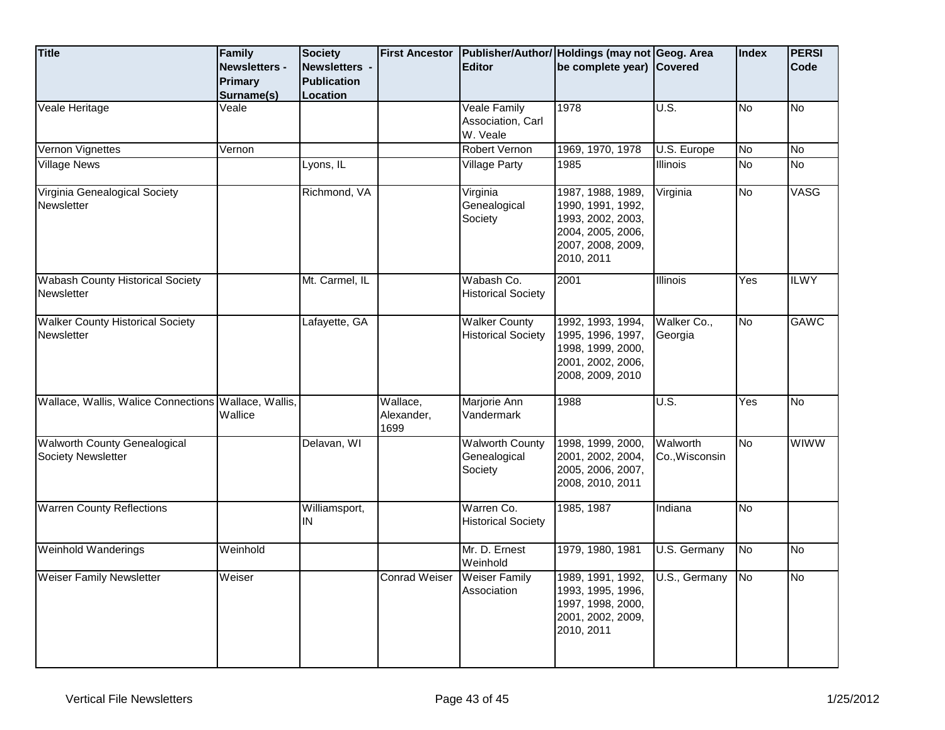| <b>Title</b>                                                     | Family<br><b>Newsletters -</b><br><b>Primary</b><br>Surname(s) | Society<br>Newsletters -<br><b>Publication</b><br>Location | <b>First Ancestor</b>          | <b>Editor</b>                                        | Publisher/Author/ Holdings (may not Geog. Area<br>be complete year) Covered                                         |                            | <b>Index</b>           | <b>PERSI</b><br>Code |
|------------------------------------------------------------------|----------------------------------------------------------------|------------------------------------------------------------|--------------------------------|------------------------------------------------------|---------------------------------------------------------------------------------------------------------------------|----------------------------|------------------------|----------------------|
| Veale Heritage                                                   | Veale                                                          |                                                            |                                | <b>Veale Family</b><br>Association, Carl<br>W. Veale | 1978                                                                                                                | U.S.                       | No                     | No                   |
| Vernon Vignettes                                                 | Vernon                                                         |                                                            |                                | Robert Vernon                                        | 1969, 1970, 1978                                                                                                    | U.S. Europe                | No                     | <b>No</b>            |
| <b>Village News</b>                                              |                                                                | Lyons, IL                                                  |                                | <b>Village Party</b>                                 | 1985                                                                                                                | Illinois                   | No                     | $\overline{N_{0}}$   |
| Virginia Genealogical Society<br>Newsletter                      |                                                                | Richmond, VA                                               |                                | Virginia<br>Genealogical<br>Society                  | 1987, 1988, 1989,<br>1990, 1991, 1992,<br>1993, 2002, 2003,<br>2004, 2005, 2006,<br>2007, 2008, 2009,<br>2010, 2011 | Virginia                   | No                     | VASG                 |
| <b>Wabash County Historical Society</b><br>Newsletter            |                                                                | Mt. Carmel, IL                                             |                                | Wabash Co.<br><b>Historical Society</b>              | 2001                                                                                                                | Illinois                   | Yes                    | <b>ILWY</b>          |
| <b>Walker County Historical Society</b><br>Newsletter            |                                                                | Lafayette, GA                                              |                                | <b>Walker County</b><br><b>Historical Society</b>    | 1992, 1993, 1994,<br>1995, 1996, 1997,<br>1998, 1999, 2000,<br>2001, 2002, 2006,<br>2008, 2009, 2010                | Walker Co.,<br>Georgia     | <b>No</b>              | <b>GAWC</b>          |
| Wallace, Wallis, Walice Connections   Wallace, Wallis,           | Wallice                                                        |                                                            | Wallace,<br>Alexander,<br>1699 | Marjorie Ann<br>Vandermark                           | 1988                                                                                                                | U.S.                       | Yes                    | No                   |
| <b>Walworth County Genealogical</b><br><b>Society Newsletter</b> |                                                                | Delavan, WI                                                |                                | <b>Walworth County</b><br>Genealogical<br>Society    | 1998, 1999, 2000,<br>2001, 2002, 2004,<br>2005, 2006, 2007,<br>2008, 2010, 2011                                     | Walworth<br>Co., Wisconsin | No                     | <b>WIWW</b>          |
| <b>Warren County Reflections</b>                                 |                                                                | Williamsport,<br>IN                                        |                                | Warren Co.<br><b>Historical Society</b>              | 1985, 1987                                                                                                          | Indiana                    | No                     |                      |
| <b>Weinhold Wanderings</b>                                       | Weinhold                                                       |                                                            |                                | Mr. D. Ernest<br>Weinhold                            | 1979, 1980, 1981                                                                                                    | U.S. Germany               | <b>No</b>              | No                   |
| <b>Weiser Family Newsletter</b>                                  | Weiser                                                         |                                                            | <b>Conrad Weiser</b>           | <b>Weiser Family</b><br>Association                  | 1989, 1991, 1992,<br>1993, 1995, 1996,<br>1997, 1998, 2000,<br>2001, 2002, 2009,<br>2010, 2011                      | U.S., Germany              | $\overline{\text{No}}$ | $\overline{N_{0}}$   |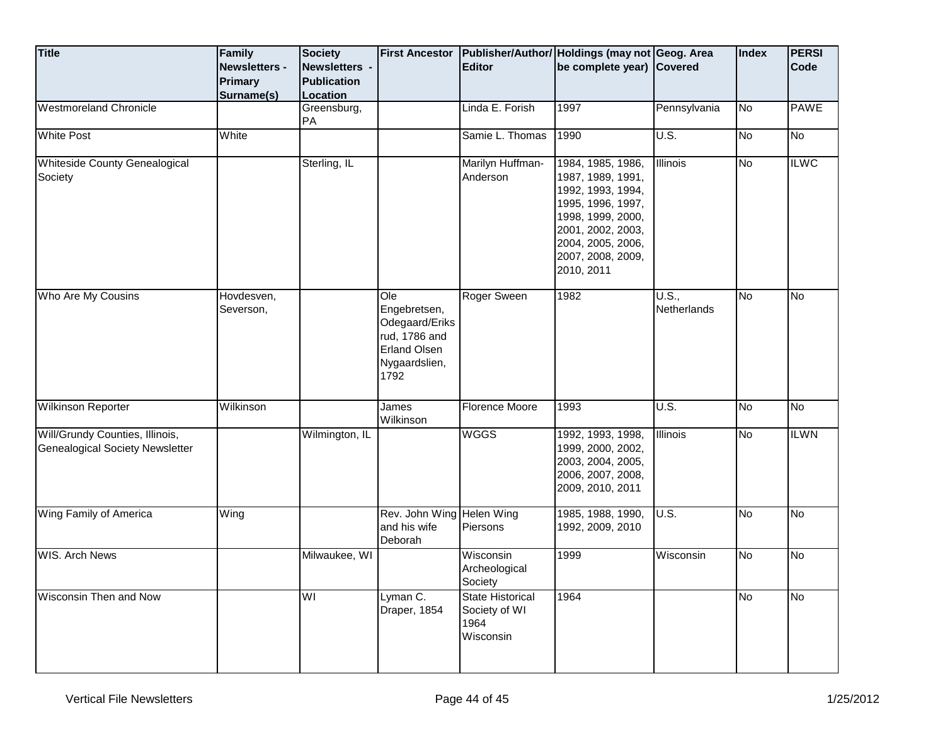| <b>Title</b>                                                              | Family<br><b>Newsletters -</b><br><b>Primary</b><br>Surname(s) | <b>Society</b><br>Newsletters -<br><b>Publication</b><br>Location | <b>First Ancestor</b>                                                                                  | <b>Editor</b>                                                 | Publisher/Author/ Holdings (may not Geog. Area<br>be complete year) Covered                                                                                                        |                      | <b>Index</b> | <b>PERSI</b><br>Code |
|---------------------------------------------------------------------------|----------------------------------------------------------------|-------------------------------------------------------------------|--------------------------------------------------------------------------------------------------------|---------------------------------------------------------------|------------------------------------------------------------------------------------------------------------------------------------------------------------------------------------|----------------------|--------------|----------------------|
| <b>Westmoreland Chronicle</b>                                             |                                                                | Greensburg,<br>PA                                                 |                                                                                                        | Linda E. Forish                                               | 1997                                                                                                                                                                               | Pennsylvania         | No           | <b>PAWE</b>          |
| <b>White Post</b>                                                         | White                                                          |                                                                   |                                                                                                        | Samie L. Thomas                                               | 1990                                                                                                                                                                               | U.S.                 | No           | No                   |
| <b>Whiteside County Genealogical</b><br>Society                           |                                                                | Sterling, IL                                                      |                                                                                                        | Marilyn Huffman-<br>Anderson                                  | 1984, 1985, 1986,<br>1987, 1989, 1991,<br>1992, 1993, 1994,<br>1995, 1996, 1997,<br>1998, 1999, 2000,<br>2001, 2002, 2003,<br>2004, 2005, 2006,<br>2007, 2008, 2009,<br>2010, 2011 | <b>Illinois</b>      | No           | <b>ILWC</b>          |
| Who Are My Cousins                                                        | Hovdesven,<br>Severson,                                        |                                                                   | Ole<br>Engebretsen,<br>Odegaard/Eriks<br>rud, 1786 and<br><b>Erland Olsen</b><br>Nygaardslien,<br>1792 | Roger Sween                                                   | 1982                                                                                                                                                                               | U.S.,<br>Netherlands | No           | No                   |
| <b>Wilkinson Reporter</b>                                                 | Wilkinson                                                      |                                                                   | James<br>Wilkinson                                                                                     | Florence Moore                                                | 1993                                                                                                                                                                               | U.S.                 | No           | No                   |
| Will/Grundy Counties, Illinois,<br><b>Genealogical Society Newsletter</b> |                                                                | Wilmington, IL                                                    |                                                                                                        | <b>WGGS</b>                                                   | 1992, 1993, 1998,<br>1999, 2000, 2002,<br>2003, 2004, 2005,<br>2006, 2007, 2008,<br>2009, 2010, 2011                                                                               | Illinois             | No           | <b>ILWN</b>          |
| Wing Family of America                                                    | Wing                                                           |                                                                   | Rev. John Wing Helen Wing<br>and his wife<br>Deborah                                                   | Piersons                                                      | 1985, 1988, 1990,<br>1992, 2009, 2010                                                                                                                                              | U.S.                 | No           | No                   |
| <b>WIS. Arch News</b>                                                     |                                                                | Milwaukee, WI                                                     |                                                                                                        | Wisconsin<br>Archeological<br>Society                         | 1999                                                                                                                                                                               | Wisconsin            | No           | No                   |
| Wisconsin Then and Now                                                    |                                                                | WI                                                                | Lyman C.<br>Draper, 1854                                                                               | <b>State Historical</b><br>Society of WI<br>1964<br>Wisconsin | 1964                                                                                                                                                                               |                      | No           | No                   |